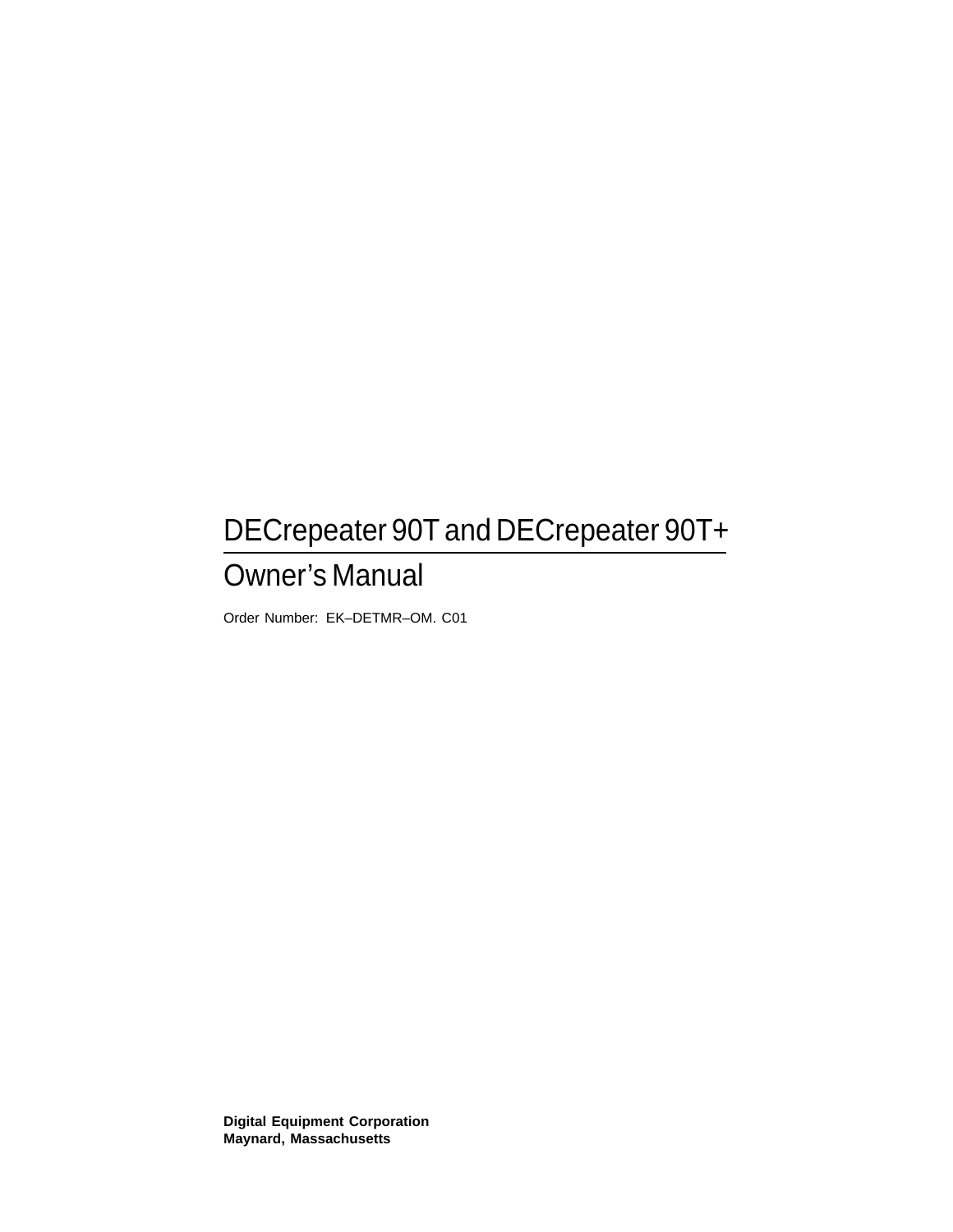# DECrepeater 90T and DECrepeater 90T+

## Owner's Manual

Order Number: EK–DETMR–OM. C01

**Digital Equipment Corporation Maynard, Massachusetts**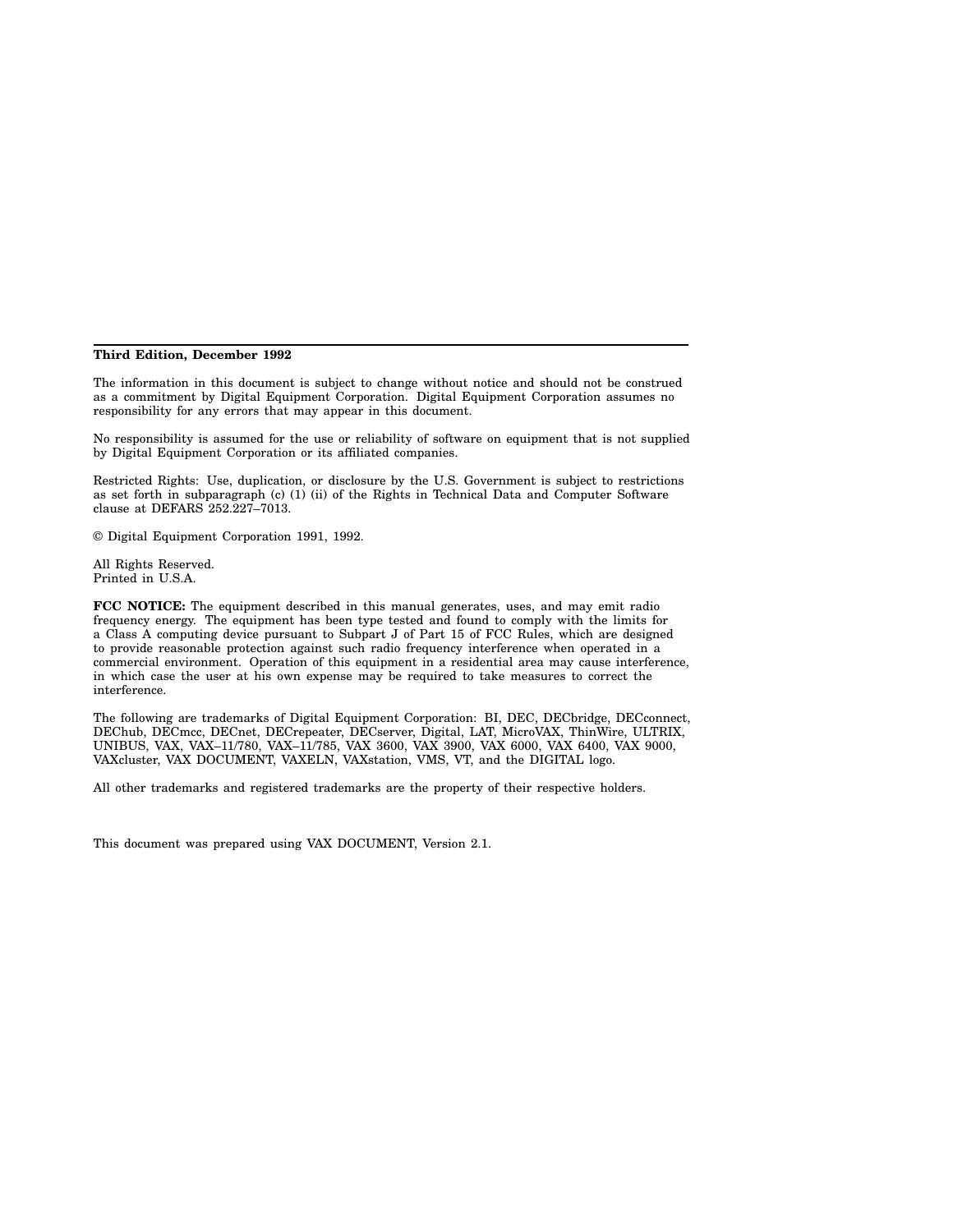#### **Third Edition, December 1992**

The information in this document is subject to change without notice and should not be construed as a commitment by Digital Equipment Corporation. Digital Equipment Corporation assumes no responsibility for any errors that may appear in this document.

No responsibility is assumed for the use or reliability of software on equipment that is not supplied by Digital Equipment Corporation or its affiliated companies.

Restricted Rights: Use, duplication, or disclosure by the U.S. Government is subject to restrictions as set forth in subparagraph (c) (1) (ii) of the Rights in Technical Data and Computer Software clause at DEFARS 252.227–7013.

© Digital Equipment Corporation 1991, 1992.

All Rights Reserved. Printed in U.S.A.

**FCC NOTICE:** The equipment described in this manual generates, uses, and may emit radio frequency energy. The equipment has been type tested and found to comply with the limits for a Class A computing device pursuant to Subpart J of Part 15 of FCC Rules, which are designed to provide reasonable protection against such radio frequency interference when operated in a commercial environment. Operation of this equipment in a residential area may cause interference, in which case the user at his own expense may be required to take measures to correct the interference.

The following are trademarks of Digital Equipment Corporation: BI, DEC, DECbridge, DECconnect, DEChub, DECmcc, DECnet, DECrepeater, DECserver, Digital, LAT, MicroVAX, ThinWire, ULTRIX, UNIBUS, VAX, VAX–11/780, VAX–11/785, VAX 3600, VAX 3900, VAX 6000, VAX 6400, VAX 9000, VAXcluster, VAX DOCUMENT, VAXELN, VAXstation, VMS, VT, and the DIGITAL logo.

All other trademarks and registered trademarks are the property of their respective holders.

This document was prepared using VAX DOCUMENT, Version 2.1.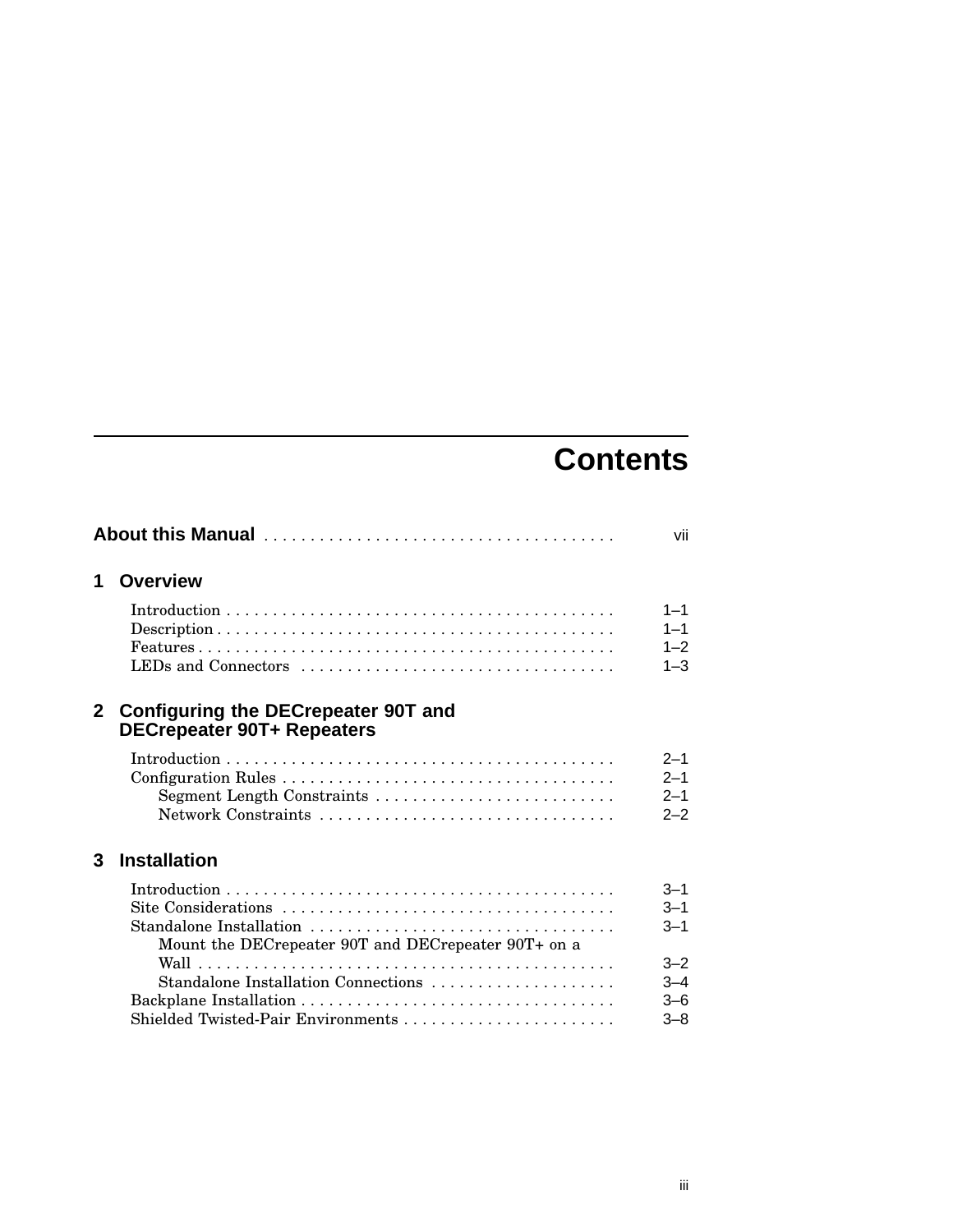# **Contents**

|              |                                                                                 | vii                                      |
|--------------|---------------------------------------------------------------------------------|------------------------------------------|
| 1            | <b>Overview</b>                                                                 |                                          |
|              | LEDs and Connectors                                                             | $1 - 1$<br>$1 - 1$<br>$1 - 2$<br>$1 - 3$ |
| $\mathbf{2}$ | <b>Configuring the DECrepeater 90T and</b><br><b>DECrepeater 90T+ Repeaters</b> |                                          |
|              |                                                                                 | $2 - 1$<br>$2 - 1$<br>$2 - 1$<br>$2 - 2$ |
| 3            | <b>Installation</b>                                                             |                                          |
|              | Standalone Installation<br>Mount the DECrepeater 90T and DECrepeater 90T+ on a  | $3 - 1$<br>$3 - 1$<br>$3 - 1$            |
|              | Standalone Installation Connections<br>Shielded Twisted-Pair Environments       | $3 - 2$<br>$3 - 4$<br>3–6<br>$3 - 8$     |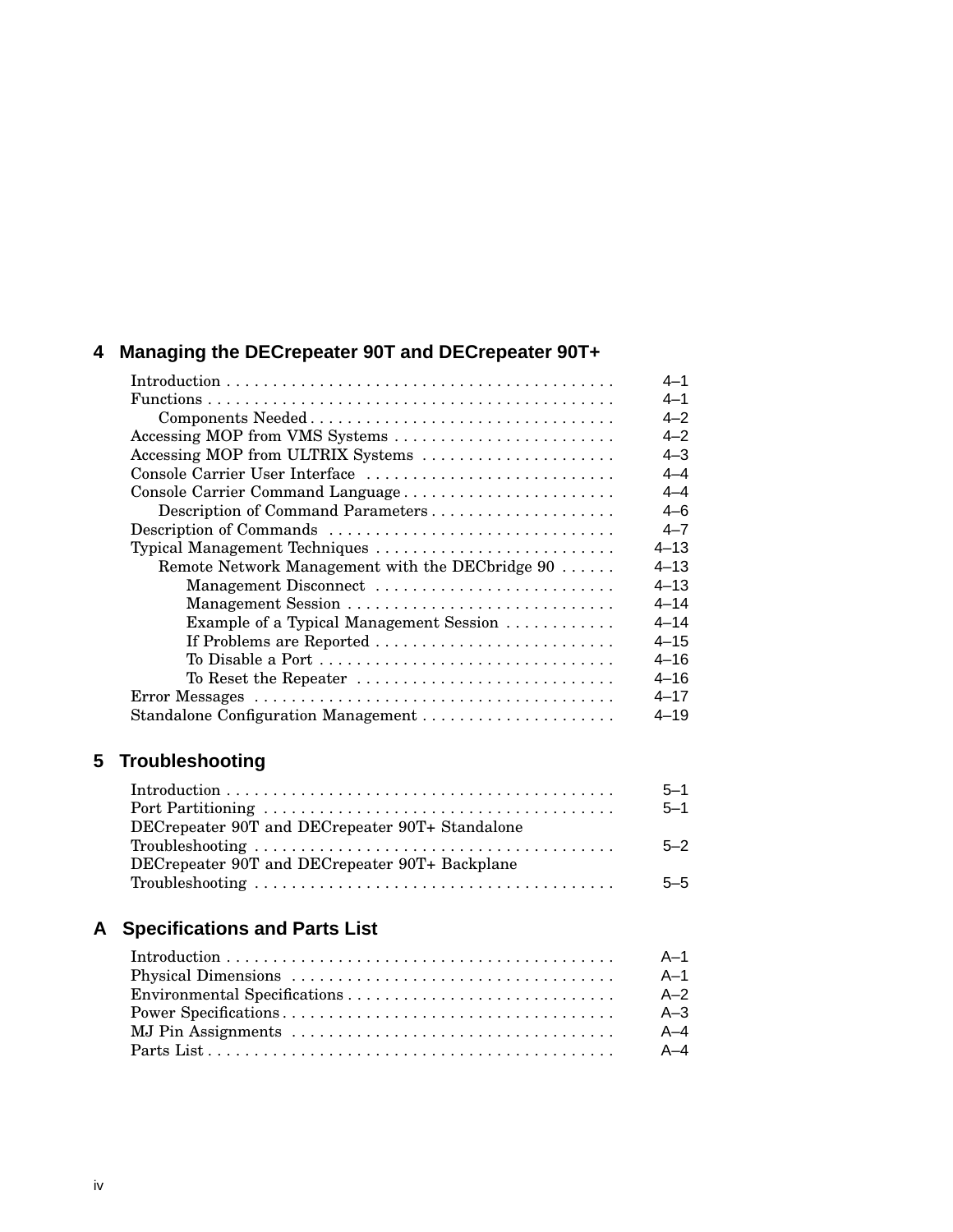### **4 Managing the DECrepeater 90T and DECrepeater 90T+**

|                                                 | 4-1      |
|-------------------------------------------------|----------|
|                                                 | 4–1      |
|                                                 | $4 - 2$  |
| Accessing MOP from VMS Systems                  | 4–2      |
| Accessing MOP from ULTRIX Systems               | 4–3      |
| Console Carrier User Interface                  | 4–4      |
| Console Carrier Command Language                | 4–4      |
| Description of Command Parameters               | 4–6      |
| Description of Commands                         | $4 - 7$  |
| Typical Management Techniques                   | $4 - 13$ |
| Remote Network Management with the DECbridge 90 | $4 - 13$ |
| Management Disconnect                           | $4 - 13$ |
|                                                 | $4 - 14$ |
| Example of a Typical Management Session         | $4 - 14$ |
| If Problems are Reported                        | $4 - 15$ |
| To Disable a Port                               | $4 - 16$ |
| To Reset the Repeater                           | $4 - 16$ |
|                                                 | $4 - 17$ |
| Standalone Configuration Management             | $4 - 19$ |

### **5 Troubleshooting**

|                                                                                                  | $5 - 1$ |
|--------------------------------------------------------------------------------------------------|---------|
|                                                                                                  | $5 - 1$ |
| DECrepeater 90T and DECrepeater 90T+ Standalone                                                  |         |
| $Troubles hooting \dots \dots \dots \dots \dots \dots \dots \dots \dots \dots \dots \dots \dots$ | $5 - 2$ |
| DECrepeater 90T and DECrepeater 90T+ Backplane                                                   |         |
| $Troubles hooting \dots \dots \dots \dots \dots \dots \dots \dots \dots \dots \dots \dots \dots$ | $5 - 5$ |

### **A Specifications and Parts List**

| - A-1   |
|---------|
| A-1     |
| $A-2$   |
| $A - 3$ |
| A-4     |
|         |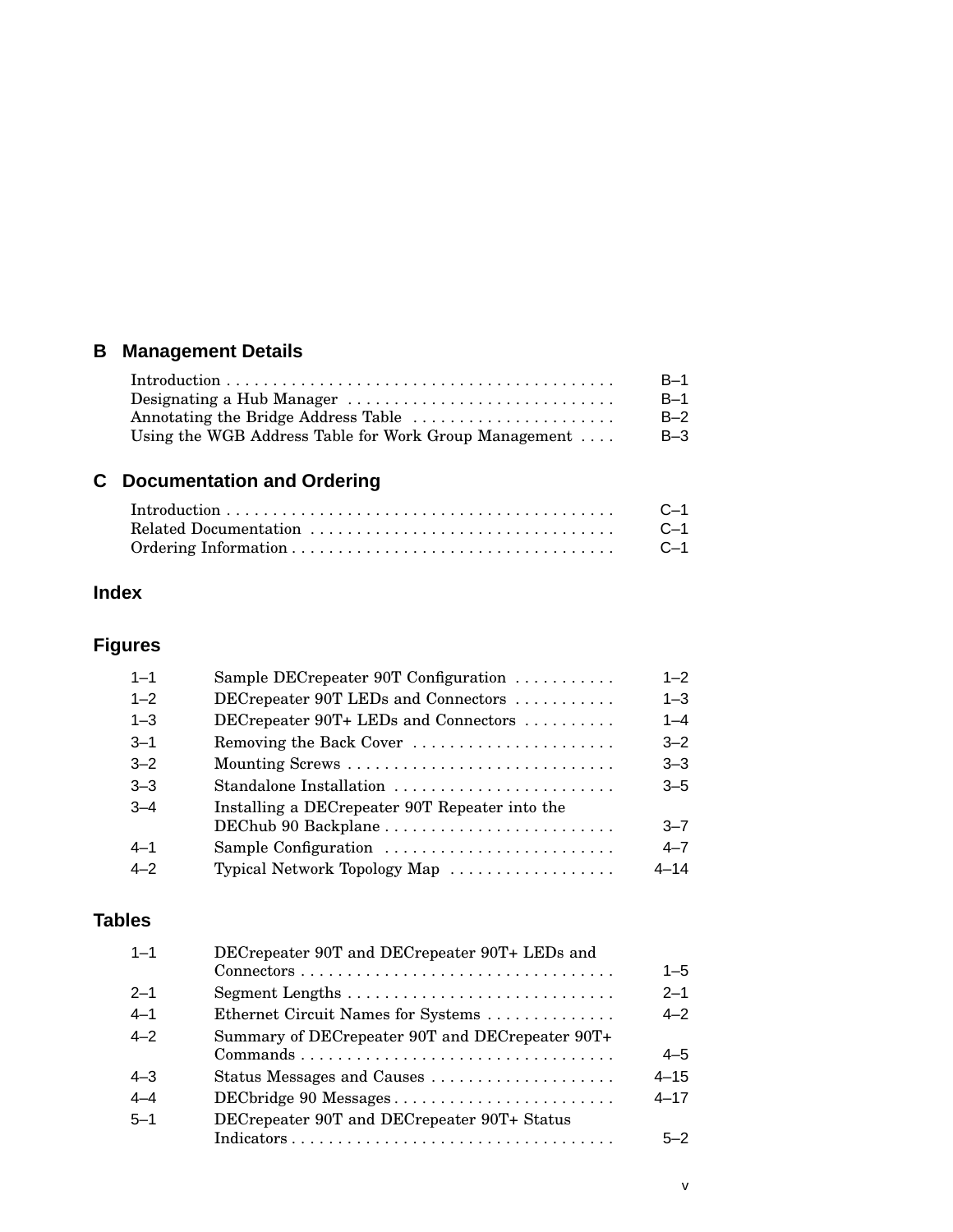### **B Management Details**

|                                                       | $B-1$ |
|-------------------------------------------------------|-------|
| Designating a Hub Manager                             | $B-1$ |
| Annotating the Bridge Address Table                   | $B-2$ |
| Using the WGB Address Table for Work Group Management | B-3   |

### **C Documentation and Ordering**

| C—1 |
|-----|
| C—1 |
|     |

### **Index**

### **Figures**

| $1 - 1$ | Sample DECrepeater 90T Configuration           | $1 - 2$  |
|---------|------------------------------------------------|----------|
| $1 - 2$ | DECrepeater 90T LEDs and Connectors            | $1 - 3$  |
| $1 - 3$ | DECrepeater 90T+ LEDs and Connectors           | $1 - 4$  |
| $3 - 1$ | Removing the Back Cover                        | $3 - 2$  |
| $3 - 2$ | Mounting Screws                                | $3 - 3$  |
| $3 - 3$ | Standalone Installation                        | $3 - 5$  |
| $3 - 4$ | Installing a DECrepeater 90T Repeater into the |          |
|         |                                                | $3 - 7$  |
| $4 - 1$ | Sample Configuration                           | $4 - 7$  |
| $4 - 2$ | Typical Network Topology Map                   | $4 - 14$ |
|         |                                                |          |

### **Tables**

| $1 - 1$ | DECrepeater 90T and DECrepeater 90T+ LEDs and                               |          |
|---------|-----------------------------------------------------------------------------|----------|
|         |                                                                             | $1 - 5$  |
| $2 - 1$ |                                                                             | $2 - 1$  |
| $4 - 1$ | Ethernet Circuit Names for Systems                                          | $4 - 2$  |
| $4 - 2$ | Summary of DECrepeater 90T and DECrepeater 90T+                             |          |
|         | $Commonands \ldots \ldots \ldots \ldots \ldots \ldots \ldots \ldots \ldots$ | $4 - 5$  |
| $4 - 3$ | Status Messages and Causes                                                  | $4 - 15$ |
| $4 - 4$ | DECbridge 90 Messages                                                       | $4 - 17$ |
| $5 - 1$ | DECrepeater 90T and DECrepeater 90T+ Status                                 |          |
|         |                                                                             | $5 - 2$  |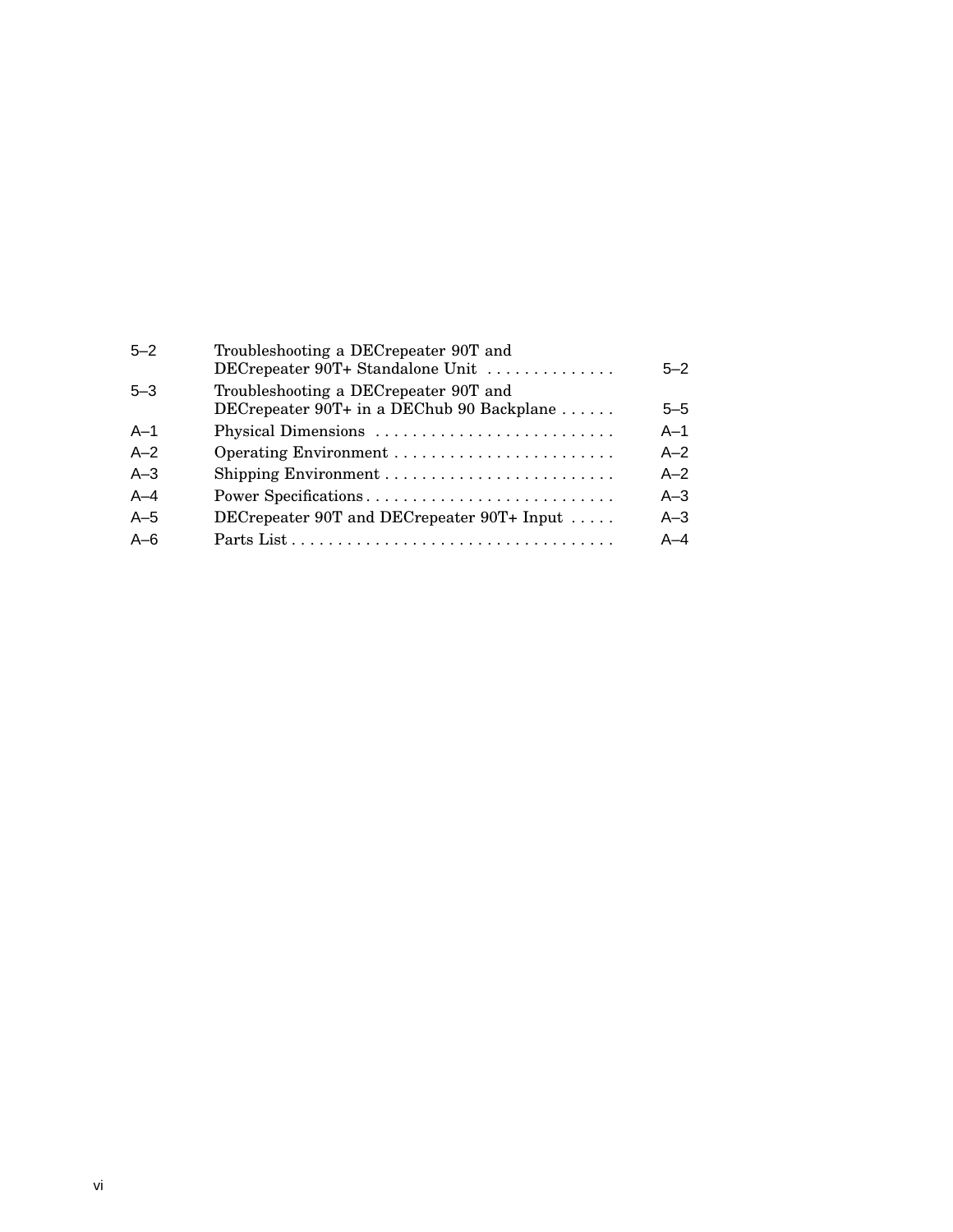| $5 - 2$ | Troubleshooting a DECrepeater 90T and<br>DECrepeater 90T+ Standalone Unit          | $5 - 2$ |
|---------|------------------------------------------------------------------------------------|---------|
| $5 - 3$ | Troubleshooting a DECrepeater 90T and<br>DECrepeater 90T+ in a DEChub 90 Backplane | $5 - 5$ |
| $A-1$   | Physical Dimensions                                                                | $A-1$   |
| $A-2$   |                                                                                    | $A - 2$ |
| $A-3$   |                                                                                    | $A - 2$ |
| $A - 4$ | Power Specifications                                                               | $A - 3$ |
| $A-5$   | DECrepeater 90T and DECrepeater 90T+ Input $\dots$                                 | $A-3$   |
| $A - 6$ |                                                                                    | $A - 4$ |
|         |                                                                                    |         |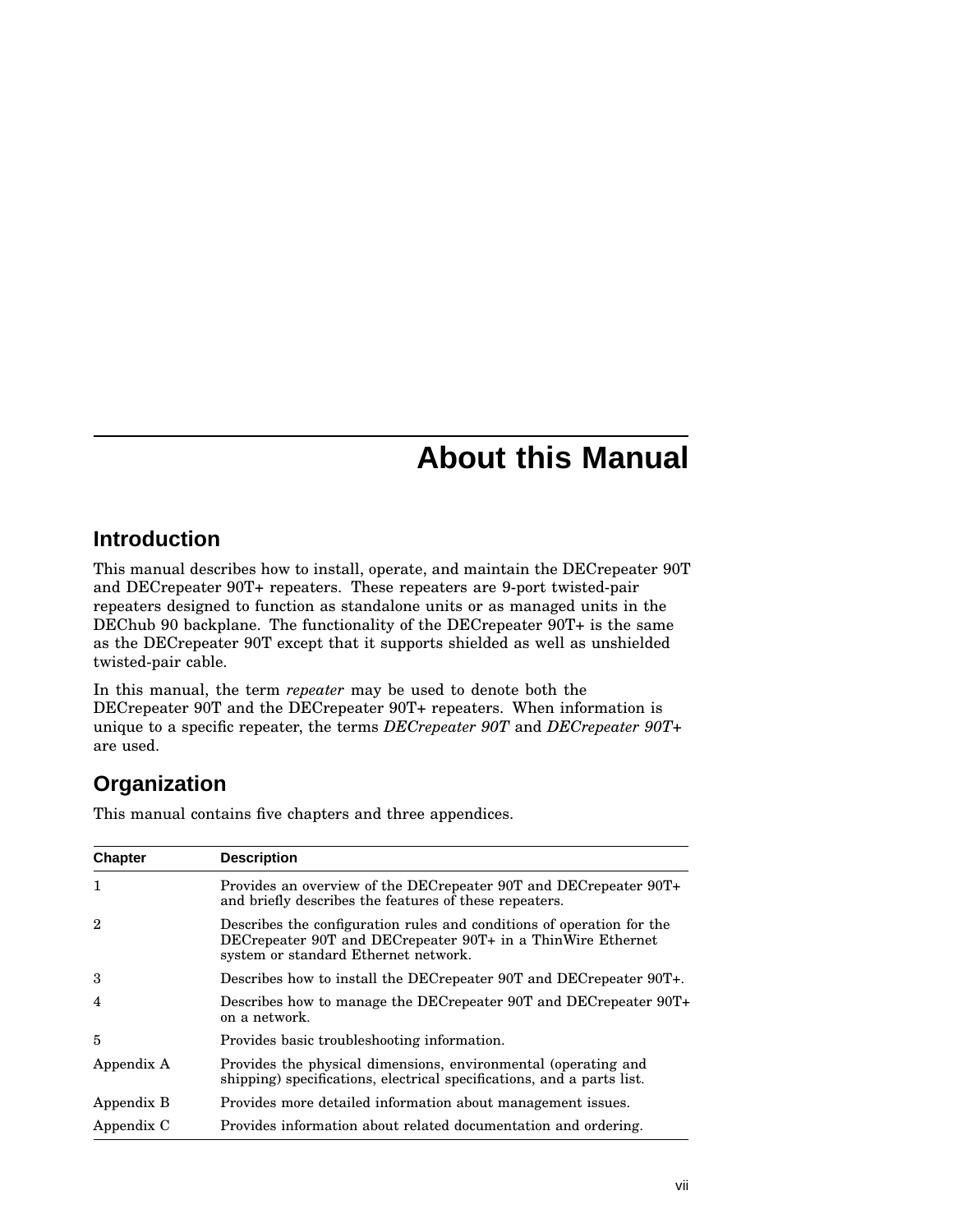## **About this Manual**

### **Introduction**

This manual describes how to install, operate, and maintain the DECrepeater 90T and DECrepeater 90T+ repeaters. These repeaters are 9-port twisted-pair repeaters designed to function as standalone units or as managed units in the DEChub 90 backplane. The functionality of the DECrepeater 90T+ is the same as the DECrepeater 90T except that it supports shielded as well as unshielded twisted-pair cable.

In this manual, the term *repeater* may be used to denote both the DECrepeater 90T and the DECrepeater 90T+ repeaters. When information is unique to a specific repeater, the terms *DECrepeater 90T* and *DECrepeater 90T+* are used.

### **Organization**

This manual contains five chapters and three appendices.

| <b>Chapter</b> | <b>Description</b>                                                                                                                                                           |
|----------------|------------------------------------------------------------------------------------------------------------------------------------------------------------------------------|
| 1              | Provides an overview of the DECrepeater 90T and DECrepeater 90T+<br>and briefly describes the features of these repeaters.                                                   |
| $\overline{2}$ | Describes the configuration rules and conditions of operation for the<br>DECrepeater 90T and DECrepeater 90T+ in a ThinWire Ethernet<br>system or standard Ethernet network. |
| 3              | Describes how to install the DEC repeater 90T and DEC repeater 90T+.                                                                                                         |
| $\overline{4}$ | Describes how to manage the DECrepeater 90T and DECrepeater 90T+<br>on a network.                                                                                            |
| 5              | Provides basic troubleshooting information.                                                                                                                                  |
| Appendix A     | Provides the physical dimensions, environmental (operating and<br>shipping) specifications, electrical specifications, and a parts list.                                     |
| Appendix B     | Provides more detailed information about management issues.                                                                                                                  |
| Appendix C     | Provides information about related documentation and ordering.                                                                                                               |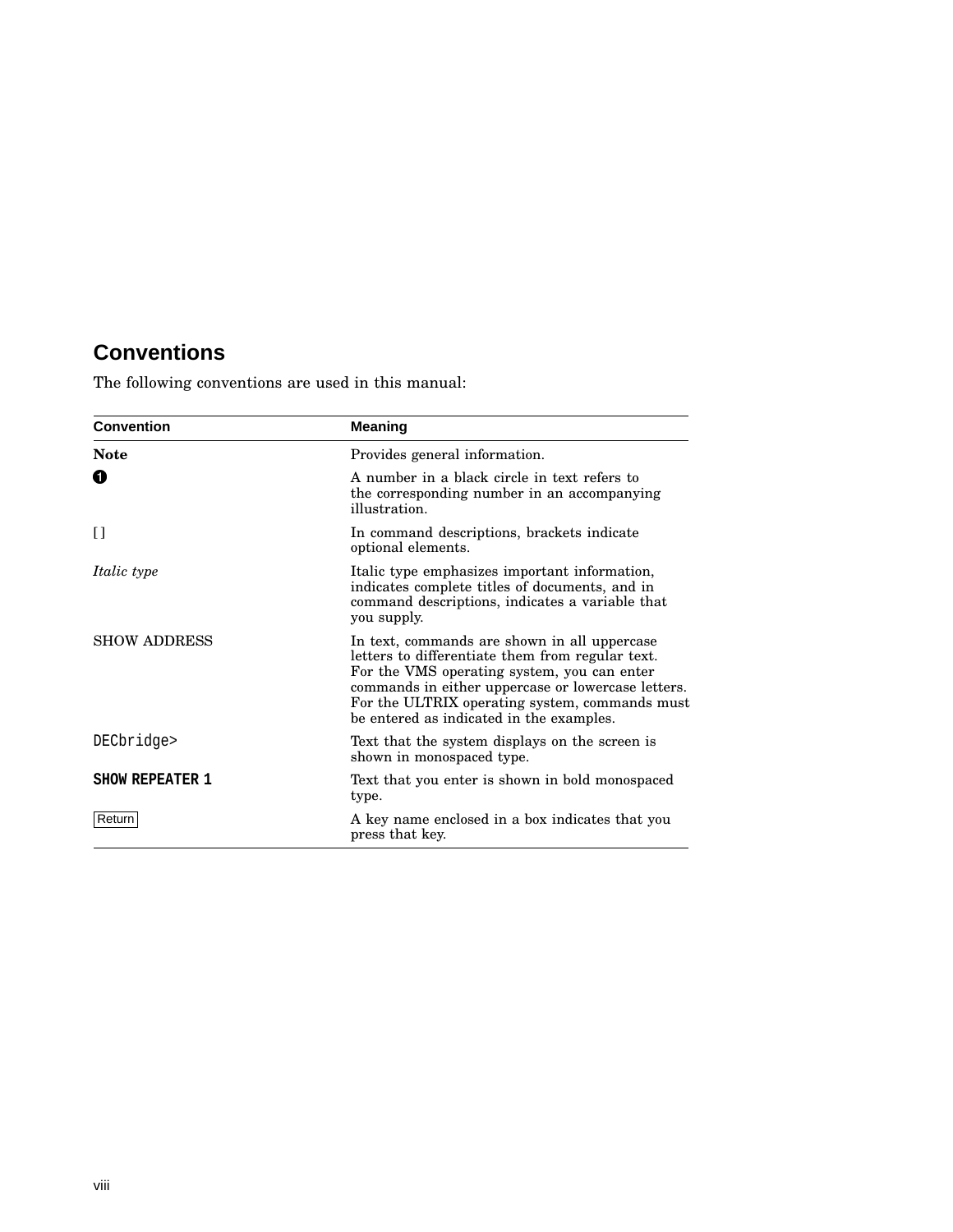### **Conventions**

The following conventions are used in this manual:

| <b>Convention</b>      | <b>Meaning</b>                                                                                                                                                                                                                                                                                      |
|------------------------|-----------------------------------------------------------------------------------------------------------------------------------------------------------------------------------------------------------------------------------------------------------------------------------------------------|
| <b>Note</b>            | Provides general information.                                                                                                                                                                                                                                                                       |
| O                      | A number in a black circle in text refers to<br>the corresponding number in an accompanying<br>illustration.                                                                                                                                                                                        |
| n                      | In command descriptions, brackets indicate<br>optional elements.                                                                                                                                                                                                                                    |
| <i>Italic type</i>     | Italic type emphasizes important information,<br>indicates complete titles of documents, and in<br>command descriptions, indicates a variable that<br>you supply.                                                                                                                                   |
| <b>SHOW ADDRESS</b>    | In text, commands are shown in all uppercase<br>letters to differentiate them from regular text.<br>For the VMS operating system, you can enter<br>commands in either uppercase or lowercase letters.<br>For the ULTRIX operating system, commands must<br>be entered as indicated in the examples. |
| DECbridge>             | Text that the system displays on the screen is<br>shown in monospaced type.                                                                                                                                                                                                                         |
| <b>SHOW REPEATER 1</b> | Text that you enter is shown in bold monospaced<br>type.                                                                                                                                                                                                                                            |
| Return                 | A key name enclosed in a box indicates that you<br>press that key.                                                                                                                                                                                                                                  |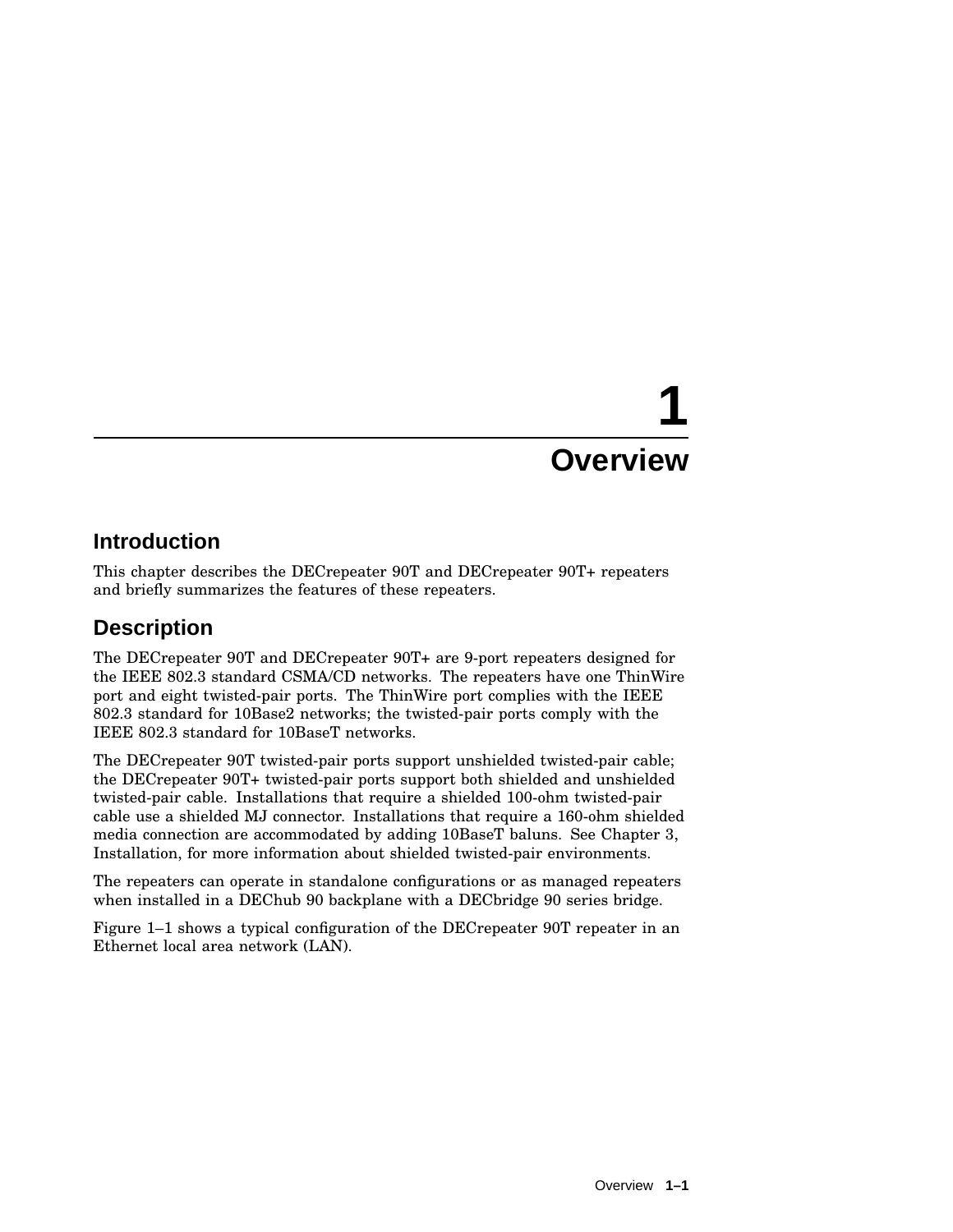# **1 Overview**

### **Introduction**

This chapter describes the DECrepeater 90T and DECrepeater 90T+ repeaters and briefly summarizes the features of these repeaters.

### **Description**

The DECrepeater 90T and DECrepeater 90T+ are 9-port repeaters designed for the IEEE 802.3 standard CSMA/CD networks. The repeaters have one ThinWire port and eight twisted-pair ports. The ThinWire port complies with the IEEE 802.3 standard for 10Base2 networks; the twisted-pair ports comply with the IEEE 802.3 standard for 10BaseT networks.

The DECrepeater 90T twisted-pair ports support unshielded twisted-pair cable; the DECrepeater 90T+ twisted-pair ports support both shielded and unshielded twisted-pair cable. Installations that require a shielded 100-ohm twisted-pair cable use a shielded MJ connector. Installations that require a 160-ohm shielded media connection are accommodated by adding 10BaseT baluns. See Chapter 3, Installation, for more information about shielded twisted-pair environments.

The repeaters can operate in standalone configurations or as managed repeaters when installed in a DEChub 90 backplane with a DECbridge 90 series bridge.

Figure 1–1 shows a typical configuration of the DECrepeater 90T repeater in an Ethernet local area network (LAN).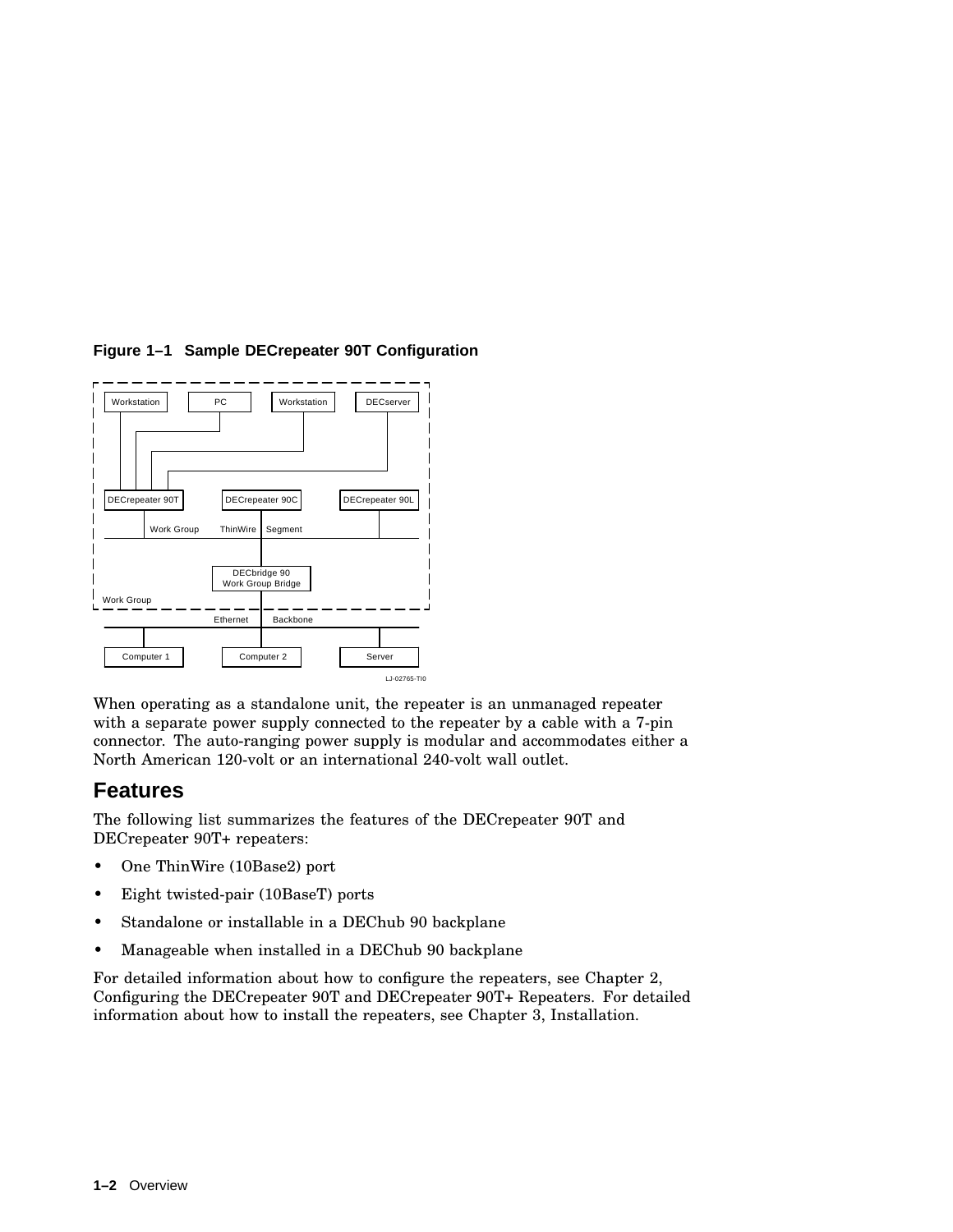

#### **Figure 1–1 Sample DECrepeater 90T Configuration**

When operating as a standalone unit, the repeater is an unmanaged repeater with a separate power supply connected to the repeater by a cable with a 7-pin connector. The auto-ranging power supply is modular and accommodates either a North American 120-volt or an international 240-volt wall outlet.

### **Features**

The following list summarizes the features of the DECrepeater 90T and DECrepeater 90T+ repeaters:

- One ThinWire (10Base2) port
- Eight twisted-pair (10BaseT) ports
- Standalone or installable in a DEChub 90 backplane
- Manageable when installed in a DEChub 90 backplane

For detailed information about how to configure the repeaters, see Chapter 2, Configuring the DECrepeater 90T and DECrepeater 90T+ Repeaters. For detailed information about how to install the repeaters, see Chapter 3, Installation.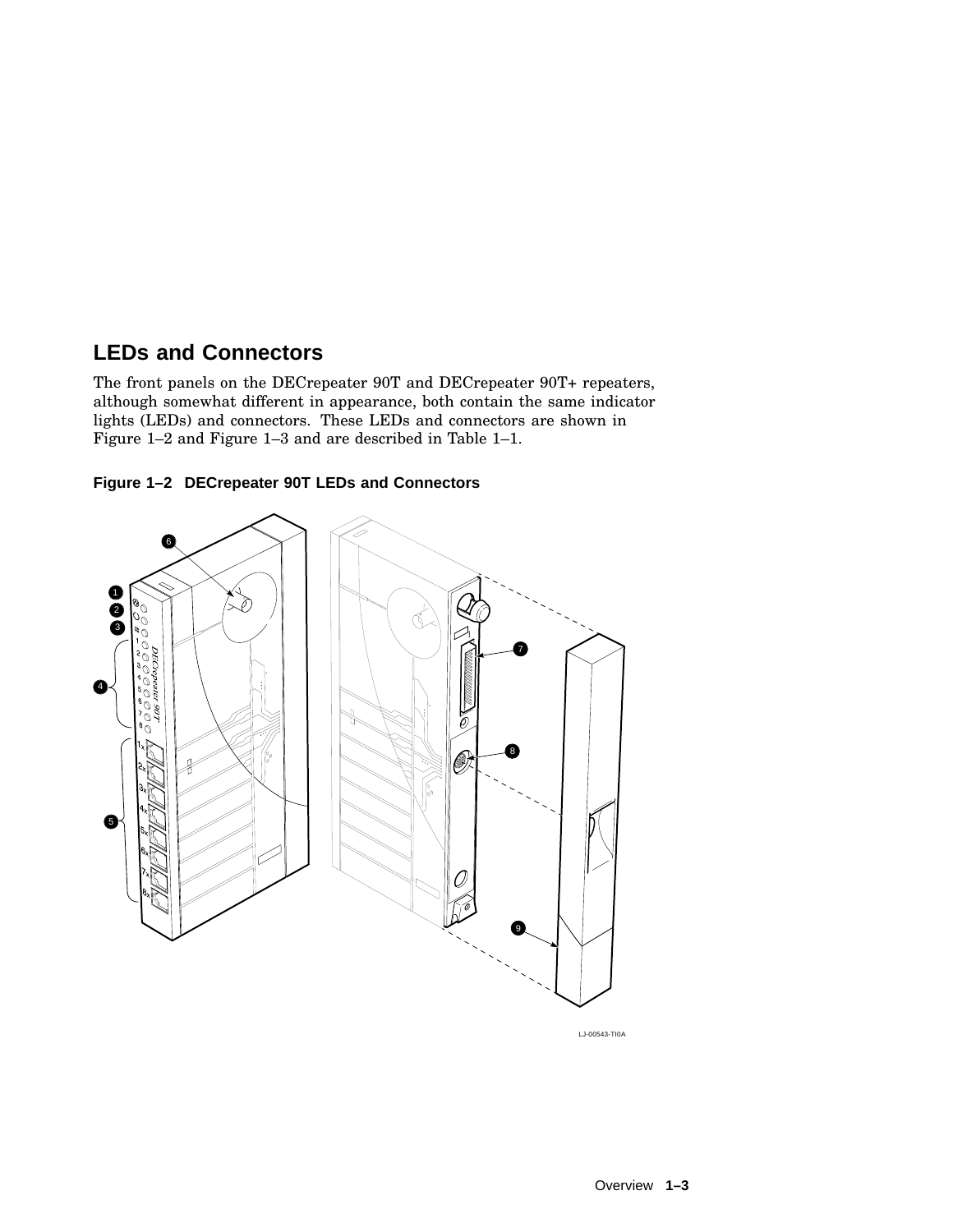### **LEDs and Connectors**

The front panels on the DECrepeater 90T and DECrepeater 90T+ repeaters, although somewhat different in appearance, both contain the same indicator lights (LEDs) and connectors. These LEDs and connectors are shown in Figure 1–2 and Figure 1–3 and are described in Table 1–1.





LJ-00543-TI0A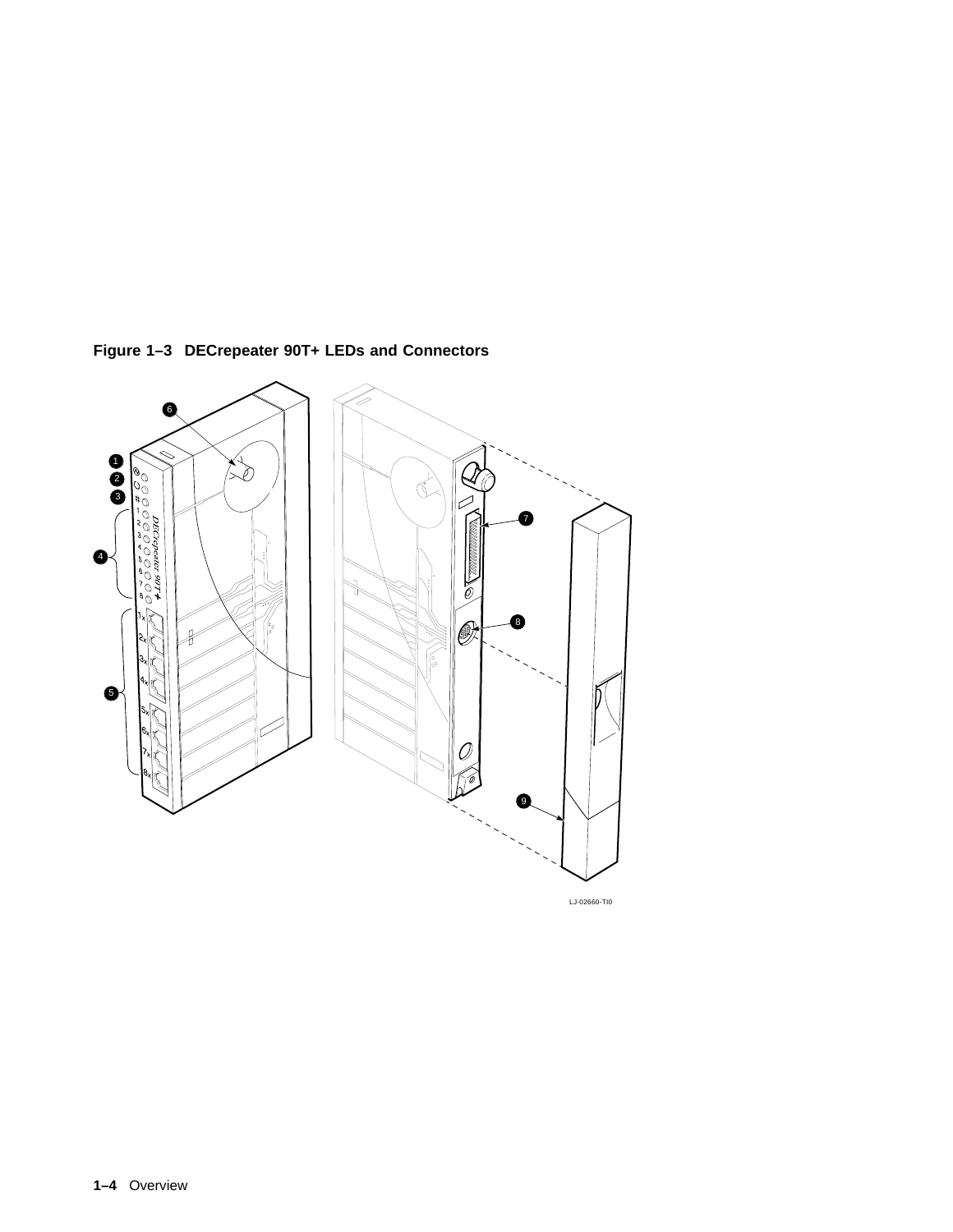

**Figure 1–3 DECrepeater 90T+ LEDs and Connectors**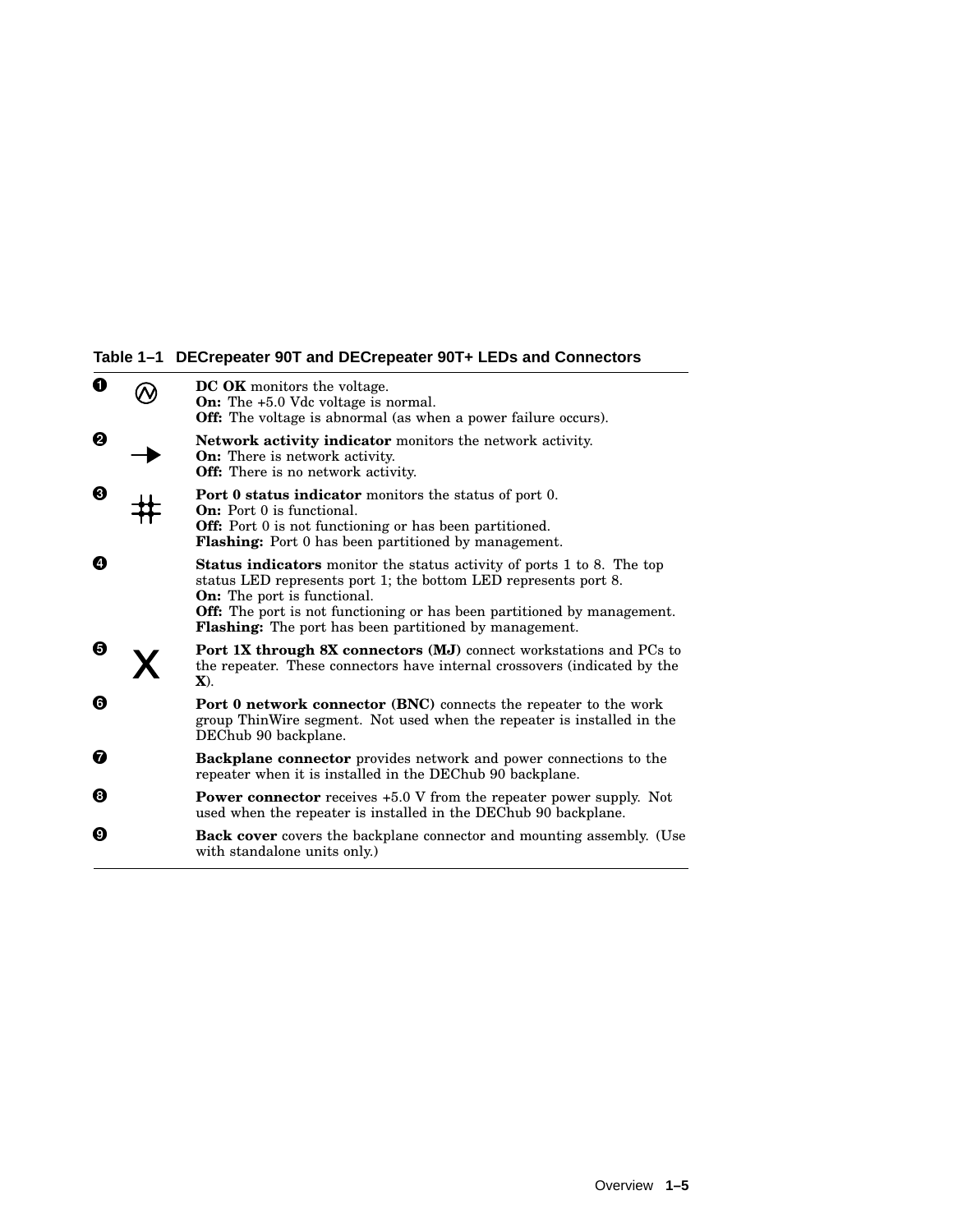### **Table 1–1 DECrepeater 90T and DECrepeater 90T+ LEDs and Connectors**

| 0 | <b>DC OK</b> monitors the voltage.<br><b>On:</b> The +5.0 Vdc voltage is normal.<br><b>Off:</b> The voltage is abnormal (as when a power failure occurs).                                                                                                                                                                          |
|---|------------------------------------------------------------------------------------------------------------------------------------------------------------------------------------------------------------------------------------------------------------------------------------------------------------------------------------|
| A | <b>Network activity indicator</b> monitors the network activity.<br><b>On:</b> There is network activity.<br><b>Off:</b> There is no network activity.                                                                                                                                                                             |
| ❸ | <b>Port 0 status indicator</b> monitors the status of port 0.<br><b>On:</b> Port 0 is functional.<br><b>Off:</b> Port 0 is not functioning or has been partitioned.<br><b>Flashing:</b> Port 0 has been partitioned by management.                                                                                                 |
| Ø | <b>Status indicators</b> monitor the status activity of ports 1 to 8. The top<br>status LED represents port 1; the bottom LED represents port 8.<br><b>On:</b> The port is functional.<br>Off: The port is not functioning or has been partitioned by management.<br><b>Flashing:</b> The port has been partitioned by management. |
| 6 | <b>Port 1X through 8X connectors (MJ)</b> connect workstations and PCs to<br>the repeater. These connectors have internal crossovers (indicated by the<br>X).                                                                                                                                                                      |
| 0 | <b>Port 0 network connector (BNC)</b> connects the repeater to the work<br>group ThinWire segment. Not used when the repeater is installed in the<br>DEChub 90 backplane.                                                                                                                                                          |
| ❼ | <b>Backplane connector</b> provides network and power connections to the<br>repeater when it is installed in the DEChub 90 backplane.                                                                                                                                                                                              |
| ❸ | <b>Power connector</b> receives +5.0 V from the repeater power supply. Not<br>used when the repeater is installed in the DEChub 90 backplane.                                                                                                                                                                                      |
| ø | Back cover covers the backplane connector and mounting assembly. (Use<br>with standalone units only.)                                                                                                                                                                                                                              |
|   |                                                                                                                                                                                                                                                                                                                                    |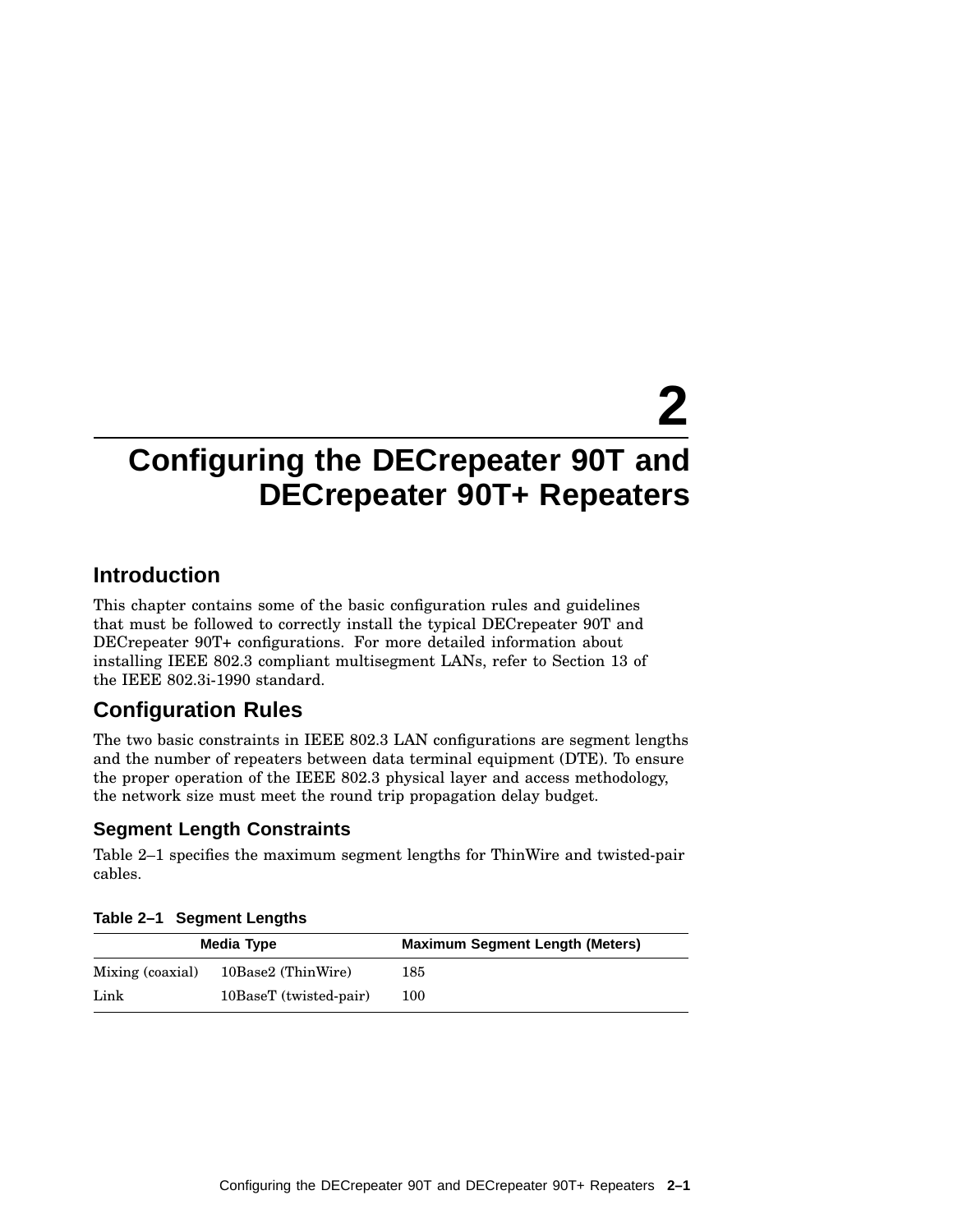# **2**

### **Configuring the DECrepeater 90T and DECrepeater 90T+ Repeaters**

### **Introduction**

This chapter contains some of the basic configuration rules and guidelines that must be followed to correctly install the typical DECrepeater 90T and DECrepeater 90T+ configurations. For more detailed information about installing IEEE 802.3 compliant multisegment LANs, refer to Section 13 of the IEEE 802.3i-1990 standard.

### **Configuration Rules**

The two basic constraints in IEEE 802.3 LAN configurations are segment lengths and the number of repeaters between data terminal equipment (DTE). To ensure the proper operation of the IEEE 802.3 physical layer and access methodology, the network size must meet the round trip propagation delay budget.

#### **Segment Length Constraints**

Table 2–1 specifies the maximum segment lengths for ThinWire and twisted-pair cables.

| Media Type       |                        | <b>Maximum Segment Length (Meters)</b> |  |
|------------------|------------------------|----------------------------------------|--|
| Mixing (coaxial) | 10Base2 (ThinWire)     | 185                                    |  |
| Link             | 10BaseT (twisted-pair) | 100                                    |  |

#### **Table 2–1 Segment Lengths**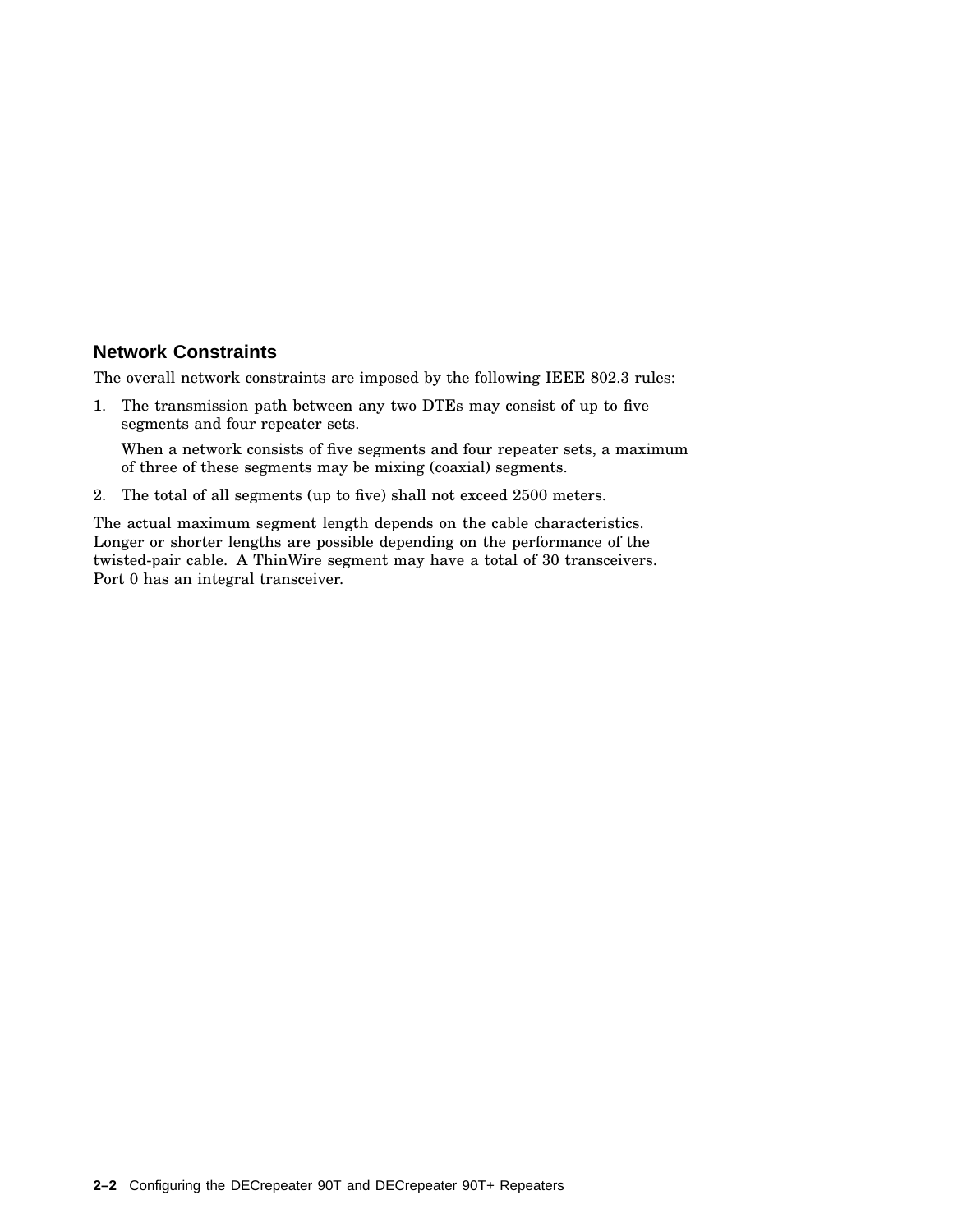#### **Network Constraints**

The overall network constraints are imposed by the following IEEE 802.3 rules:

1. The transmission path between any two DTEs may consist of up to five segments and four repeater sets.

When a network consists of five segments and four repeater sets, a maximum of three of these segments may be mixing (coaxial) segments.

2. The total of all segments (up to five) shall not exceed 2500 meters.

The actual maximum segment length depends on the cable characteristics. Longer or shorter lengths are possible depending on the performance of the twisted-pair cable. A ThinWire segment may have a total of 30 transceivers. Port 0 has an integral transceiver.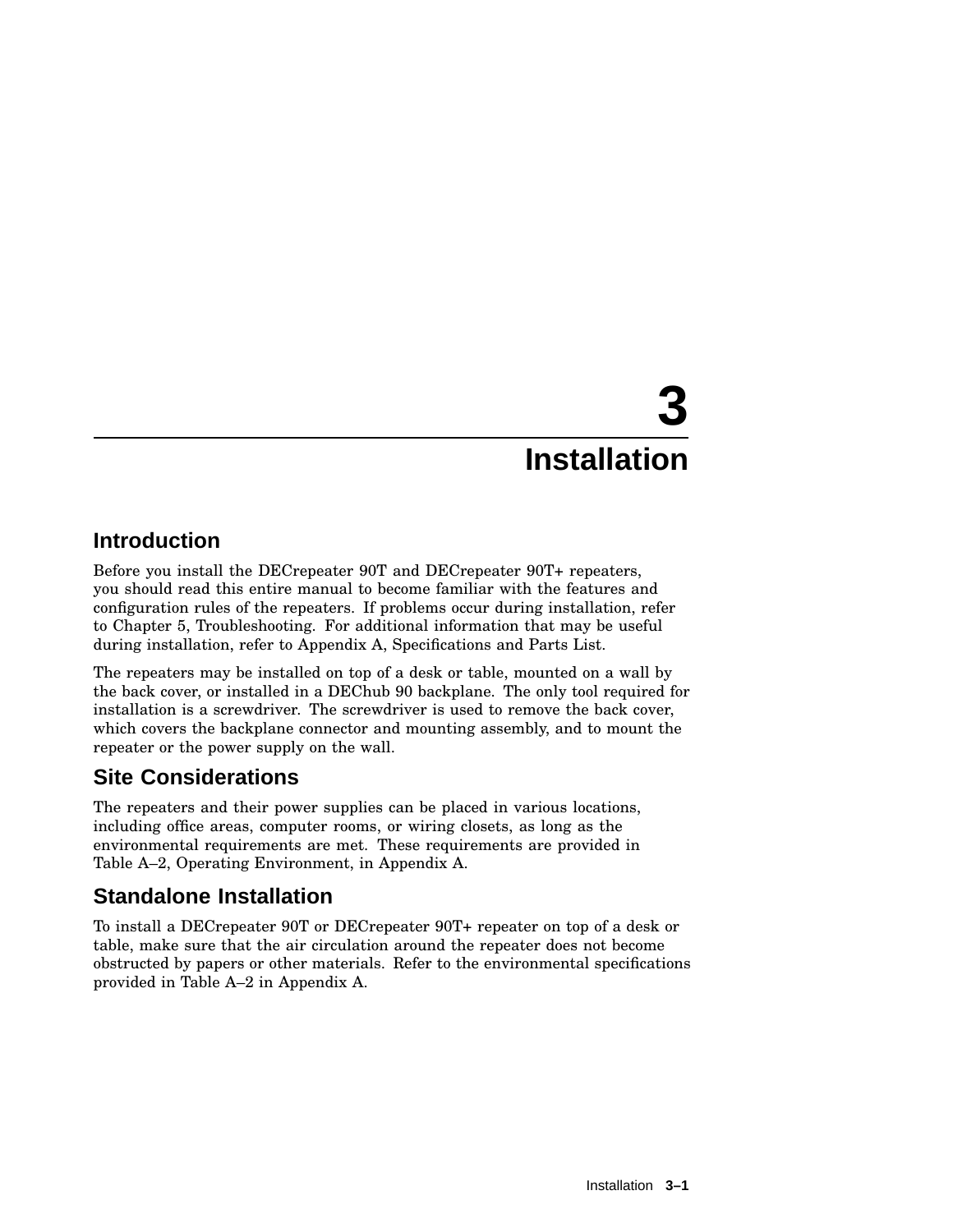# **3 Installation**

### **Introduction**

Before you install the DECrepeater 90T and DECrepeater 90T+ repeaters, you should read this entire manual to become familiar with the features and configuration rules of the repeaters. If problems occur during installation, refer to Chapter 5, Troubleshooting. For additional information that may be useful during installation, refer to Appendix A, Specifications and Parts List.

The repeaters may be installed on top of a desk or table, mounted on a wall by the back cover, or installed in a DEChub 90 backplane. The only tool required for installation is a screwdriver. The screwdriver is used to remove the back cover, which covers the backplane connector and mounting assembly, and to mount the repeater or the power supply on the wall.

### **Site Considerations**

The repeaters and their power supplies can be placed in various locations, including office areas, computer rooms, or wiring closets, as long as the environmental requirements are met. These requirements are provided in Table A–2, Operating Environment, in Appendix A.

### **Standalone Installation**

To install a DECrepeater 90T or DECrepeater 90T+ repeater on top of a desk or table, make sure that the air circulation around the repeater does not become obstructed by papers or other materials. Refer to the environmental specifications provided in Table A–2 in Appendix A.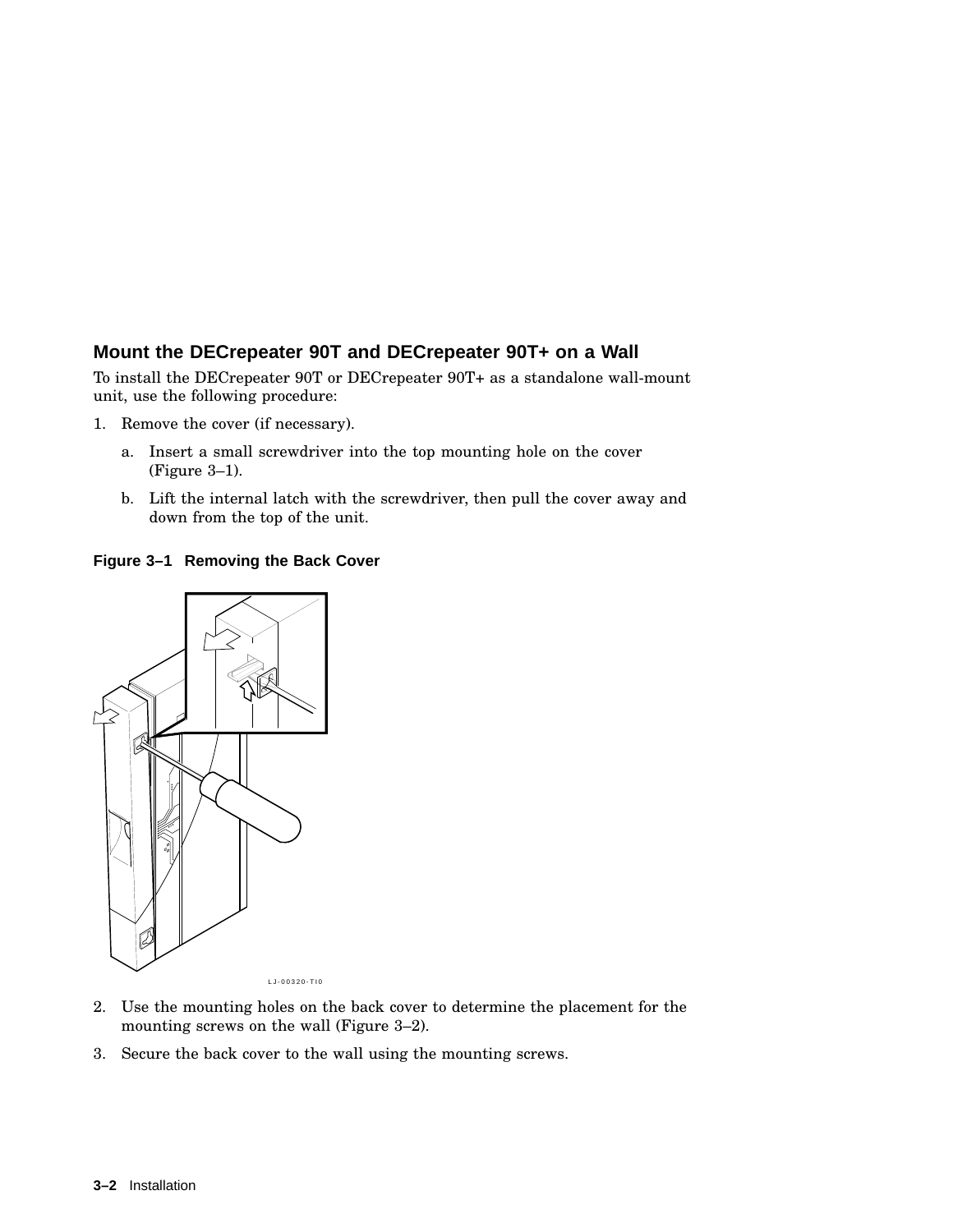#### **Mount the DECrepeater 90T and DECrepeater 90T+ on a Wall**

To install the DECrepeater 90T or DECrepeater 90T+ as a standalone wall-mount unit, use the following procedure:

- 1. Remove the cover (if necessary).
	- a. Insert a small screwdriver into the top mounting hole on the cover (Figure 3–1).
	- b. Lift the internal latch with the screwdriver, then pull the cover away and down from the top of the unit.

**Figure 3–1 Removing the Back Cover**



LJ-00320-TI0

- 2. Use the mounting holes on the back cover to determine the placement for the mounting screws on the wall (Figure 3–2).
- 3. Secure the back cover to the wall using the mounting screws.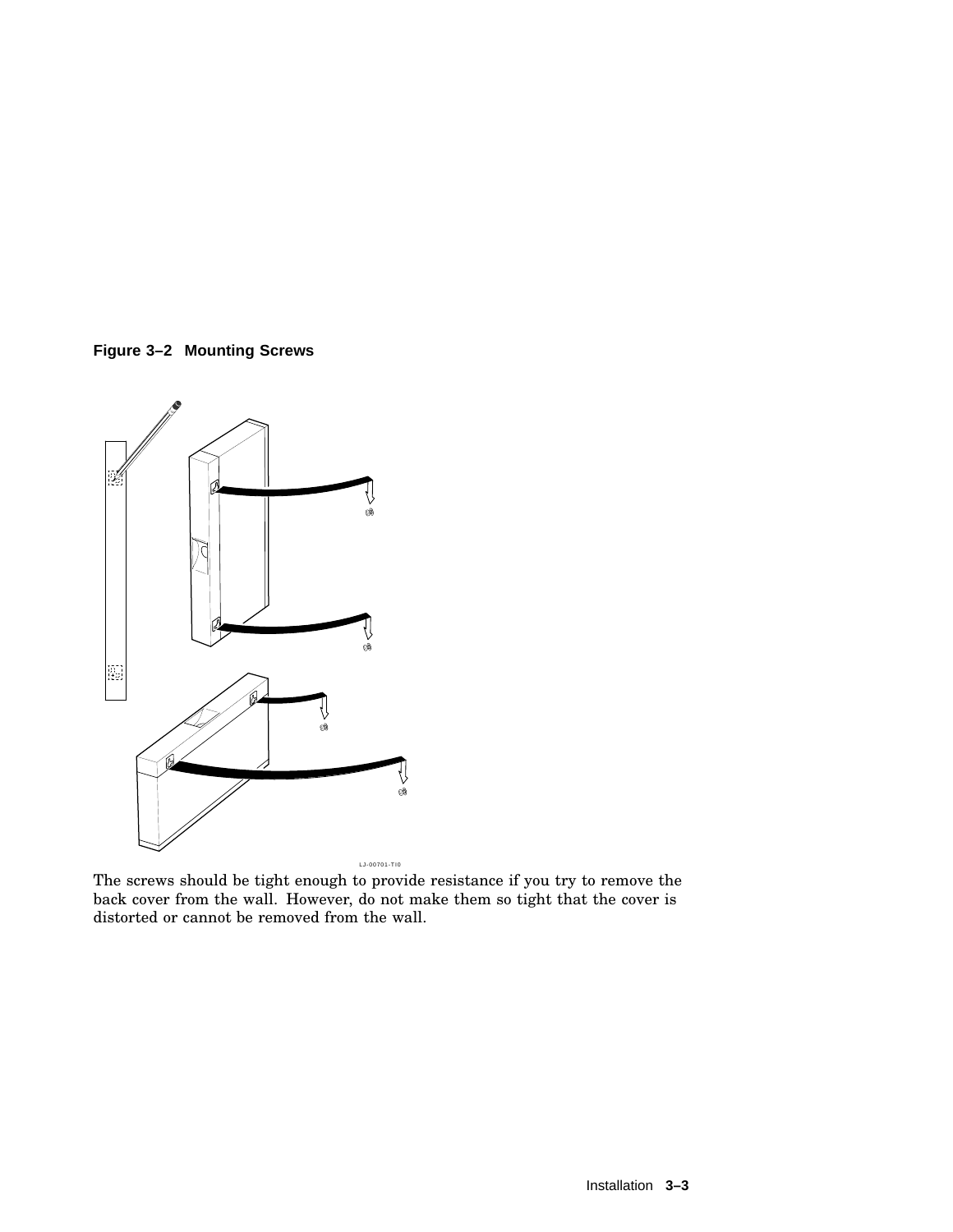



The screws should be tight enough to provide resistance if you try to remove the back cover from the wall. However, do not make them so tight that the cover is distorted or cannot be removed from the wall.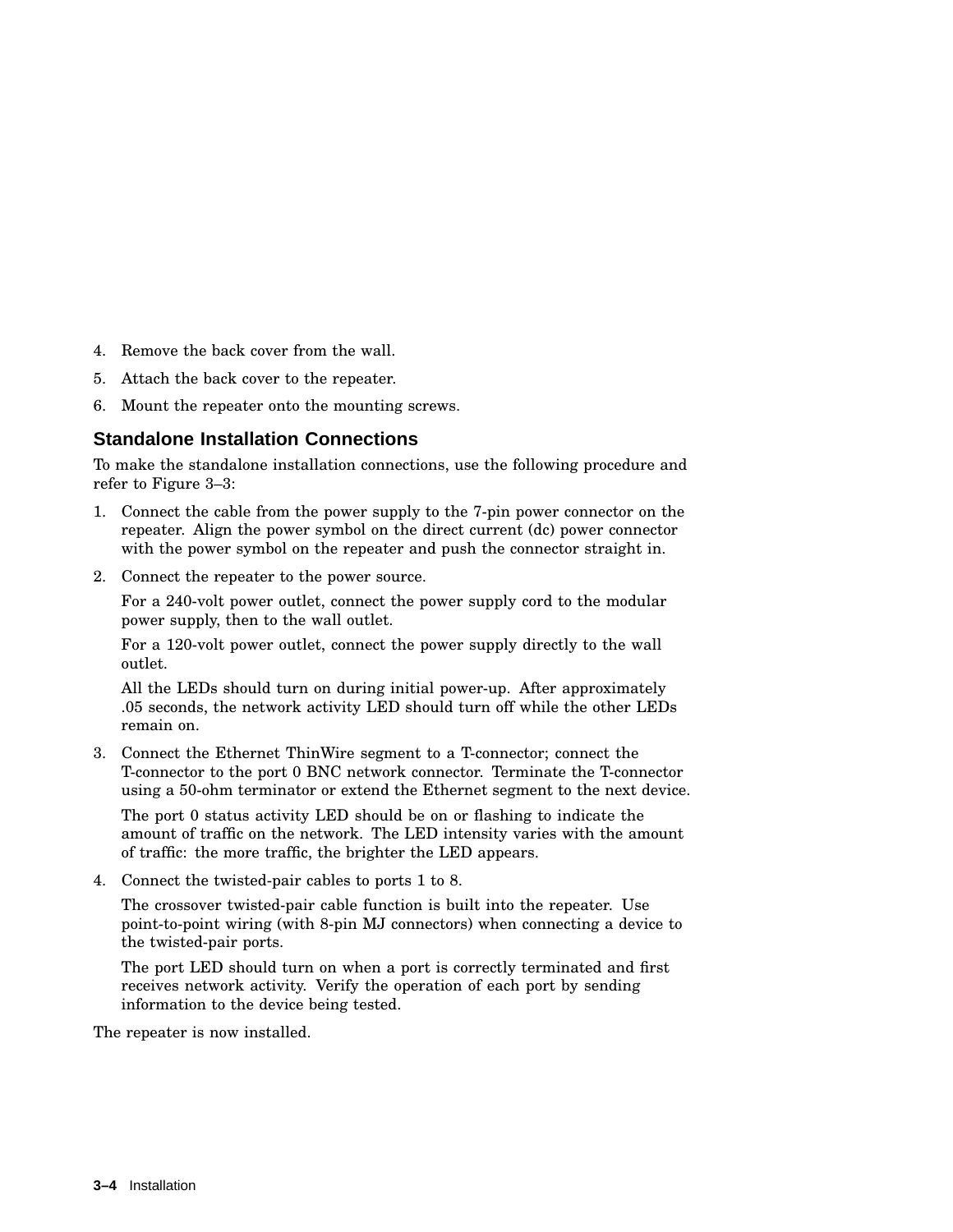- 4. Remove the back cover from the wall.
- 5. Attach the back cover to the repeater.
- 6. Mount the repeater onto the mounting screws.

#### **Standalone Installation Connections**

To make the standalone installation connections, use the following procedure and refer to Figure 3–3:

- 1. Connect the cable from the power supply to the 7-pin power connector on the repeater. Align the power symbol on the direct current (dc) power connector with the power symbol on the repeater and push the connector straight in.
- 2. Connect the repeater to the power source.

For a 240-volt power outlet, connect the power supply cord to the modular power supply, then to the wall outlet.

For a 120-volt power outlet, connect the power supply directly to the wall outlet.

All the LEDs should turn on during initial power-up. After approximately .05 seconds, the network activity LED should turn off while the other LEDs remain on.

3. Connect the Ethernet ThinWire segment to a T-connector; connect the T-connector to the port 0 BNC network connector. Terminate the T-connector using a 50-ohm terminator or extend the Ethernet segment to the next device.

The port 0 status activity LED should be on or flashing to indicate the amount of traffic on the network. The LED intensity varies with the amount of traffic: the more traffic, the brighter the LED appears.

4. Connect the twisted-pair cables to ports 1 to 8.

The crossover twisted-pair cable function is built into the repeater. Use point-to-point wiring (with 8-pin MJ connectors) when connecting a device to the twisted-pair ports.

The port LED should turn on when a port is correctly terminated and first receives network activity. Verify the operation of each port by sending information to the device being tested.

The repeater is now installed.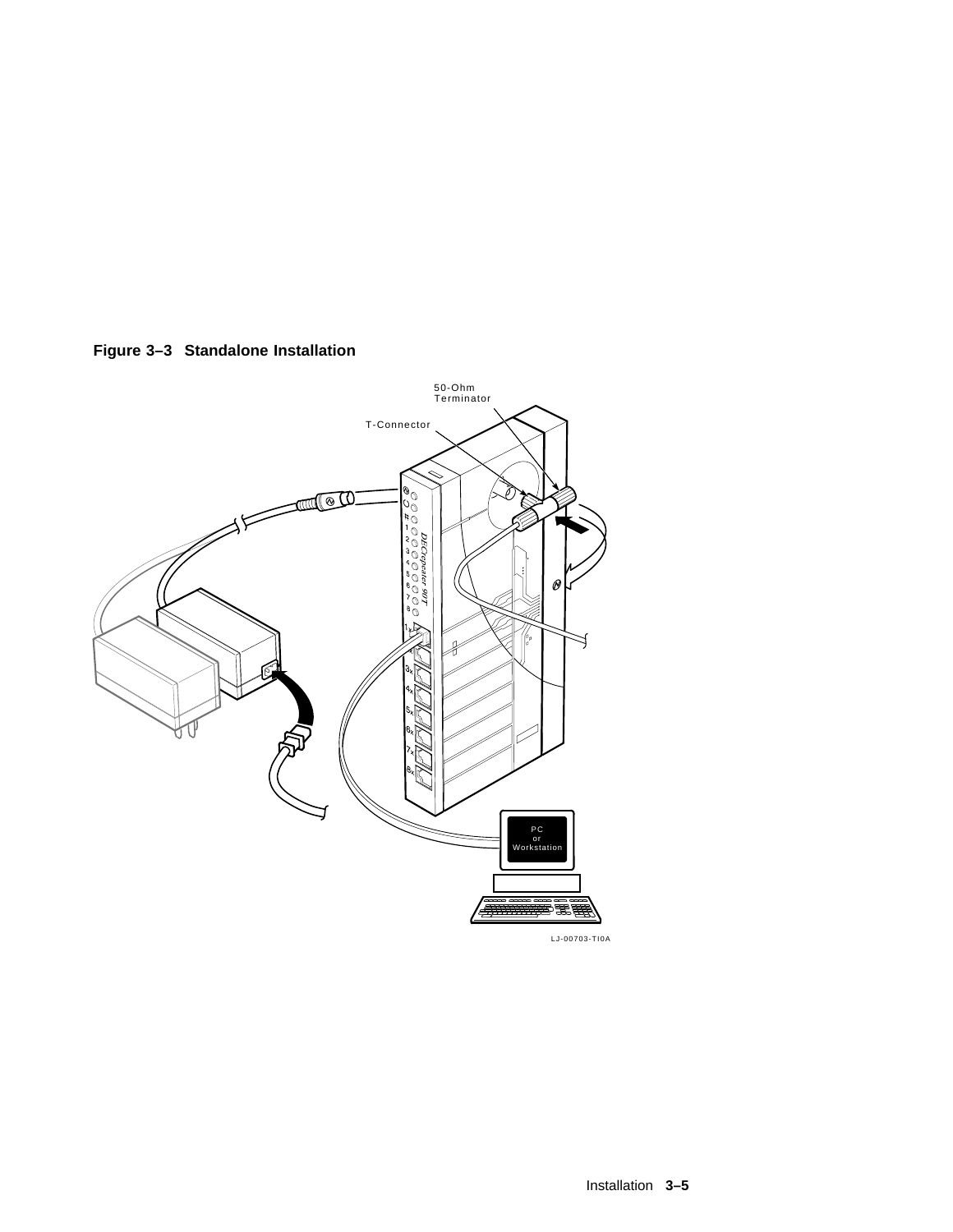**Figure 3–3 Standalone Installation**

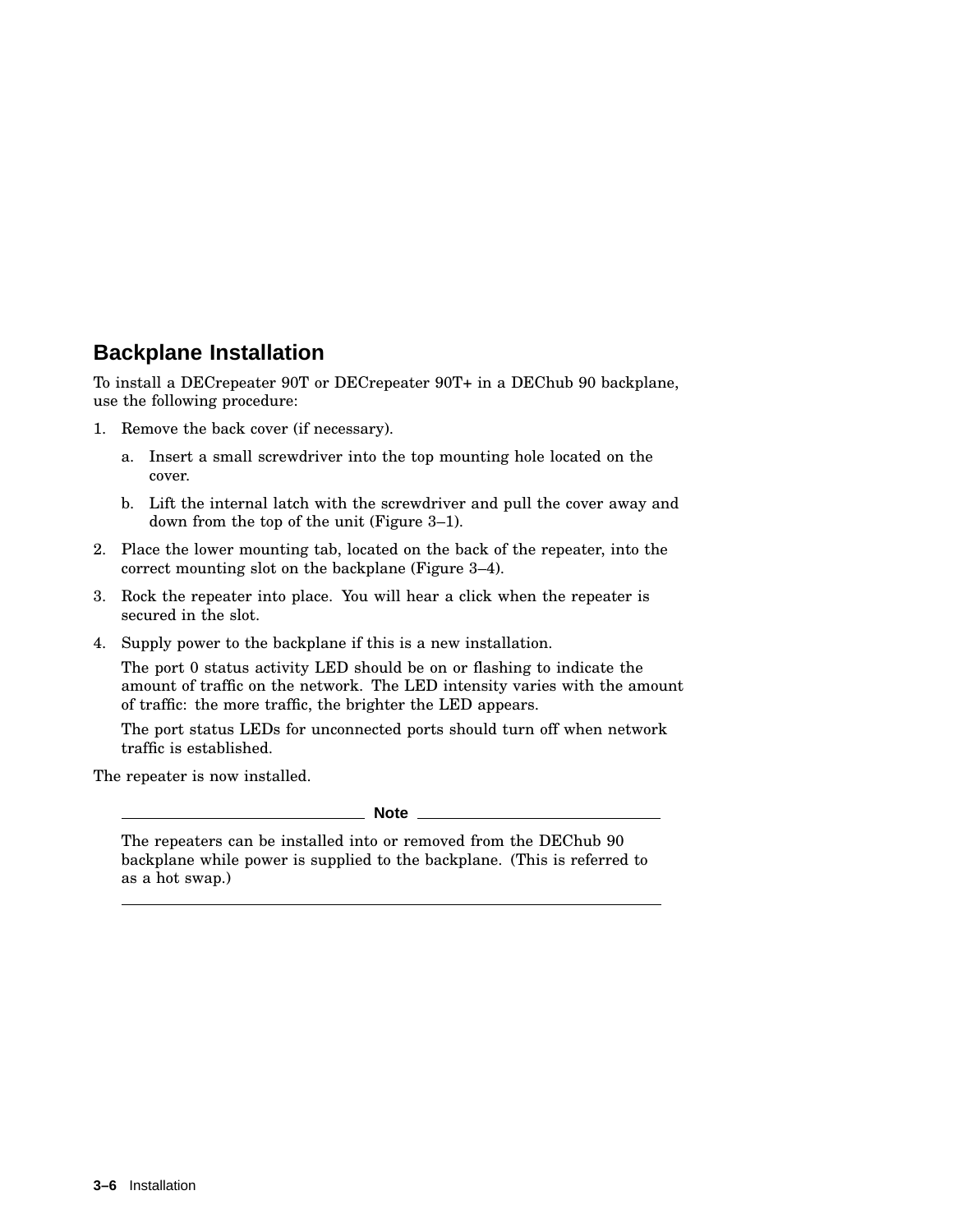### **Backplane Installation**

To install a DECrepeater 90T or DECrepeater 90T+ in a DEChub 90 backplane, use the following procedure:

- 1. Remove the back cover (if necessary).
	- a. Insert a small screwdriver into the top mounting hole located on the cover.
	- b. Lift the internal latch with the screwdriver and pull the cover away and down from the top of the unit (Figure 3–1).
- 2. Place the lower mounting tab, located on the back of the repeater, into the correct mounting slot on the backplane (Figure 3–4).
- 3. Rock the repeater into place. You will hear a click when the repeater is secured in the slot.
- 4. Supply power to the backplane if this is a new installation.

The port 0 status activity LED should be on or flashing to indicate the amount of traffic on the network. The LED intensity varies with the amount of traffic: the more traffic, the brighter the LED appears.

The port status LEDs for unconnected ports should turn off when network traffic is established.

The repeater is now installed.

**Note**

The repeaters can be installed into or removed from the DEChub 90 backplane while power is supplied to the backplane. (This is referred to as a hot swap.)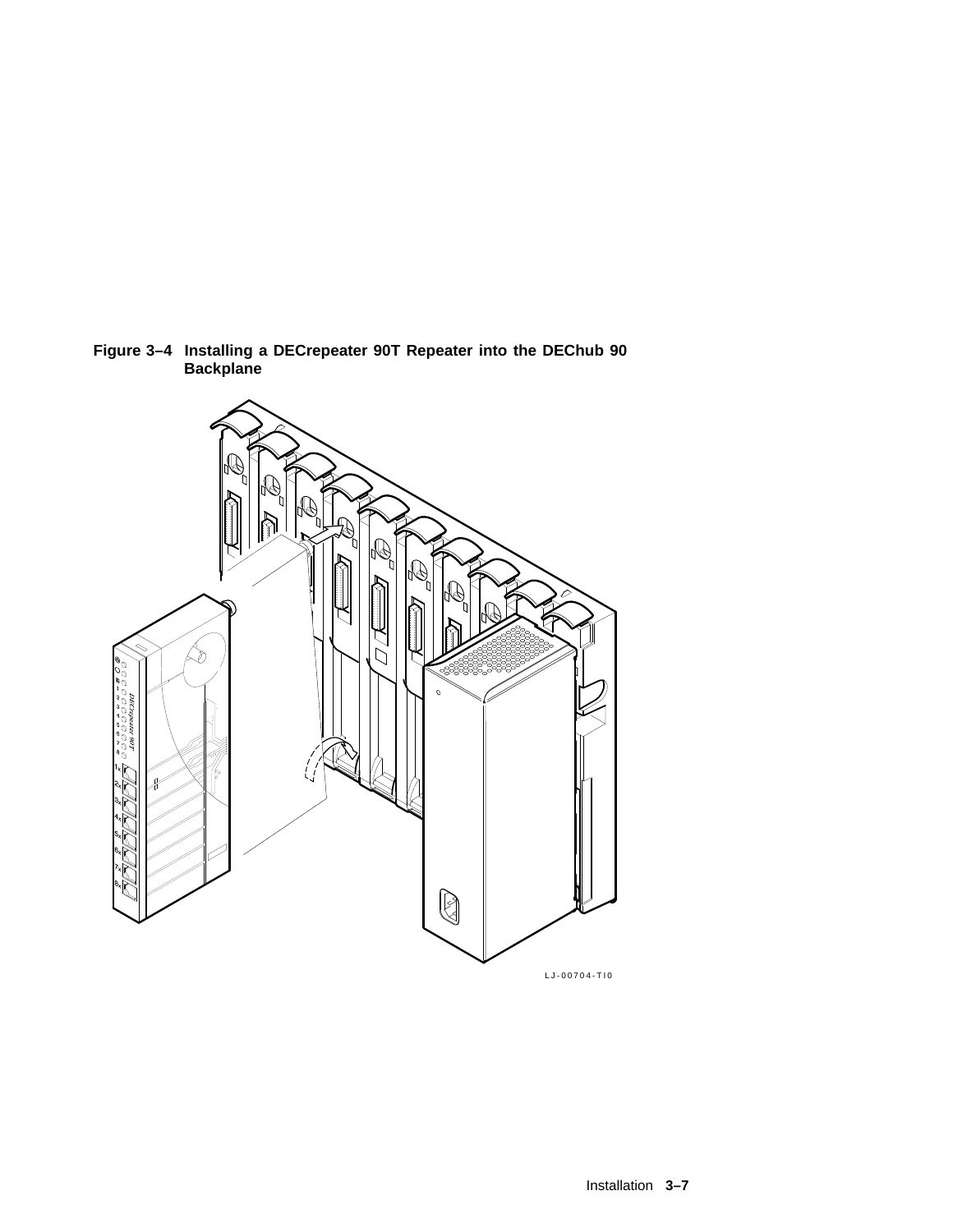

**Figure 3–4 Installing a DECrepeater 90T Repeater into the DEChub 90 Backplane**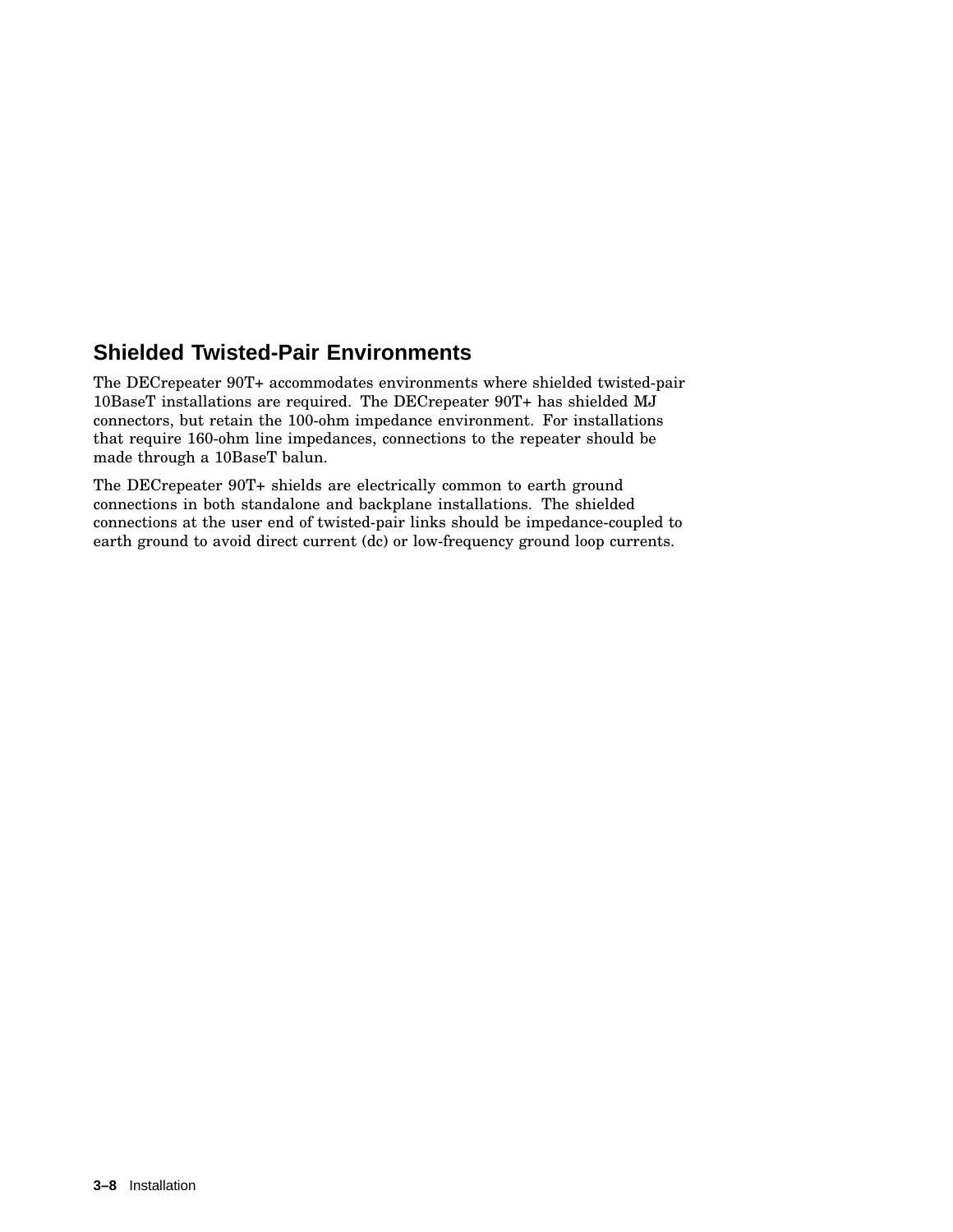### **Shielded Twisted-Pair Environments**

The DECrepeater 90T+ accommodates environments where shielded twisted-pair 10BaseT installations are required. The DECrepeater 90T+ has shielded MJ connectors, but retain the 100-ohm impedance environment. For installations that require 160-ohm line impedances, connections to the repeater should be made through a 10BaseT balun.

The DECrepeater 90T+ shields are electrically common to earth ground connections in both standalone and backplane installations. The shielded connections at the user end of twisted-pair links should be impedance-coupled to earth ground to avoid direct current (dc) or low-frequency ground loop currents.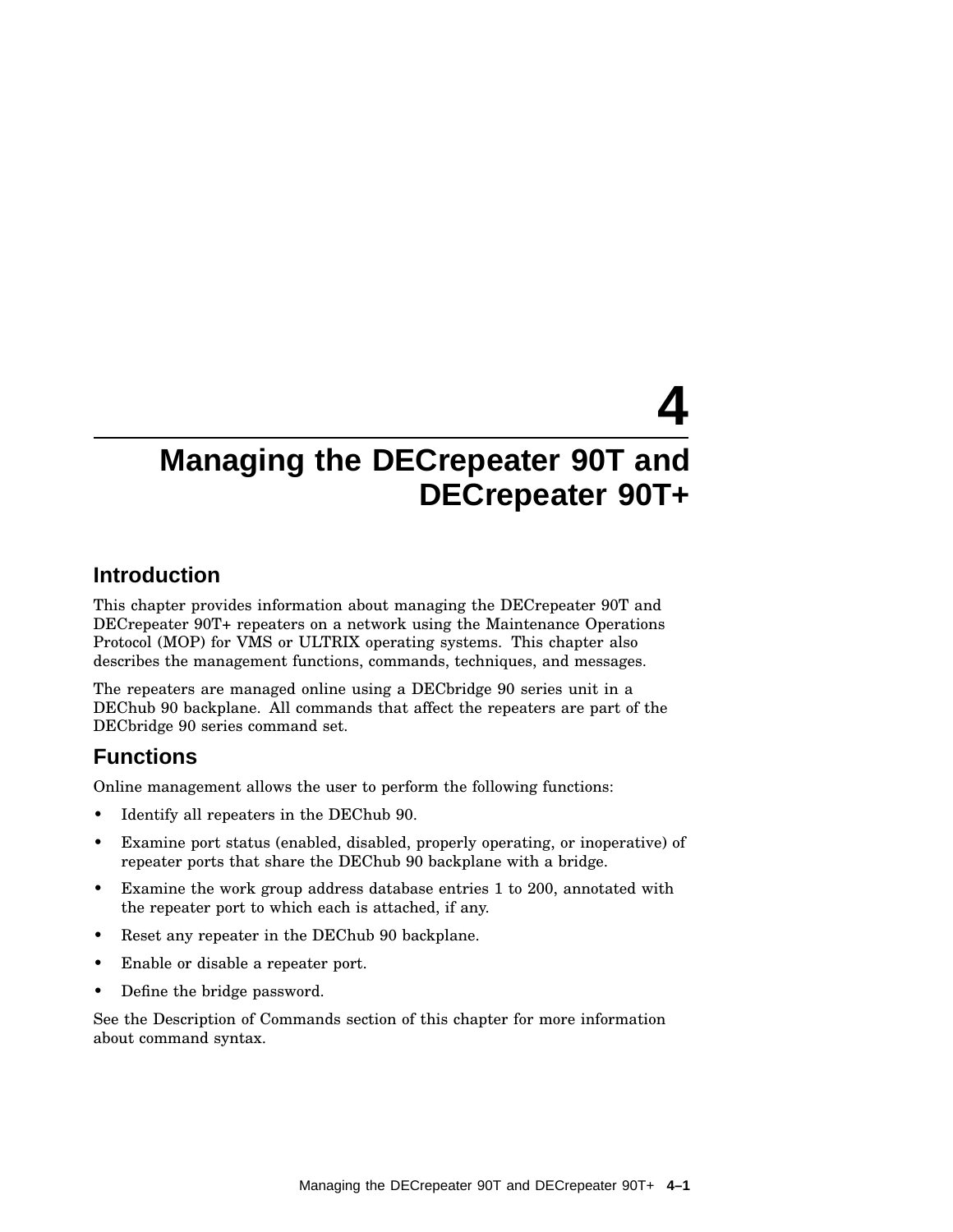# **4**

### **Managing the DECrepeater 90T and DECrepeater 90T+**

### **Introduction**

This chapter provides information about managing the DECrepeater 90T and DECrepeater 90T+ repeaters on a network using the Maintenance Operations Protocol (MOP) for VMS or ULTRIX operating systems. This chapter also describes the management functions, commands, techniques, and messages.

The repeaters are managed online using a DECbridge 90 series unit in a DEChub 90 backplane. All commands that affect the repeaters are part of the DECbridge 90 series command set.

### **Functions**

Online management allows the user to perform the following functions:

- Identify all repeaters in the DEChub 90.
- Examine port status (enabled, disabled, properly operating, or inoperative) of repeater ports that share the DEChub 90 backplane with a bridge.
- Examine the work group address database entries 1 to 200, annotated with the repeater port to which each is attached, if any.
- Reset any repeater in the DEChub 90 backplane.
- Enable or disable a repeater port.
- Define the bridge password.

See the Description of Commands section of this chapter for more information about command syntax.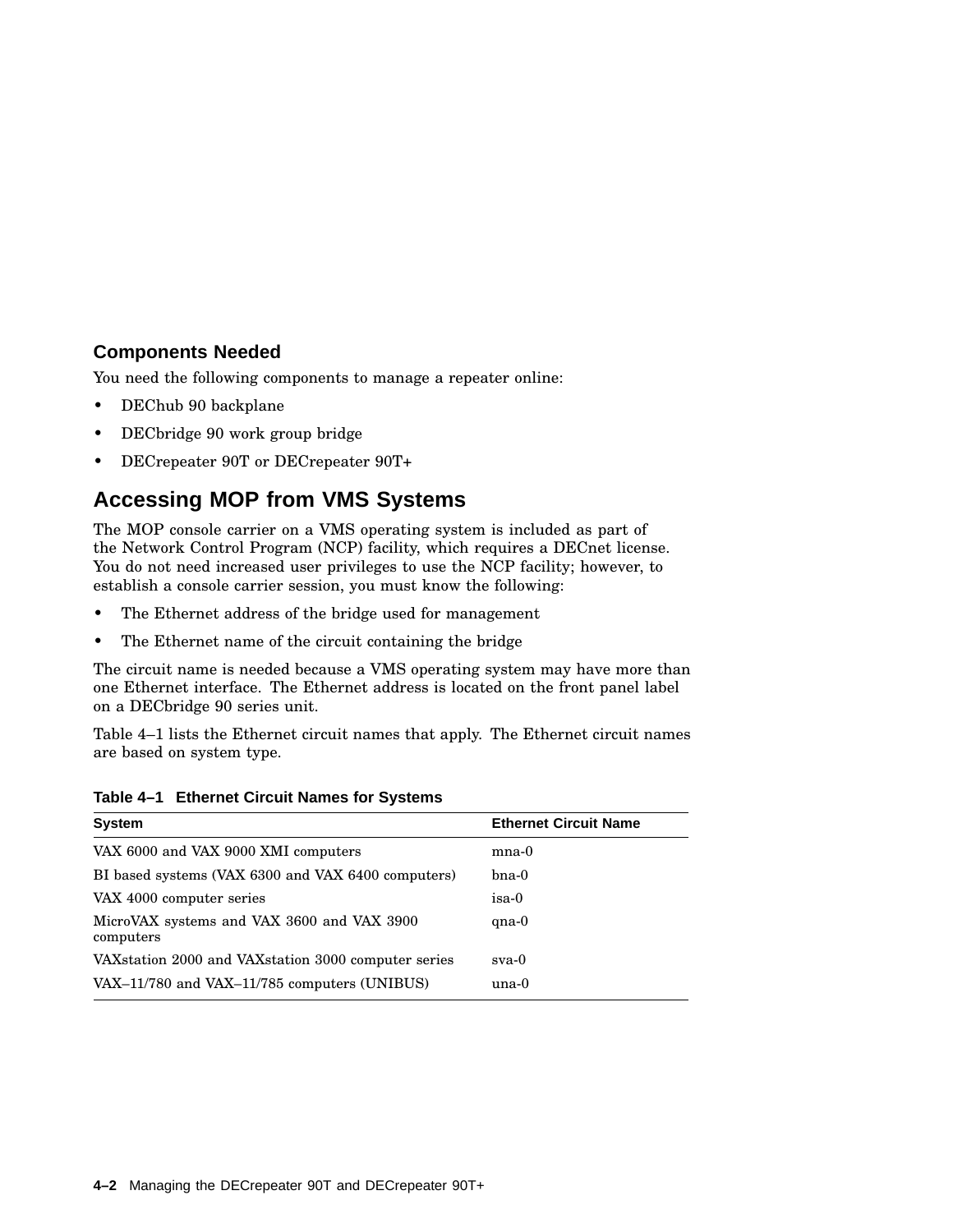#### **Components Needed**

You need the following components to manage a repeater online:

- DEChub 90 backplane
- DECbridge 90 work group bridge
- DECrepeater 90T or DECrepeater 90T+

### **Accessing MOP from VMS Systems**

The MOP console carrier on a VMS operating system is included as part of the Network Control Program (NCP) facility, which requires a DECnet license. You do not need increased user privileges to use the NCP facility; however, to establish a console carrier session, you must know the following:

- The Ethernet address of the bridge used for management
- The Ethernet name of the circuit containing the bridge

The circuit name is needed because a VMS operating system may have more than one Ethernet interface. The Ethernet address is located on the front panel label on a DECbridge 90 series unit.

Table 4–1 lists the Ethernet circuit names that apply. The Ethernet circuit names are based on system type.

**Table 4–1 Ethernet Circuit Names for Systems**

| <b>System</b>                                           | <b>Ethernet Circuit Name</b> |
|---------------------------------------------------------|------------------------------|
| VAX 6000 and VAX 9000 XMI computers                     | $_{\rm mna-0}$               |
| BI based systems (VAX 6300 and VAX 6400 computers)      | $b$ na-0                     |
| VAX 4000 computer series                                | isa-0                        |
| MicroVAX systems and VAX 3600 and VAX 3900<br>computers | $qna-0$                      |
| VAX station 2000 and VAX station 3000 computer series   | sva-0                        |
| $VAX-11/780$ and $VAX-11/785$ computers (UNIBUS)        | $una-0$                      |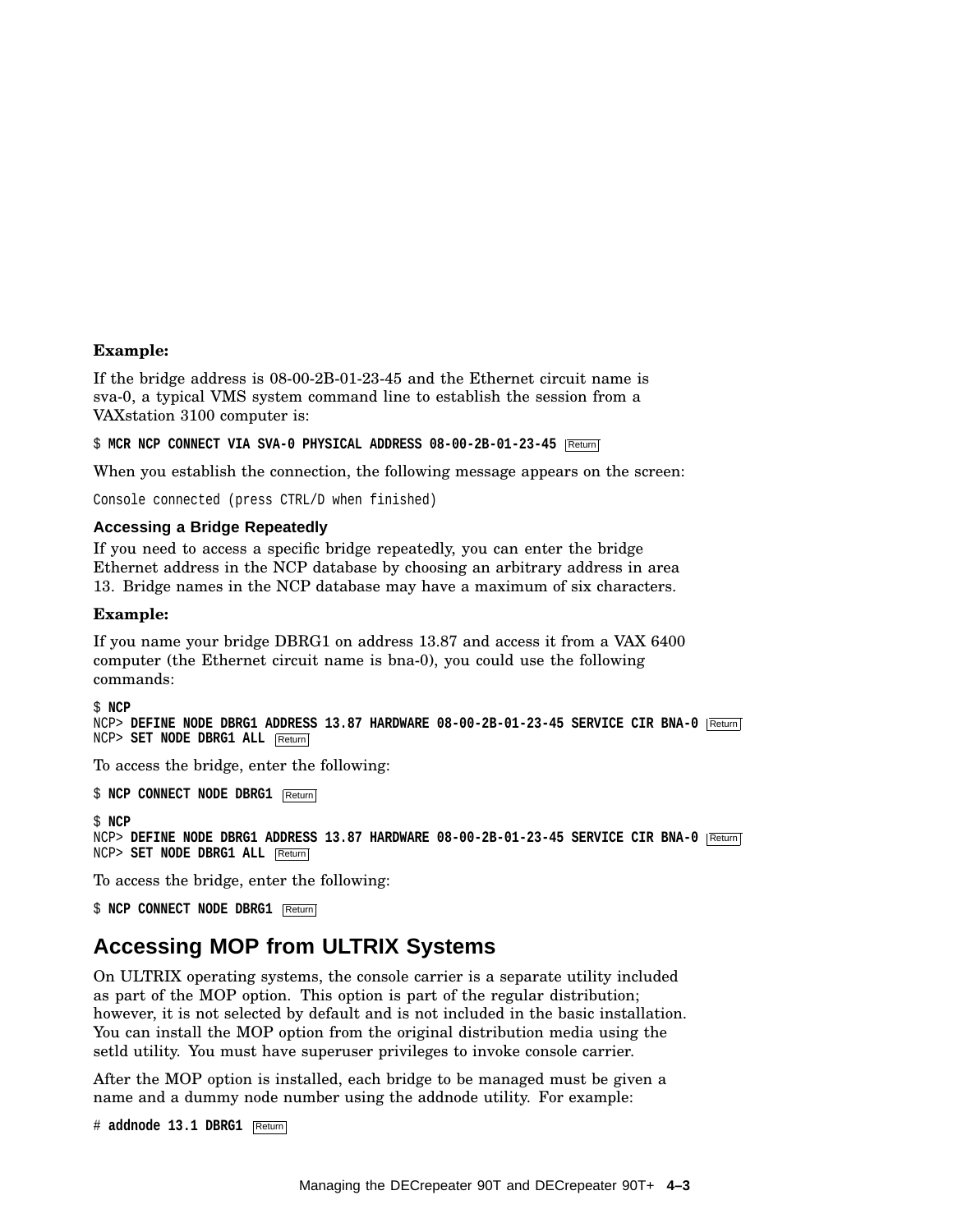#### **Example:**

If the bridge address is 08-00-2B-01-23-45 and the Ethernet circuit name is sva-0, a typical VMS system command line to establish the session from a VAXstation 3100 computer is:

\$ MCR NCP CONNECT VIA SVA-0 PHYSICAL ADDRESS 08-00-2B-01-23-45 Return

When you establish the connection, the following message appears on the screen:

Console connected (press CTRL/D when finished)

#### **Accessing a Bridge Repeatedly**

If you need to access a specific bridge repeatedly, you can enter the bridge Ethernet address in the NCP database by choosing an arbitrary address in area 13. Bridge names in the NCP database may have a maximum of six characters.

#### **Example:**

If you name your bridge DBRG1 on address 13.87 and access it from a VAX 6400 computer (the Ethernet circuit name is bna-0), you could use the following commands:

```
$ NCP
NCP> DEFINE NODE DBRG1 ADDRESS 13.87 HARDWARE 08-00-2B-01-23-45 SERVICE CIR BNA-0 Return
NCP> SET NODE DBRG1 ALL Return
```
To access the bridge, enter the following:

\$ **NCP CONNECT NODE DBRG1** Return

\$ **NCP** NCP> **DEFINE NODE DBRG1 ADDRESS 13.87 HARDWARE 08-00-2B-01-23-45 SERVICE CIR BNA-0** Return NCP> **SET NODE DBRG1 ALL** Return

To access the bridge, enter the following:

\$ **NCP CONNECT NODE DBRG1** Return

### **Accessing MOP from ULTRIX Systems**

On ULTRIX operating systems, the console carrier is a separate utility included as part of the MOP option. This option is part of the regular distribution; however, it is not selected by default and is not included in the basic installation. You can install the MOP option from the original distribution media using the setld utility. You must have superuser privileges to invoke console carrier.

After the MOP option is installed, each bridge to be managed must be given a name and a dummy node number using the addnode utility. For example:

# **addnode 13.1 DBRG1** Return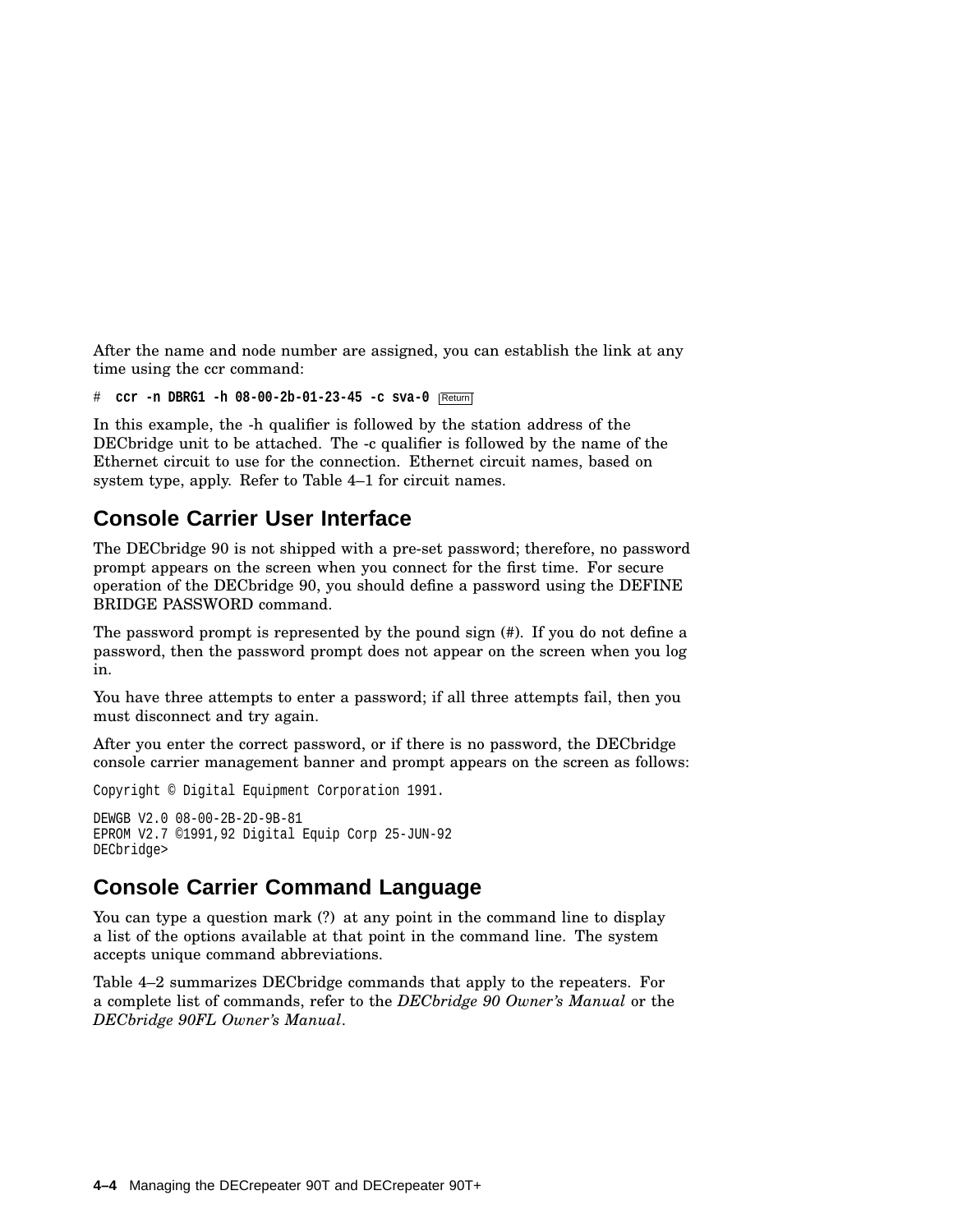After the name and node number are assigned, you can establish the link at any time using the ccr command:

# **ccr -n DBRG1 -h 08-00-2b-01-23-45 -c sva-0** Return

In this example, the -h qualifier is followed by the station address of the DECbridge unit to be attached. The -c qualifier is followed by the name of the Ethernet circuit to use for the connection. Ethernet circuit names, based on system type, apply. Refer to Table 4–1 for circuit names.

### **Console Carrier User Interface**

The DECbridge 90 is not shipped with a pre-set password; therefore, no password prompt appears on the screen when you connect for the first time. For secure operation of the DECbridge 90, you should define a password using the DEFINE BRIDGE PASSWORD command.

The password prompt is represented by the pound sign (#). If you do not define a password, then the password prompt does not appear on the screen when you log in.

You have three attempts to enter a password; if all three attempts fail, then you must disconnect and try again.

After you enter the correct password, or if there is no password, the DECbridge console carrier management banner and prompt appears on the screen as follows:

Copyright © Digital Equipment Corporation 1991.

```
DEWGB V2.0 08-00-2B-2D-9B-81
EPROM V2.7 ©1991,92 Digital Equip Corp 25-JUN-92
DECbridge>
```
### **Console Carrier Command Language**

You can type a question mark (?) at any point in the command line to display a list of the options available at that point in the command line. The system accepts unique command abbreviations.

Table 4–2 summarizes DECbridge commands that apply to the repeaters. For a complete list of commands, refer to the *DECbridge 90 Owner's Manual* or the *DECbridge 90FL Owner's Manual*.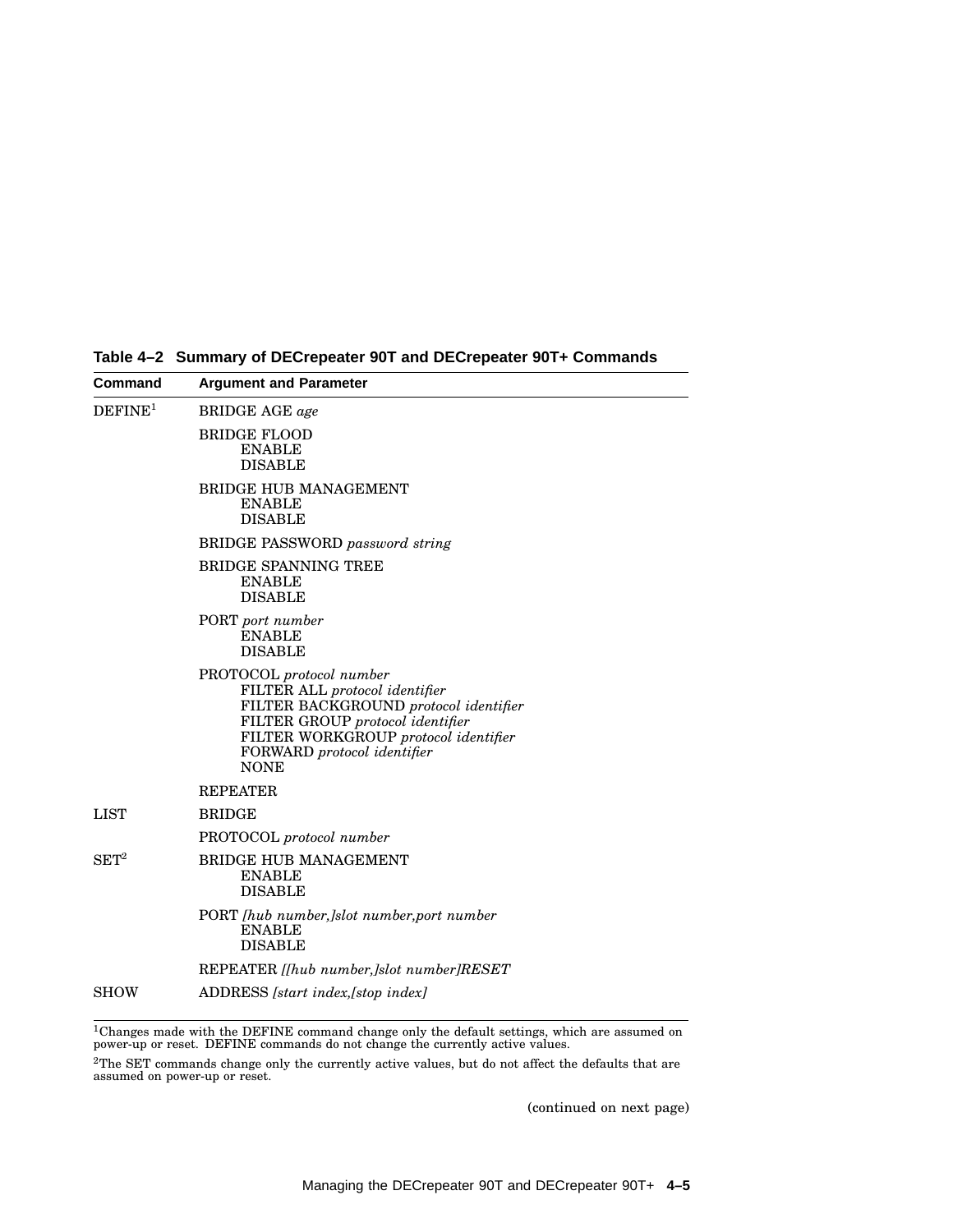| DEFINE <sup>1</sup> | <b>BRIDGE AGE</b> age                                                                                                                                                                                                         |
|---------------------|-------------------------------------------------------------------------------------------------------------------------------------------------------------------------------------------------------------------------------|
|                     |                                                                                                                                                                                                                               |
|                     | <b>BRIDGE FLOOD</b><br><b>ENABLE</b><br><b>DISABLE</b>                                                                                                                                                                        |
|                     | <b>BRIDGE HUB MANAGEMENT</b><br><b>ENABLE</b><br><b>DISABLE</b>                                                                                                                                                               |
|                     | <b>BRIDGE PASSWORD</b> password string                                                                                                                                                                                        |
|                     | BRIDGE SPANNING TREE<br><b>ENABLE</b><br><b>DISABLE</b>                                                                                                                                                                       |
|                     | PORT port number<br><b>ENABLE</b><br><b>DISABLE</b>                                                                                                                                                                           |
|                     | PROTOCOL protocol number<br>FILTER ALL protocol identifier<br>FILTER BACKGROUND protocol identifier<br>FILTER GROUP protocol identifier<br>FILTER WORKGROUP protocol identifier<br>FORWARD protocol identifier<br><b>NONE</b> |
|                     | <b>REPEATER</b>                                                                                                                                                                                                               |
| <b>LIST</b>         | <b>BRIDGE</b>                                                                                                                                                                                                                 |
|                     | PROTOCOL protocol number                                                                                                                                                                                                      |
| $\mathrm{SET}^{2}$  | <b>BRIDGE HUB MANAGEMENT</b><br><b>ENABLE</b><br><b>DISABLE</b>                                                                                                                                                               |
|                     | PORT [hub number,]slot number,port number<br><b>ENABLE</b><br><b>DISABLE</b>                                                                                                                                                  |
|                     | REPEATER [[hub number,]slot number]RESET                                                                                                                                                                                      |
| <b>SHOW</b>         | ADDRESS [start index, [stop index]                                                                                                                                                                                            |

**Table 4–2 Summary of DECrepeater 90T and DECrepeater 90T+ Commands**

 $^{1}$ Changes made with the DEFINE command change only the default settings, which are assumed on<br>power-up or reset. DEFINE commands do not change the currently active values.

 $^{2}$ The SET commands change only the currently active values, but do not affect the defaults that are assumed on power-up or reset.

(continued on next page)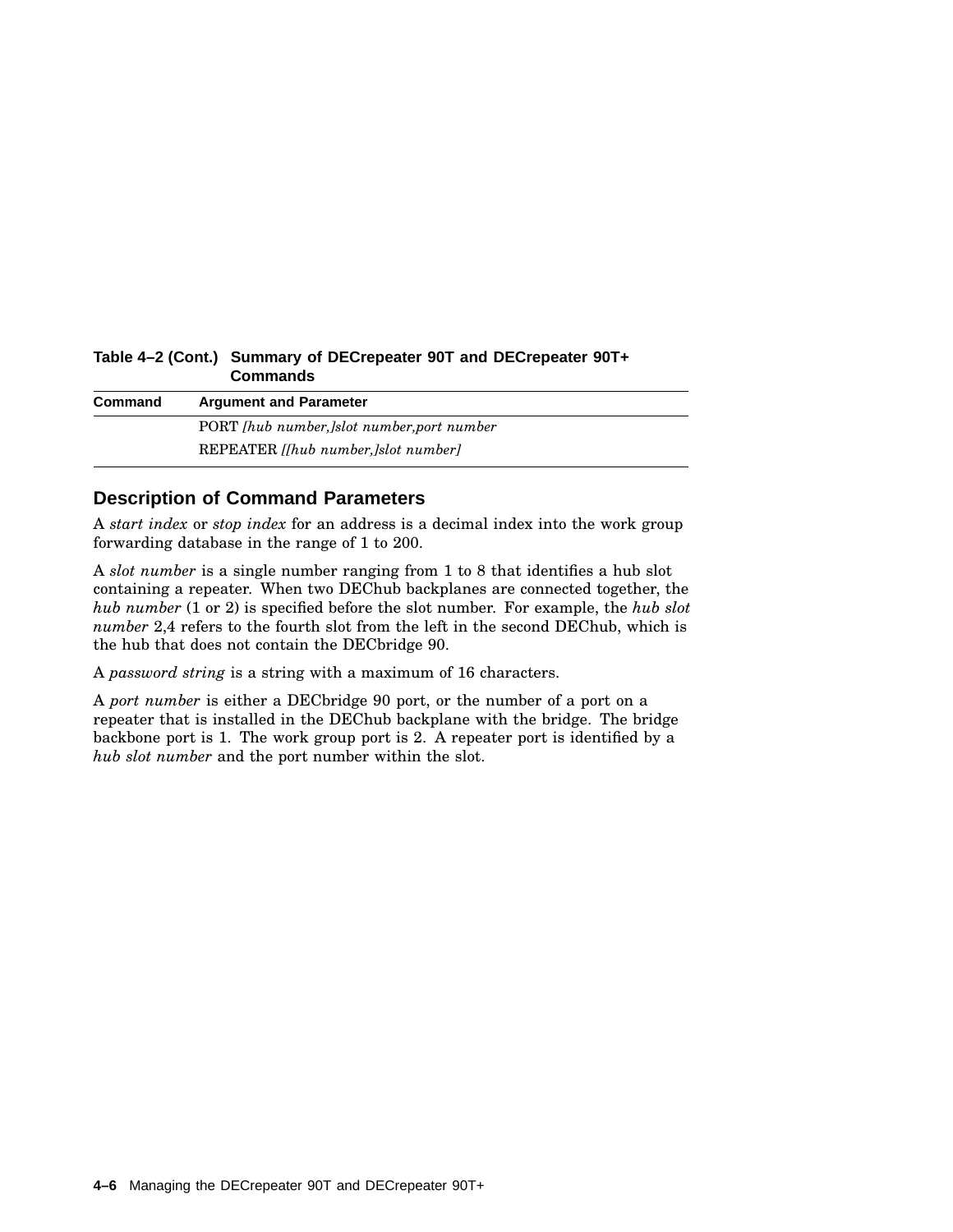| $1$ abic $-2$ (Cont.) Cummary of DECR epearer 301 and DECR epearer 301 $+$<br><b>Commands</b> |                                                  |  |
|-----------------------------------------------------------------------------------------------|--------------------------------------------------|--|
| Command                                                                                       | <b>Argument and Parameter</b>                    |  |
|                                                                                               | PORT <i>[hub number,]slot number,port number</i> |  |
|                                                                                               | REPEATER <i>[fhub number, ]slot number]</i>      |  |

# **Table 4–2 (Cont.) Summary of DECrepeater 90T and DECrepeater 90T+**

#### **Description of Command Parameters**

A *start index* or *stop index* for an address is a decimal index into the work group forwarding database in the range of 1 to 200.

A *slot number* is a single number ranging from 1 to 8 that identifies a hub slot containing a repeater. When two DEChub backplanes are connected together, the *hub number* (1 or 2) is specified before the slot number. For example, the *hub slot number* 2,4 refers to the fourth slot from the left in the second DEChub, which is the hub that does not contain the DECbridge 90.

A *password string* is a string with a maximum of 16 characters.

A *port number* is either a DECbridge 90 port, or the number of a port on a repeater that is installed in the DEChub backplane with the bridge. The bridge backbone port is 1. The work group port is 2. A repeater port is identified by a *hub slot number* and the port number within the slot.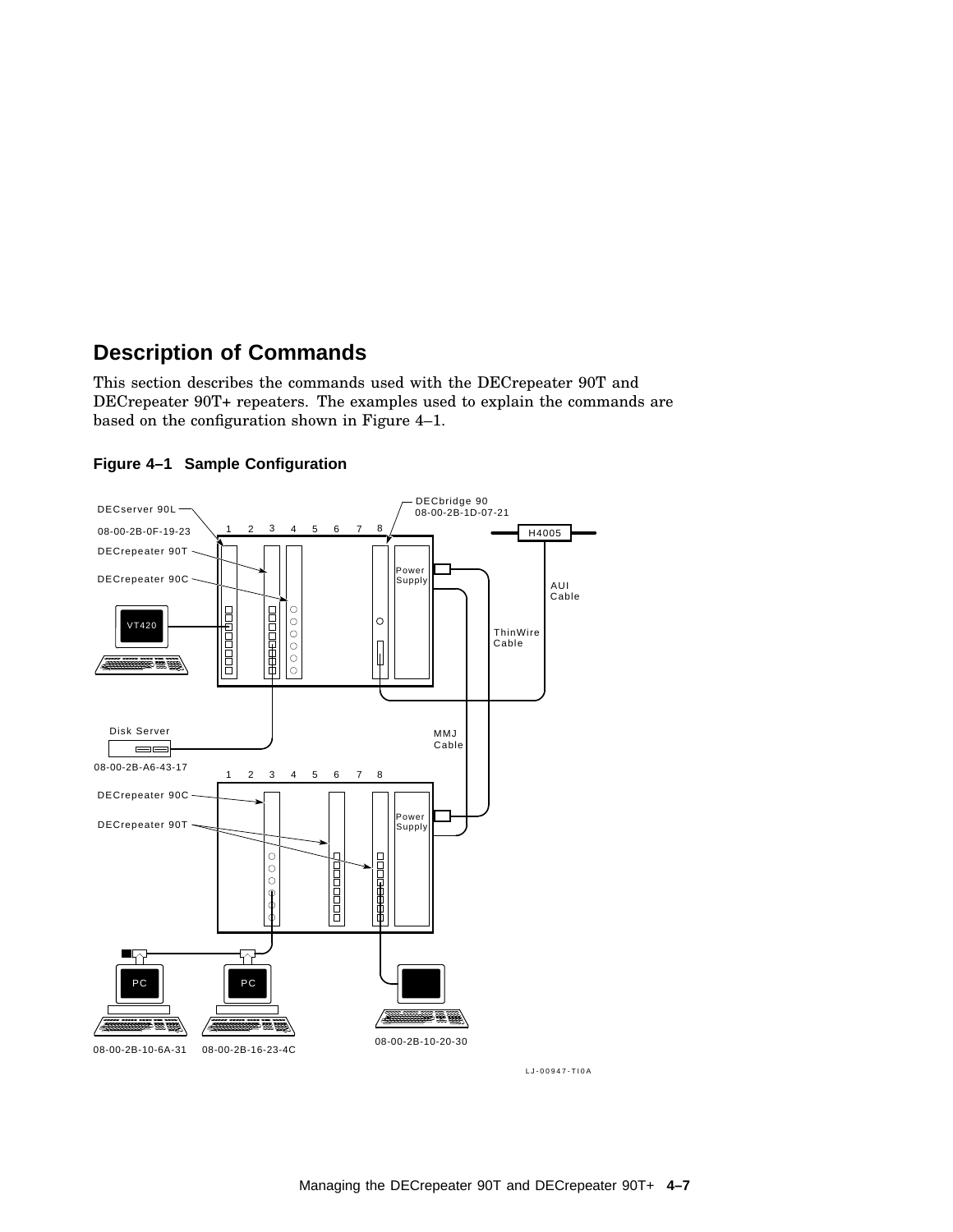### **Description of Commands**

This section describes the commands used with the DECrepeater 90T and DECrepeater 90T+ repeaters. The examples used to explain the commands are based on the configuration shown in Figure 4–1.





LJ-00947-TI0A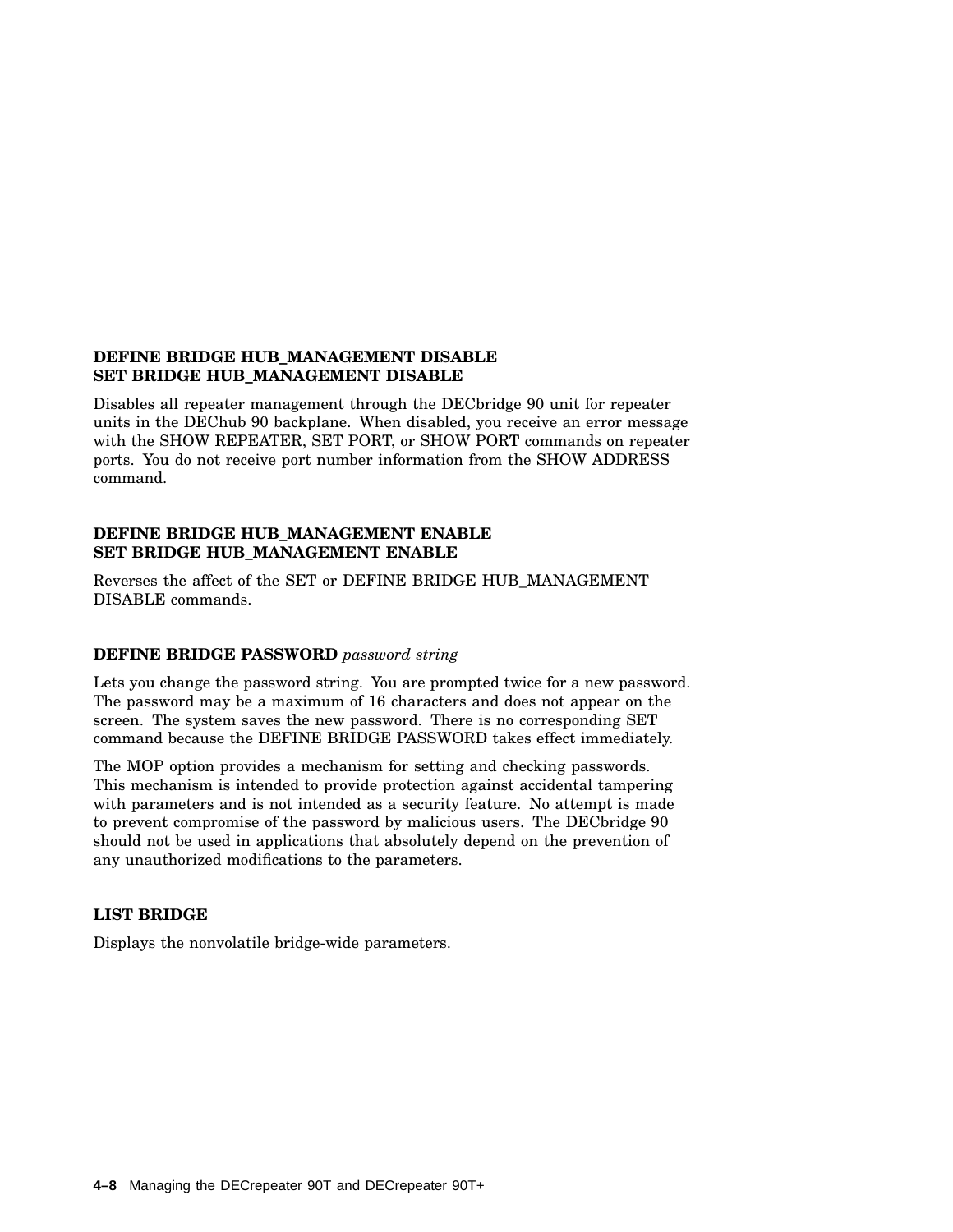#### **DEFINE BRIDGE HUB\_MANAGEMENT DISABLE SET BRIDGE HUB\_MANAGEMENT DISABLE**

Disables all repeater management through the DECbridge 90 unit for repeater units in the DEChub 90 backplane. When disabled, you receive an error message with the SHOW REPEATER, SET PORT, or SHOW PORT commands on repeater ports. You do not receive port number information from the SHOW ADDRESS command.

#### **DEFINE BRIDGE HUB\_MANAGEMENT ENABLE SET BRIDGE HUB\_MANAGEMENT ENABLE**

Reverses the affect of the SET or DEFINE BRIDGE HUB\_MANAGEMENT DISABLE commands.

#### **DEFINE BRIDGE PASSWORD** *password string*

Lets you change the password string. You are prompted twice for a new password. The password may be a maximum of 16 characters and does not appear on the screen. The system saves the new password. There is no corresponding SET command because the DEFINE BRIDGE PASSWORD takes effect immediately.

The MOP option provides a mechanism for setting and checking passwords. This mechanism is intended to provide protection against accidental tampering with parameters and is not intended as a security feature. No attempt is made to prevent compromise of the password by malicious users. The DECbridge 90 should not be used in applications that absolutely depend on the prevention of any unauthorized modifications to the parameters.

#### **LIST BRIDGE**

Displays the nonvolatile bridge-wide parameters.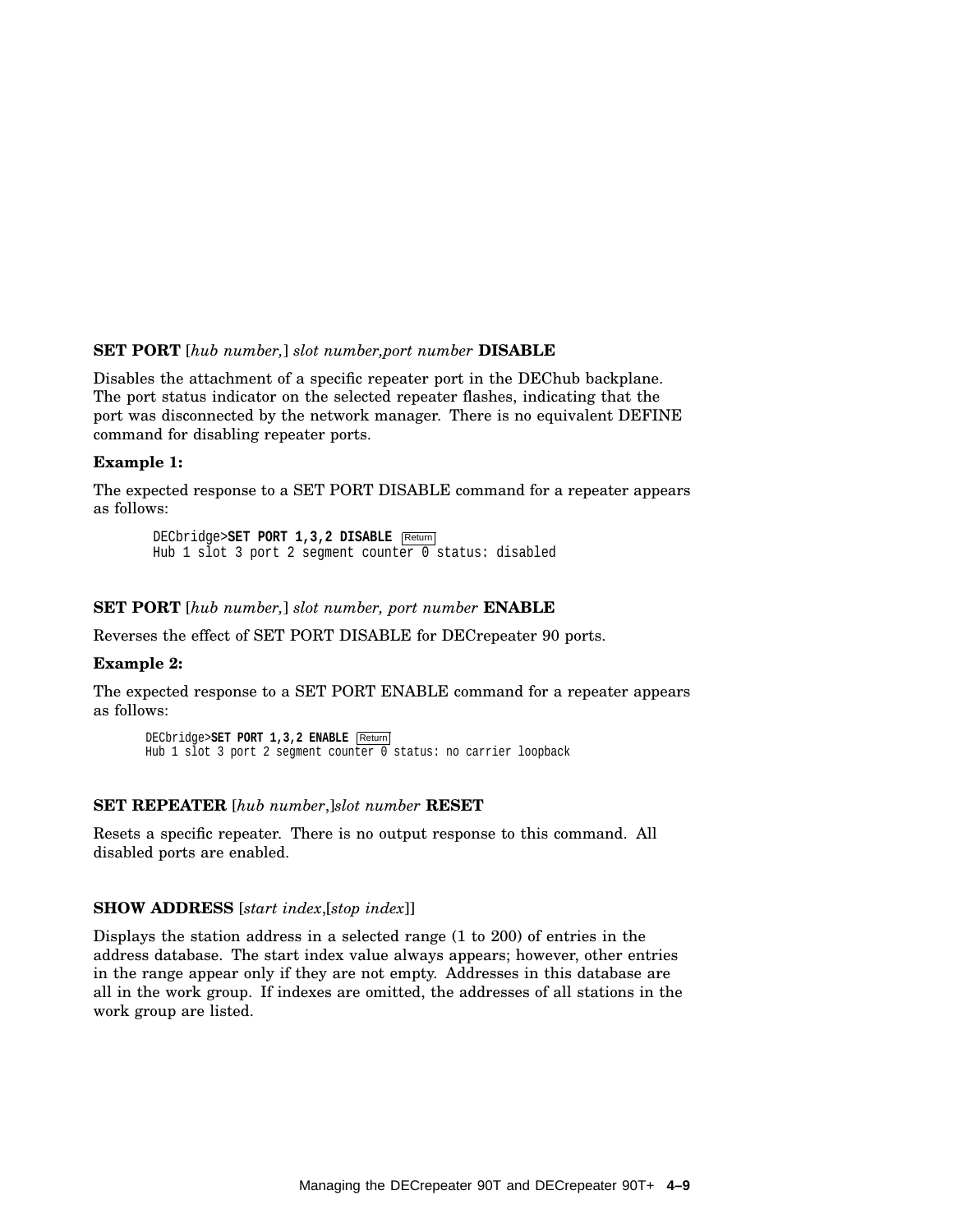#### **SET PORT** [*hub number,*] *slot number,port number* **DISABLE**

Disables the attachment of a specific repeater port in the DEChub backplane. The port status indicator on the selected repeater flashes, indicating that the port was disconnected by the network manager. There is no equivalent DEFINE command for disabling repeater ports.

#### **Example 1:**

The expected response to a SET PORT DISABLE command for a repeater appears as follows:

DECbridge>**SET PORT 1,3,2 DISABLE** Return Hub 1 slot 3 port 2 segment counter 0 status: disabled

#### **SET PORT** [*hub number,*] *slot number, port number* **ENABLE**

Reverses the effect of SET PORT DISABLE for DECrepeater 90 ports.

#### **Example 2:**

The expected response to a SET PORT ENABLE command for a repeater appears as follows:

```
DECbridge>SET PORT 1,3,2 ENABLE Return
Hub 1 slot 3 port 2 segment counter 0 status: no carrier loopback
```
#### **SET REPEATER** [*hub number*,]*slot number* **RESET**

Resets a specific repeater. There is no output response to this command. All disabled ports are enabled.

#### **SHOW ADDRESS** [*start index*,[*stop index*]]

Displays the station address in a selected range (1 to 200) of entries in the address database. The start index value always appears; however, other entries in the range appear only if they are not empty. Addresses in this database are all in the work group. If indexes are omitted, the addresses of all stations in the work group are listed.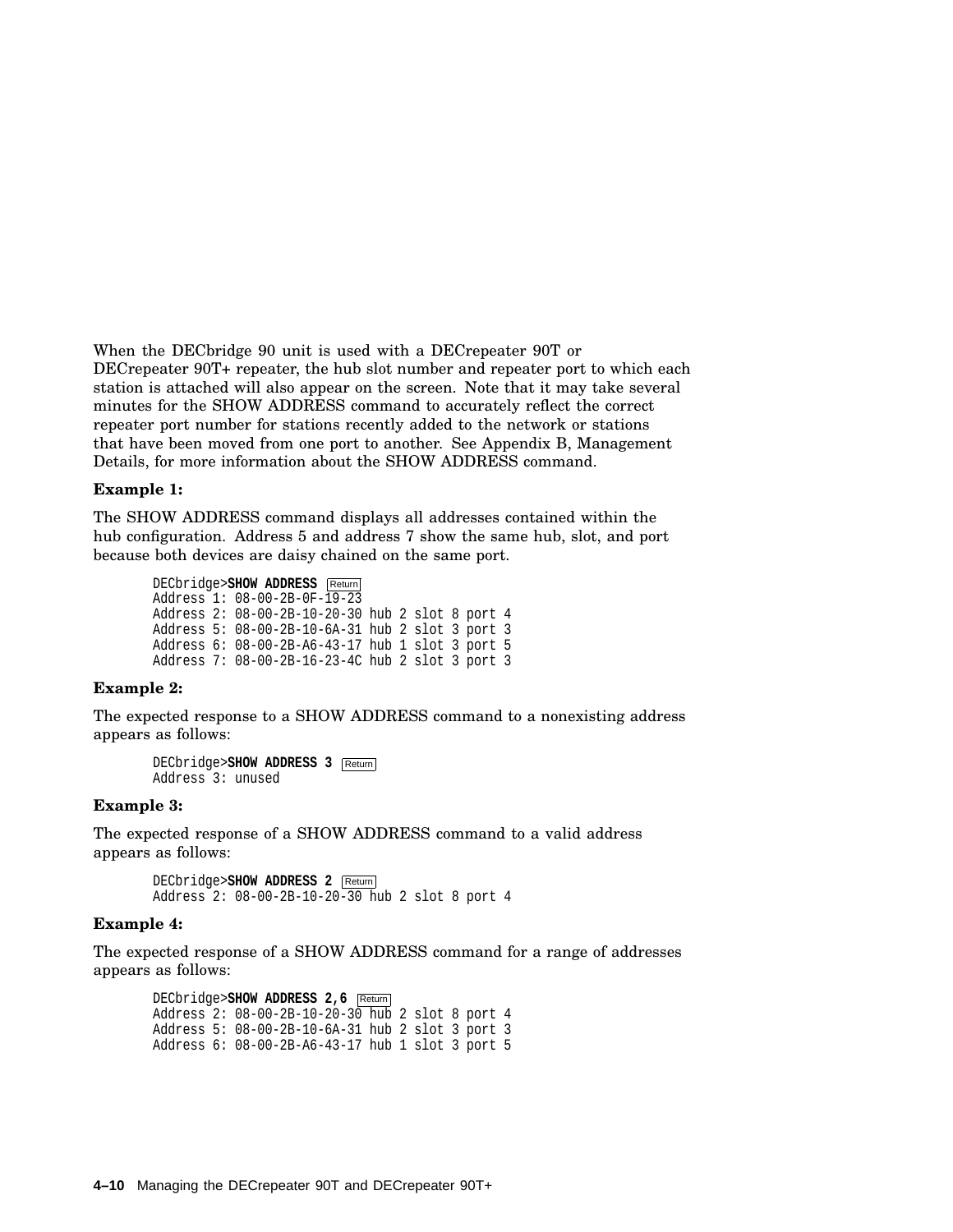When the DECbridge 90 unit is used with a DECrepeater 90T or DECrepeater 90T+ repeater, the hub slot number and repeater port to which each station is attached will also appear on the screen. Note that it may take several minutes for the SHOW ADDRESS command to accurately reflect the correct repeater port number for stations recently added to the network or stations that have been moved from one port to another. See Appendix B, Management Details, for more information about the SHOW ADDRESS command.

#### **Example 1:**

The SHOW ADDRESS command displays all addresses contained within the hub configuration. Address 5 and address 7 show the same hub, slot, and port because both devices are daisy chained on the same port.

> DECbridge>SHOW **ADDRESS** Return Address 1: 08-00-2B-0F-19-23 Address 2: 08-00-2B-10-20-30 hub 2 slot 8 port 4 Address 5: 08-00-2B-10-6A-31 hub 2 slot 3 port 3 Address 6: 08-00-2B-A6-43-17 hub 1 slot 3 port 5 Address 7: 08-00-2B-16-23-4C hub 2 slot 3 port 3

#### **Example 2:**

The expected response to a SHOW ADDRESS command to a nonexisting address appears as follows:

DECbridge>**SHOW ADDRESS 3** Return Address 3: unused

#### **Example 3:**

The expected response of a SHOW ADDRESS command to a valid address appears as follows:

> DECbridge>**SHOW ADDRESS 2** Return Address 2: 08-00-2B-10-20-30 hub 2 slot 8 port 4

#### **Example 4:**

The expected response of a SHOW ADDRESS command for a range of addresses appears as follows:

```
DECbridge>SHOW ADDRESS 2,6 Return
Address 2: 08-00-2B-10-20-30 hub 2 slot 8 port 4
Address 5: 08-00-2B-10-6A-31 hub 2 slot 3 port 3
Address 6: 08-00-2B-A6-43-17 hub 1 slot 3 port 5
```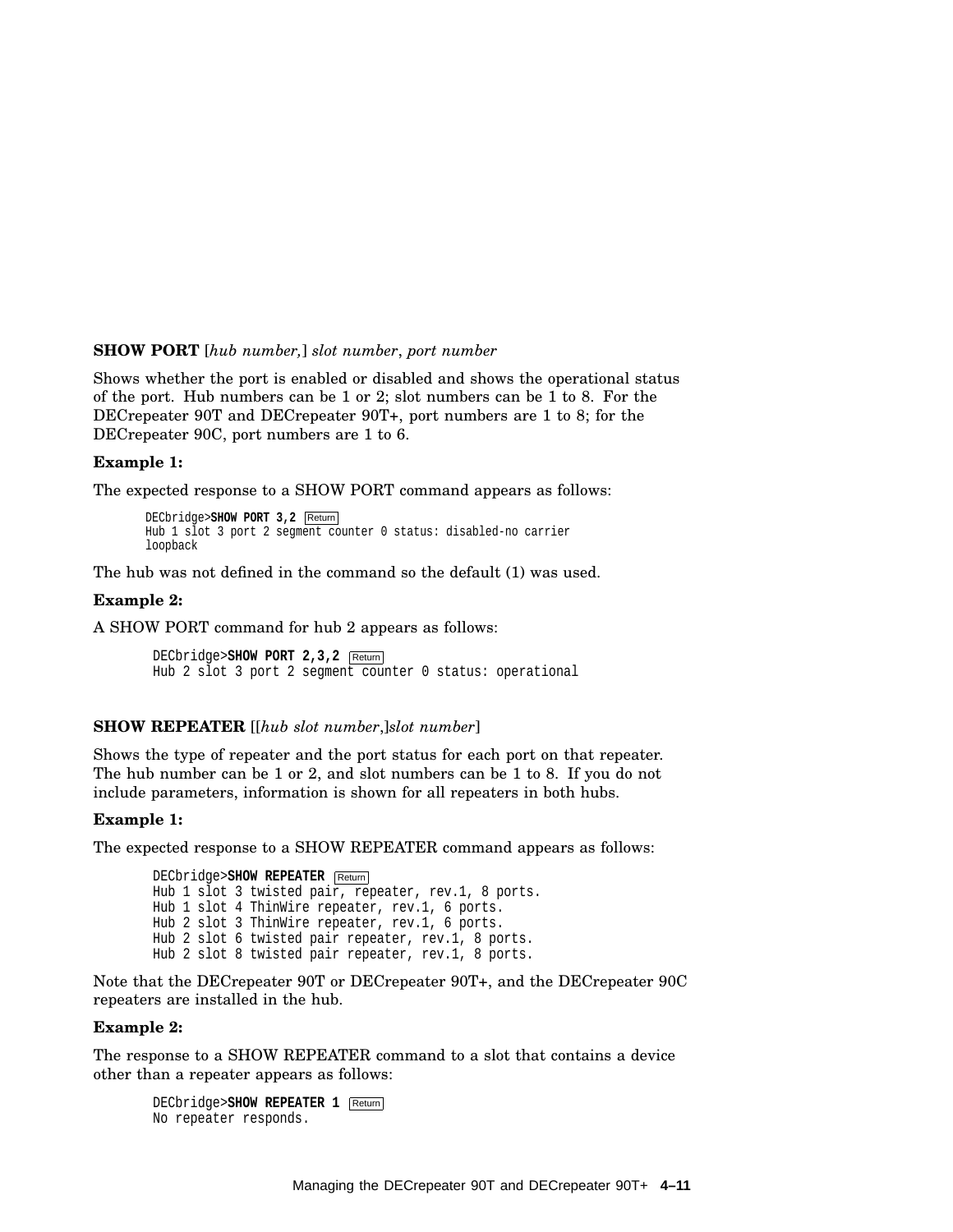#### **SHOW PORT** [*hub number,*] *slot number*, *port number*

Shows whether the port is enabled or disabled and shows the operational status of the port. Hub numbers can be 1 or 2; slot numbers can be 1 to 8. For the DECrepeater 90T and DECrepeater 90T+, port numbers are 1 to 8; for the DECrepeater 90C, port numbers are 1 to 6.

#### **Example 1:**

The expected response to a SHOW PORT command appears as follows:

```
DECbridge>SHOW PORT 3,2 Return
Hub 1 slot 3 port 2 segment counter 0 status: disabled-no carrier
loopback
```
The hub was not defined in the command so the default (1) was used.

#### **Example 2:**

A SHOW PORT command for hub 2 appears as follows:

DECbridge>**SHOW PORT 2,3,2** Return Hub 2 slot 3 port 2 segment counter 0 status: operational

#### **SHOW REPEATER** [[*hub slot number*,]*slot number*]

Shows the type of repeater and the port status for each port on that repeater. The hub number can be 1 or 2, and slot numbers can be 1 to 8. If you do not include parameters, information is shown for all repeaters in both hubs.

#### **Example 1:**

The expected response to a SHOW REPEATER command appears as follows:

```
DECbridge>SHOW REPEATER Return
Hub 1 slot 3 twisted pair, repeater, rev.1, 8 ports.
Hub 1 slot 4 ThinWire repeater, rev.1, 6 ports.
Hub 2 slot 3 ThinWire repeater, rev.1, 6 ports.
Hub 2 slot 6 twisted pair repeater, rev.1, 8 ports.
Hub 2 slot 8 twisted pair repeater, rev.1, 8 ports.
```
Note that the DECrepeater 90T or DECrepeater 90T+, and the DECrepeater 90C repeaters are installed in the hub.

#### **Example 2:**

The response to a SHOW REPEATER command to a slot that contains a device other than a repeater appears as follows:

DECbridge>**SHOW REPEATER 1** Return No repeater responds.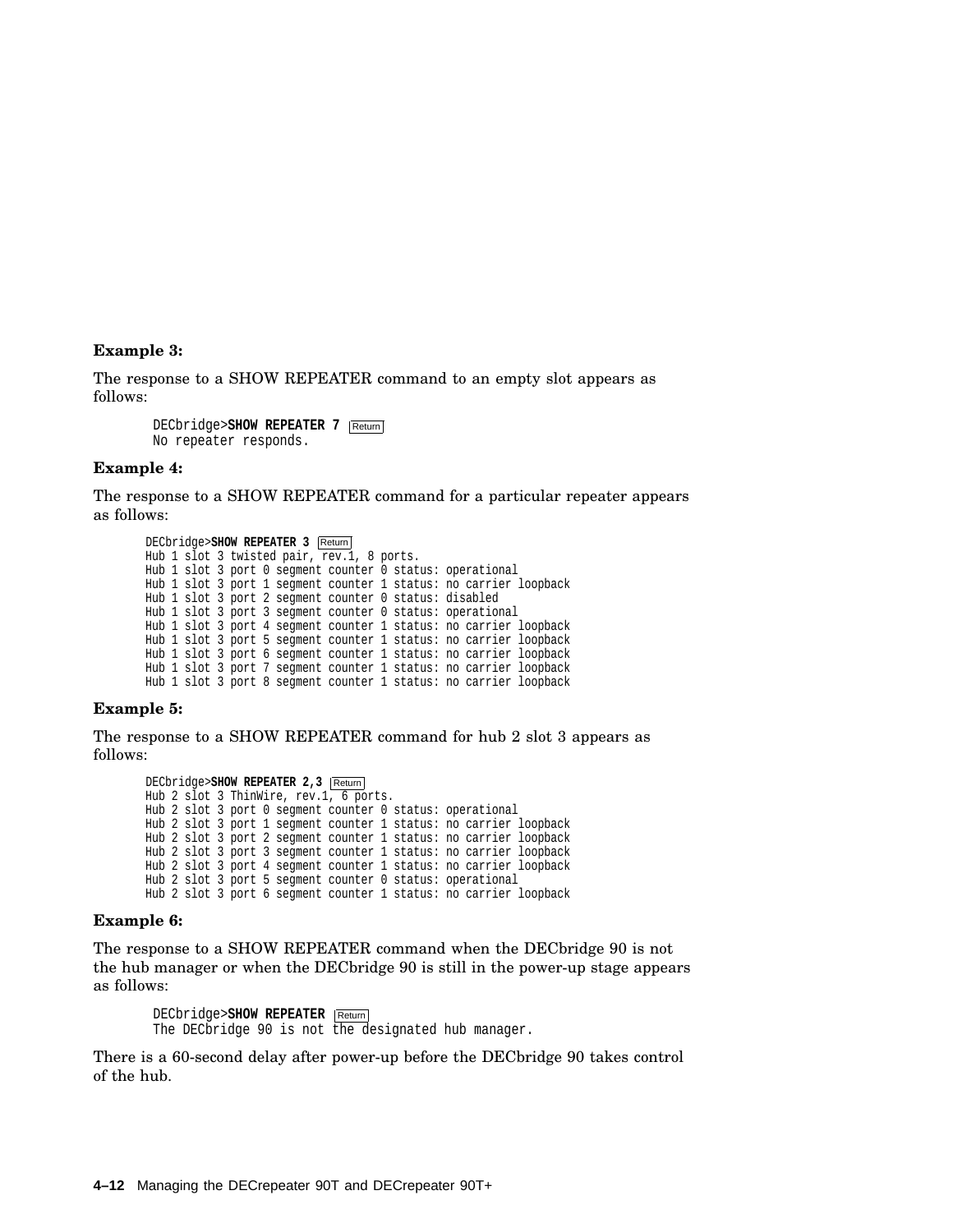#### **Example 3:**

The response to a SHOW REPEATER command to an empty slot appears as follows:

> DECbridge>**SHOW REPEATER 7** Return No repeater responds.

#### **Example 4:**

The response to a SHOW REPEATER command for a particular repeater appears as follows:

```
DECbridge>SHOW REPEATER 3 Return
Hub 1 slot 3 twisted pair, rev.1, 8 ports.
Hub 1 slot 3 port 0 segment counter 0 status: operational
Hub 1 slot 3 port 1 segment counter 1 status: no carrier loopback
Hub 1 slot 3 port 2 segment counter 0 status: disabled
Hub 1 slot 3 port 3 segment counter 0 status: operational
Hub 1 slot 3 port 4 segment counter 1 status: no carrier loopback
Hub 1 slot 3 port 5 segment counter 1 status: no carrier loopback
Hub 1 slot 3 port 6 segment counter 1 status: no carrier loopback
Hub 1 slot 3 port 7 segment counter 1 status: no carrier loopback
Hub 1 slot 3 port 8 segment counter 1 status: no carrier loopback
```
#### **Example 5:**

The response to a SHOW REPEATER command for hub 2 slot 3 appears as follows:

DECbridge>**SHOW REPEATER 2,3** Return Hub 2 slot 3 ThinWire, rev.1, 6 ports. Hub 2 slot 3 port 0 segment counter 0 status: operational Hub 2 slot 3 port 1 segment counter 1 status: no carrier loopback Hub 2 slot 3 port 2 segment counter 1 status: no carrier loopback Hub 2 slot 3 port 3 segment counter 1 status: no carrier loopback Hub 2 slot 3 port 4 segment counter 1 status: no carrier loopback Hub 2 slot 3 port 5 segment counter 0 status: operational Hub 2 slot 3 port 6 segment counter 1 status: no carrier loopback

#### **Example 6:**

The response to a SHOW REPEATER command when the DECbridge 90 is not the hub manager or when the DECbridge 90 is still in the power-up stage appears as follows:

DECbridge>**SHOW REPEATER** Return The DECbridge 90 is not the designated hub manager.

There is a 60-second delay after power-up before the DECbridge 90 takes control of the hub.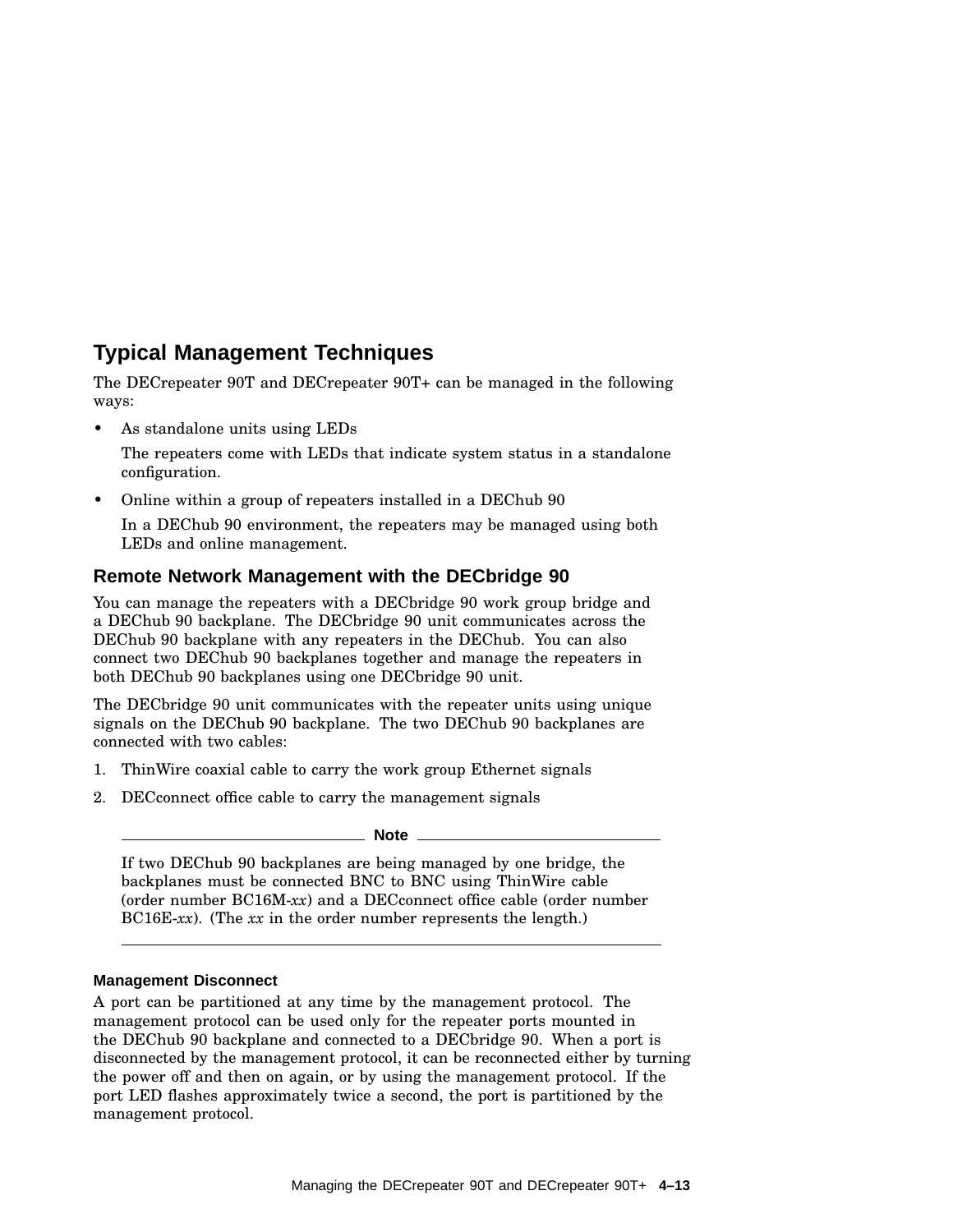### **Typical Management Techniques**

The DECrepeater 90T and DECrepeater 90T+ can be managed in the following ways:

• As standalone units using LEDs

The repeaters come with LEDs that indicate system status in a standalone configuration.

• Online within a group of repeaters installed in a DEChub 90

In a DEChub 90 environment, the repeaters may be managed using both LEDs and online management.

#### **Remote Network Management with the DECbridge 90**

You can manage the repeaters with a DECbridge 90 work group bridge and a DEChub 90 backplane. The DECbridge 90 unit communicates across the DEChub 90 backplane with any repeaters in the DEChub. You can also connect two DEChub 90 backplanes together and manage the repeaters in both DEChub 90 backplanes using one DECbridge 90 unit.

The DECbridge 90 unit communicates with the repeater units using unique signals on the DEChub 90 backplane. The two DEChub 90 backplanes are connected with two cables:

- 1. ThinWire coaxial cable to carry the work group Ethernet signals
- 2. DECconnect office cable to carry the management signals

#### **Note**

If two DEChub 90 backplanes are being managed by one bridge, the backplanes must be connected BNC to BNC using ThinWire cable (order number BC16M-*xx*) and a DECconnect office cable (order number BC16E-*xx*). (The *xx* in the order number represents the length.)

#### **Management Disconnect**

A port can be partitioned at any time by the management protocol. The management protocol can be used only for the repeater ports mounted in the DEChub 90 backplane and connected to a DECbridge 90. When a port is disconnected by the management protocol, it can be reconnected either by turning the power off and then on again, or by using the management protocol. If the port LED flashes approximately twice a second, the port is partitioned by the management protocol.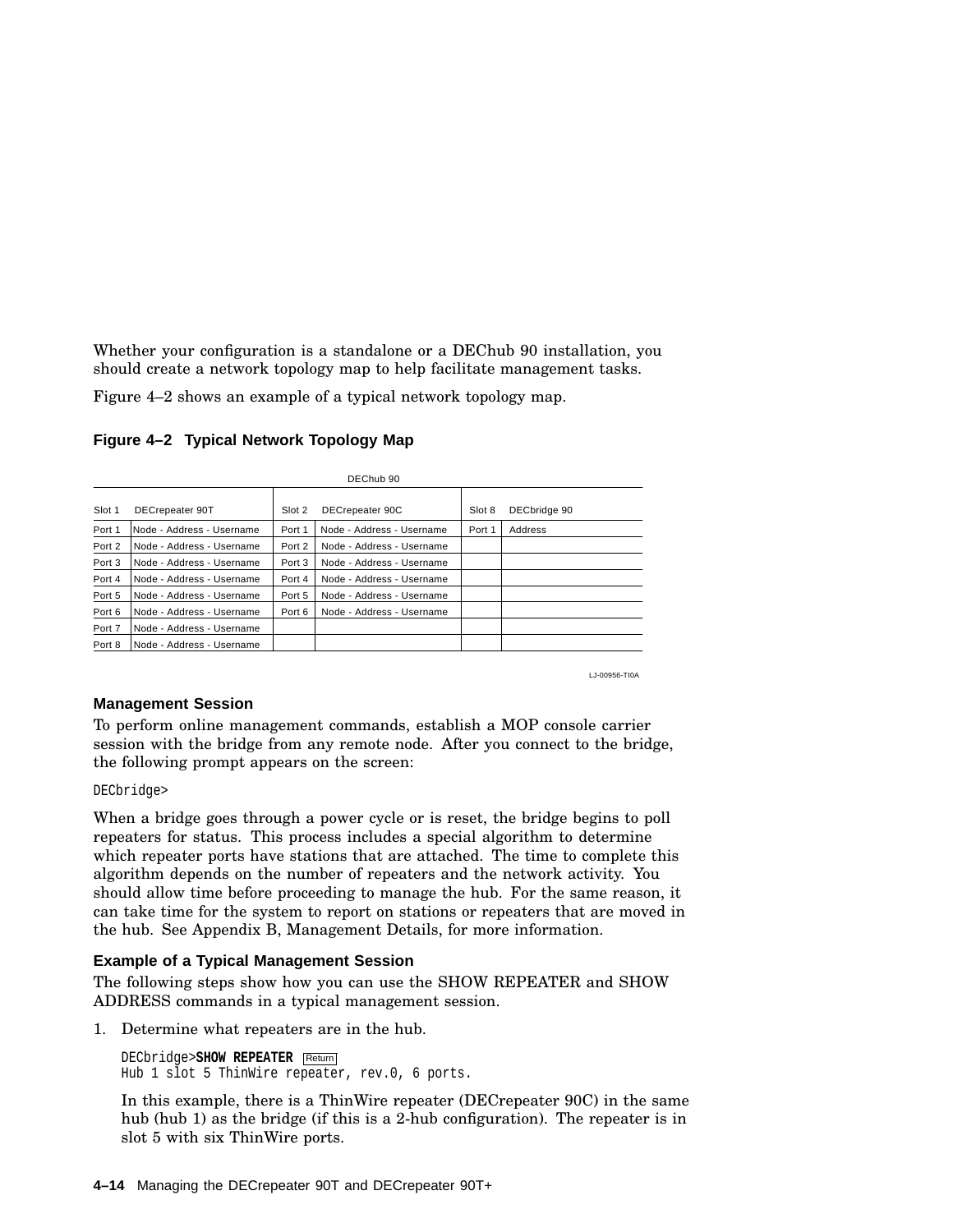Whether your configuration is a standalone or a DEChub 90 installation, you should create a network topology map to help facilitate management tasks.

Figure 4–2 shows an example of a typical network topology map.

| DEChub 90 |                           |        |                           |        |              |
|-----------|---------------------------|--------|---------------------------|--------|--------------|
| Slot 1    | DECrepeater 90T           | Slot 2 | DECrepeater 90C           | Slot 8 | DECbridge 90 |
| Port 1    | Node - Address - Username | Port 1 | Node - Address - Username | Port 1 | Address      |
| Port 2    | Node - Address - Username | Port 2 | Node - Address - Username |        |              |
| Port 3    | Node - Address - Username | Port 3 | Node - Address - Username |        |              |
| Port 4    | Node - Address - Username | Port 4 | Node - Address - Username |        |              |
| Port 5    | Node - Address - Username | Port 5 | Node - Address - Username |        |              |
| Port 6    | Node - Address - Username | Port 6 | Node - Address - Username |        |              |
| Port 7    | Node - Address - Username |        |                           |        |              |
| Port 8    | Node - Address - Username |        |                           |        |              |

**Figure 4–2 Typical Network Topology Map**

LJ-00956-TI0A

#### **Management Session**

To perform online management commands, establish a MOP console carrier session with the bridge from any remote node. After you connect to the bridge, the following prompt appears on the screen:

#### DECbridge>

When a bridge goes through a power cycle or is reset, the bridge begins to poll repeaters for status. This process includes a special algorithm to determine which repeater ports have stations that are attached. The time to complete this algorithm depends on the number of repeaters and the network activity. You should allow time before proceeding to manage the hub. For the same reason, it can take time for the system to report on stations or repeaters that are moved in the hub. See Appendix B, Management Details, for more information.

#### **Example of a Typical Management Session**

The following steps show how you can use the SHOW REPEATER and SHOW ADDRESS commands in a typical management session.

1. Determine what repeaters are in the hub.

```
DECbridge>SHOW REPEATER Return
Hub 1 slot 5 ThinWire repeater, rev.0, 6 ports.
```
In this example, there is a ThinWire repeater (DECrepeater 90C) in the same hub (hub 1) as the bridge (if this is a 2-hub configuration). The repeater is in slot 5 with six ThinWire ports.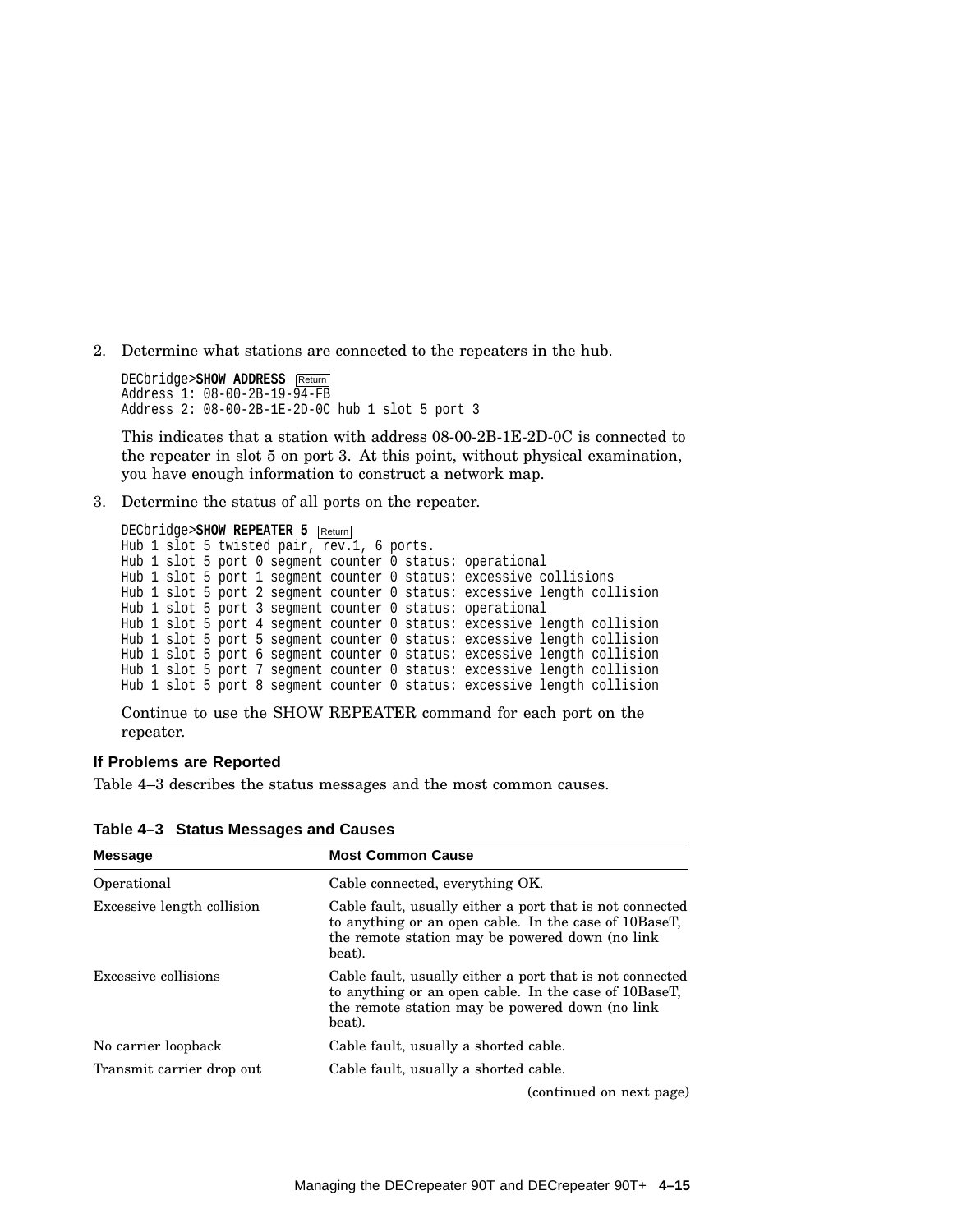2. Determine what stations are connected to the repeaters in the hub.

```
DECbridge>SHOW ADDRESS Return
Address 1: 08-00-2B-19-94-FB
Address 2: 08-00-2B-1E-2D-0C hub 1 slot 5 port 3
```
This indicates that a station with address 08-00-2B-1E-2D-0C is connected to the repeater in slot 5 on port 3. At this point, without physical examination, you have enough information to construct a network map.

3. Determine the status of all ports on the repeater.

```
DECbridge>SHOW REPEATER 5 Return
Hub 1 slot 5 twisted pair, rev.1, 6 ports.
Hub 1 slot 5 port 0 segment counter 0 status: operational
Hub 1 slot 5 port 1 segment counter 0 status: excessive collisions
Hub 1 slot 5 port 2 segment counter 0 status: excessive length collision
Hub 1 slot 5 port 3 segment counter 0 status: operational
Hub 1 slot 5 port 4 segment counter 0 status: excessive length collision
Hub 1 slot 5 port 5 segment counter 0 status: excessive length collision
Hub 1 slot 5 port 6 segment counter 0 status: excessive length collision
Hub 1 slot 5 port 7 segment counter 0 status: excessive length collision
Hub 1 slot 5 port 8 segment counter 0 status: excessive length collision
```
Continue to use the SHOW REPEATER command for each port on the repeater.

#### **If Problems are Reported**

Table 4–3 describes the status messages and the most common causes.

| <b>Message</b>             | <b>Most Common Cause</b>                                                                                                                                                       |  |
|----------------------------|--------------------------------------------------------------------------------------------------------------------------------------------------------------------------------|--|
| Operational                | Cable connected, everything OK.                                                                                                                                                |  |
| Excessive length collision | Cable fault, usually either a port that is not connected<br>to anything or an open cable. In the case of 10BaseT,<br>the remote station may be powered down (no link<br>beat). |  |
| Excessive collisions       | Cable fault, usually either a port that is not connected<br>to anything or an open cable. In the case of 10BaseT,<br>the remote station may be powered down (no link<br>beat). |  |
| No carrier loopback        | Cable fault, usually a shorted cable.                                                                                                                                          |  |
| Transmit carrier drop out  | Cable fault, usually a shorted cable.                                                                                                                                          |  |
|                            | (continued on next page)                                                                                                                                                       |  |

**Table 4–3 Status Messages and Causes**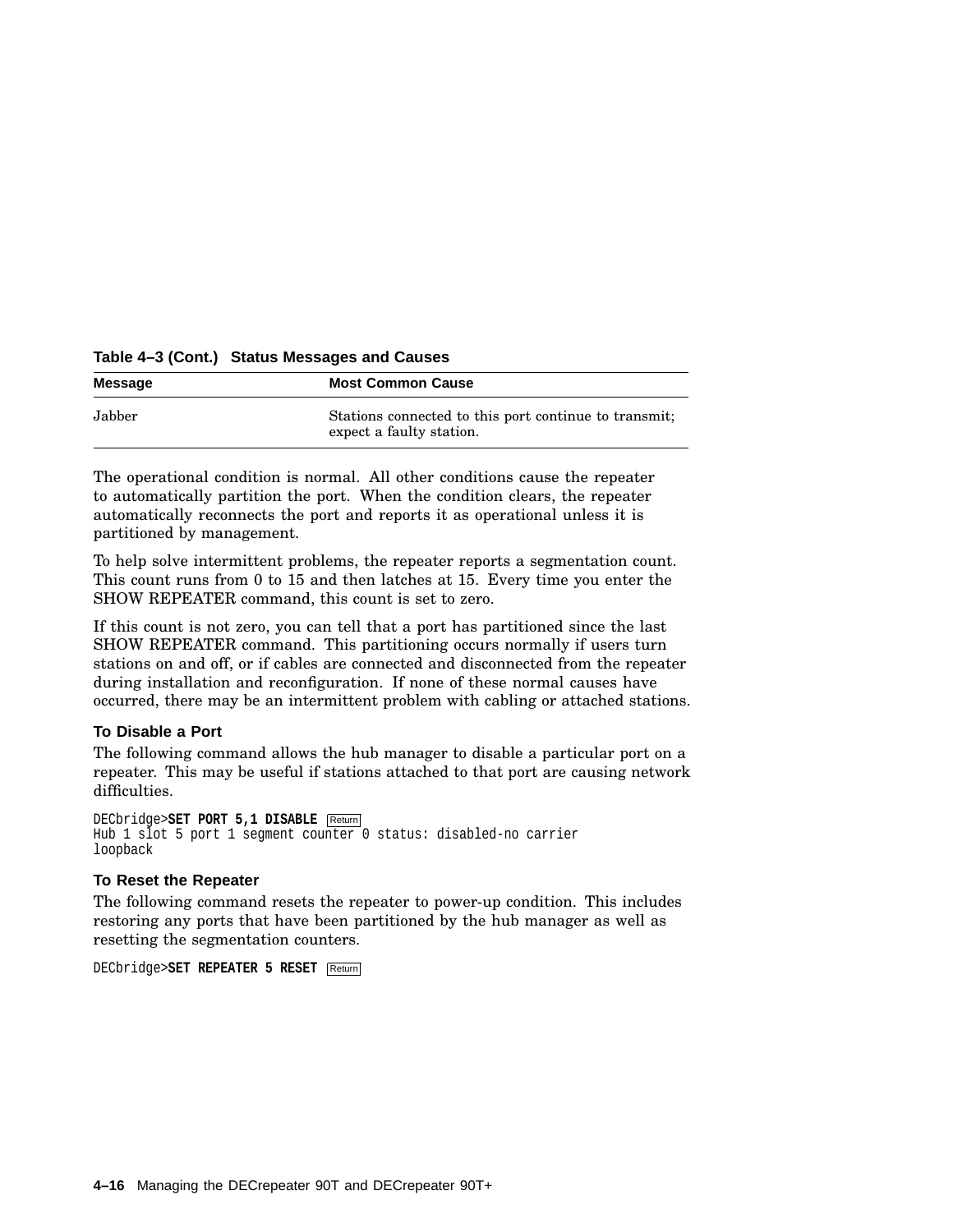#### **Table 4–3 (Cont.) Status Messages and Causes**

| <b>Message</b> | <b>Most Common Cause</b>                                                          |  |
|----------------|-----------------------------------------------------------------------------------|--|
| Jabber         | Stations connected to this port continue to transmit.<br>expect a faulty station. |  |

The operational condition is normal. All other conditions cause the repeater to automatically partition the port. When the condition clears, the repeater automatically reconnects the port and reports it as operational unless it is partitioned by management.

To help solve intermittent problems, the repeater reports a segmentation count. This count runs from 0 to 15 and then latches at 15. Every time you enter the SHOW REPEATER command, this count is set to zero.

If this count is not zero, you can tell that a port has partitioned since the last SHOW REPEATER command. This partitioning occurs normally if users turn stations on and off, or if cables are connected and disconnected from the repeater during installation and reconfiguration. If none of these normal causes have occurred, there may be an intermittent problem with cabling or attached stations.

#### **To Disable a Port**

The following command allows the hub manager to disable a particular port on a repeater. This may be useful if stations attached to that port are causing network difficulties.

```
DECbridge>SET PORT 5,1 DISABLE Return
Hub 1 slot 5 port 1 segment counter 0 status: disabled-no carrier
loopback
```
#### **To Reset the Repeater**

The following command resets the repeater to power-up condition. This includes restoring any ports that have been partitioned by the hub manager as well as resetting the segmentation counters.

```
DECbridge>SET REPEATER 5 RESET Return
```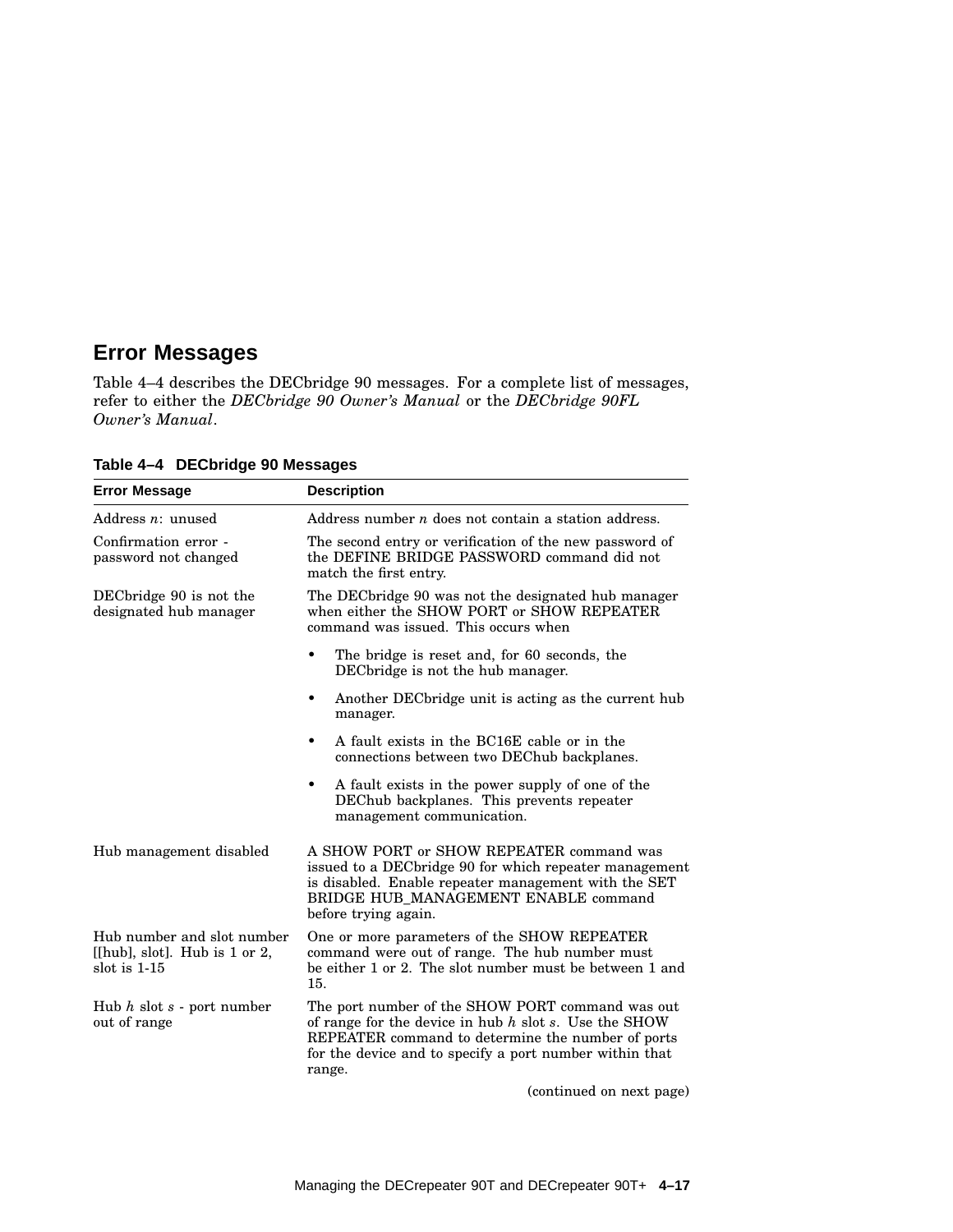### **Error Messages**

Table 4–4 describes the DECbridge 90 messages. For a complete list of messages, refer to either the *DECbridge 90 Owner's Manual* or the *DECbridge 90FL Owner's Manual*.

| <b>Error Message</b>                                                               | <b>Description</b>                                                                                                                                                                                                                       |  |  |
|------------------------------------------------------------------------------------|------------------------------------------------------------------------------------------------------------------------------------------------------------------------------------------------------------------------------------------|--|--|
| Address $n:$ unused                                                                | Address number $n$ does not contain a station address.                                                                                                                                                                                   |  |  |
| Confirmation error -<br>password not changed                                       | The second entry or verification of the new password of<br>the DEFINE BRIDGE PASSWORD command did not<br>match the first entry.                                                                                                          |  |  |
| DECbridge 90 is not the<br>designated hub manager                                  | The DEC bridge 90 was not the designated hub manager<br>when either the SHOW PORT or SHOW REPEATER<br>command was issued. This occurs when                                                                                               |  |  |
|                                                                                    | The bridge is reset and, for 60 seconds, the<br>DEC bridge is not the hub manager.                                                                                                                                                       |  |  |
|                                                                                    | Another DEC bridge unit is acting as the current hub<br>$\bullet$<br>manager.                                                                                                                                                            |  |  |
|                                                                                    | A fault exists in the BC16E cable or in the<br>$\bullet$<br>connections between two DEChub backplanes.                                                                                                                                   |  |  |
|                                                                                    | A fault exists in the power supply of one of the<br>٠<br>DEChub backplanes. This prevents repeater<br>management communication.                                                                                                          |  |  |
| Hub management disabled                                                            | A SHOW PORT or SHOW REPEATER command was<br>issued to a DECbridge 90 for which repeater management<br>is disabled. Enable repeater management with the SET<br>BRIDGE HUB_MANAGEMENT ENABLE command<br>before trying again.               |  |  |
| Hub number and slot number<br>[[hub], slot]. Hub is $1$ or $2$ ,<br>slot is $1-15$ | One or more parameters of the SHOW REPEATER<br>command were out of range. The hub number must<br>be either 1 or 2. The slot number must be between 1 and<br>15.                                                                          |  |  |
| Hub $h$ slot $s$ - port number<br>out of range                                     | The port number of the SHOW PORT command was out<br>of range for the device in hub $h$ slot $s$ . Use the SHOW<br>REPEATER command to determine the number of ports<br>for the device and to specify a port number within that<br>range. |  |  |

**Table 4–4 DECbridge 90 Messages**

(continued on next page)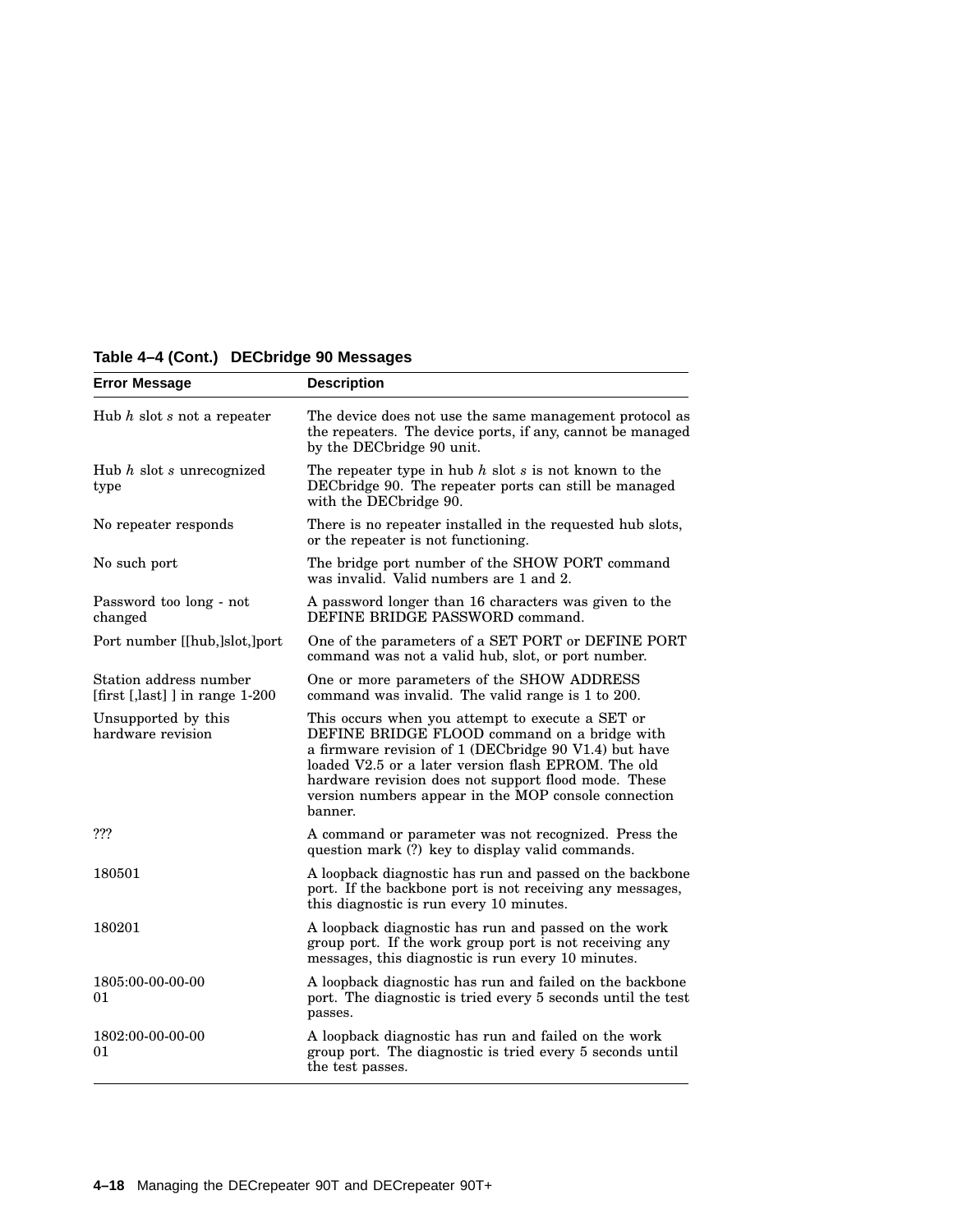| <b>Error Message</b>                                      | <b>Description</b>                                                                                                                                                                                                                                                                                                                          |  |
|-----------------------------------------------------------|---------------------------------------------------------------------------------------------------------------------------------------------------------------------------------------------------------------------------------------------------------------------------------------------------------------------------------------------|--|
| Hub $h$ slot $s$ not a repeater                           | The device does not use the same management protocol as<br>the repeaters. The device ports, if any, cannot be managed<br>by the DECbridge 90 unit.                                                                                                                                                                                          |  |
| Hub $h$ slot $s$ unrecognized<br>type                     | The repeater type in hub $h$ slot $s$ is not known to the<br>DEC bridge 90. The repeater ports can still be managed<br>with the DECbridge 90.                                                                                                                                                                                               |  |
| No repeater responds                                      | There is no repeater installed in the requested hub slots,<br>or the repeater is not functioning.                                                                                                                                                                                                                                           |  |
| No such port                                              | The bridge port number of the SHOW PORT command<br>was invalid. Valid numbers are 1 and 2.                                                                                                                                                                                                                                                  |  |
| Password too long - not<br>changed                        | A password longer than 16 characters was given to the<br>DEFINE BRIDGE PASSWORD command.                                                                                                                                                                                                                                                    |  |
| Port number [[hub,]slot,]port                             | One of the parameters of a SET PORT or DEFINE PORT<br>command was not a valid hub, slot, or port number.                                                                                                                                                                                                                                    |  |
| Station address number<br>[first [,last] ] in range 1-200 | One or more parameters of the SHOW ADDRESS<br>command was invalid. The valid range is 1 to 200.                                                                                                                                                                                                                                             |  |
| Unsupported by this<br>hardware revision                  | This occurs when you attempt to execute a SET or<br>DEFINE BRIDGE FLOOD command on a bridge with<br>a firmware revision of 1 (DECbridge 90 V1.4) but have<br>loaded V2.5 or a later version flash EPROM. The old<br>hardware revision does not support flood mode. These<br>version numbers appear in the MOP console connection<br>banner. |  |
| ???                                                       | A command or parameter was not recognized. Press the<br>question mark (?) key to display valid commands.                                                                                                                                                                                                                                    |  |
| 180501                                                    | A loopback diagnostic has run and passed on the backbone<br>port. If the backbone port is not receiving any messages,<br>this diagnostic is run every 10 minutes.                                                                                                                                                                           |  |
| 180201                                                    | A loopback diagnostic has run and passed on the work<br>group port. If the work group port is not receiving any<br>messages, this diagnostic is run every 10 minutes.                                                                                                                                                                       |  |
| 1805:00-00-00-00<br>01                                    | A loopback diagnostic has run and failed on the backbone<br>port. The diagnostic is tried every 5 seconds until the test<br>passes.                                                                                                                                                                                                         |  |
| 1802:00-00-00-00<br>01                                    | A loopback diagnostic has run and failed on the work<br>group port. The diagnostic is tried every 5 seconds until<br>the test passes.                                                                                                                                                                                                       |  |

### **Table 4–4 (Cont.) DECbridge 90 Messages**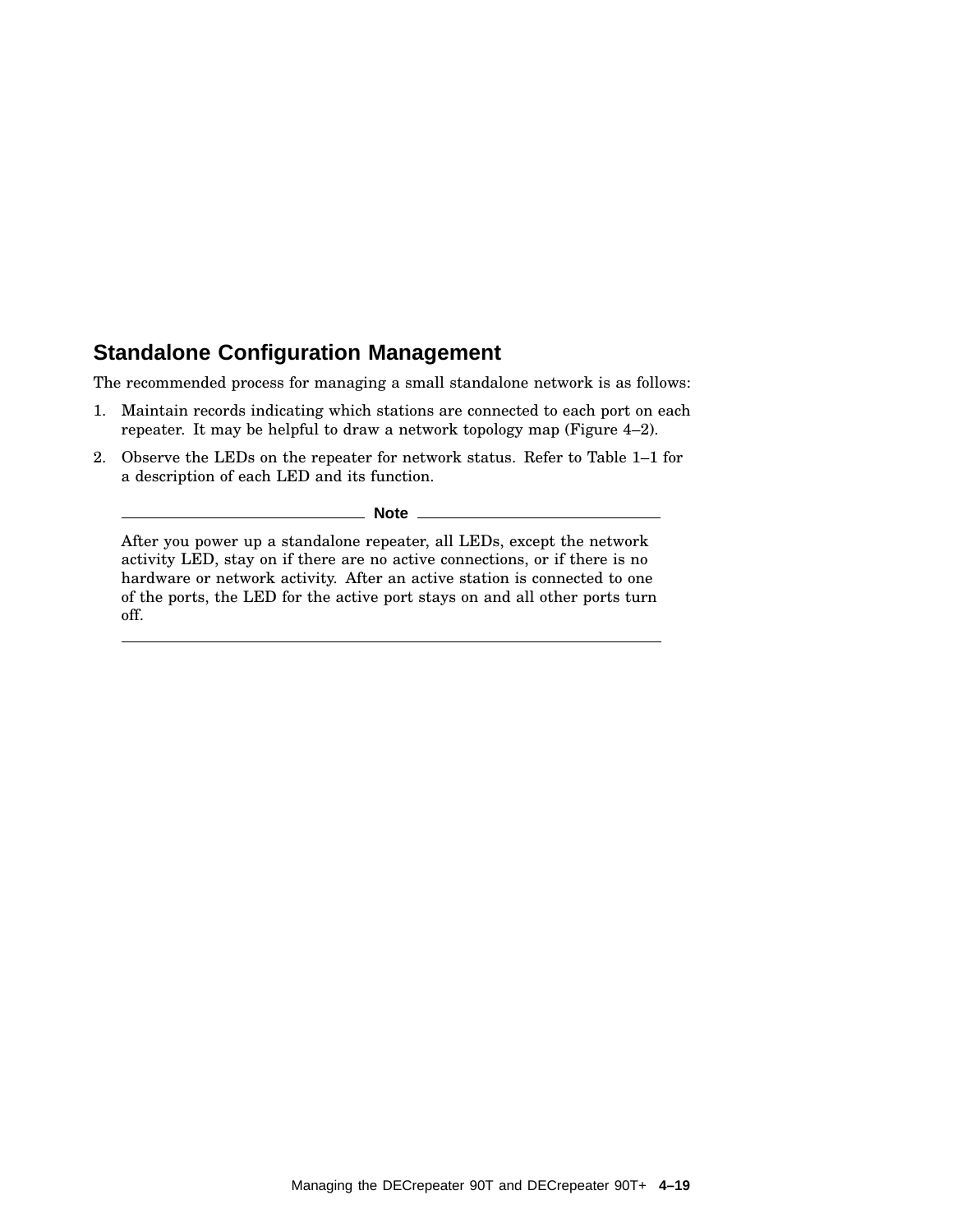### **Standalone Configuration Management**

The recommended process for managing a small standalone network is as follows:

- 1. Maintain records indicating which stations are connected to each port on each repeater. It may be helpful to draw a network topology map (Figure 4–2).
- 2. Observe the LEDs on the repeater for network status. Refer to Table 1–1 for a description of each LED and its function.

**Note** \_

After you power up a standalone repeater, all LEDs, except the network activity LED, stay on if there are no active connections, or if there is no hardware or network activity. After an active station is connected to one of the ports, the LED for the active port stays on and all other ports turn off.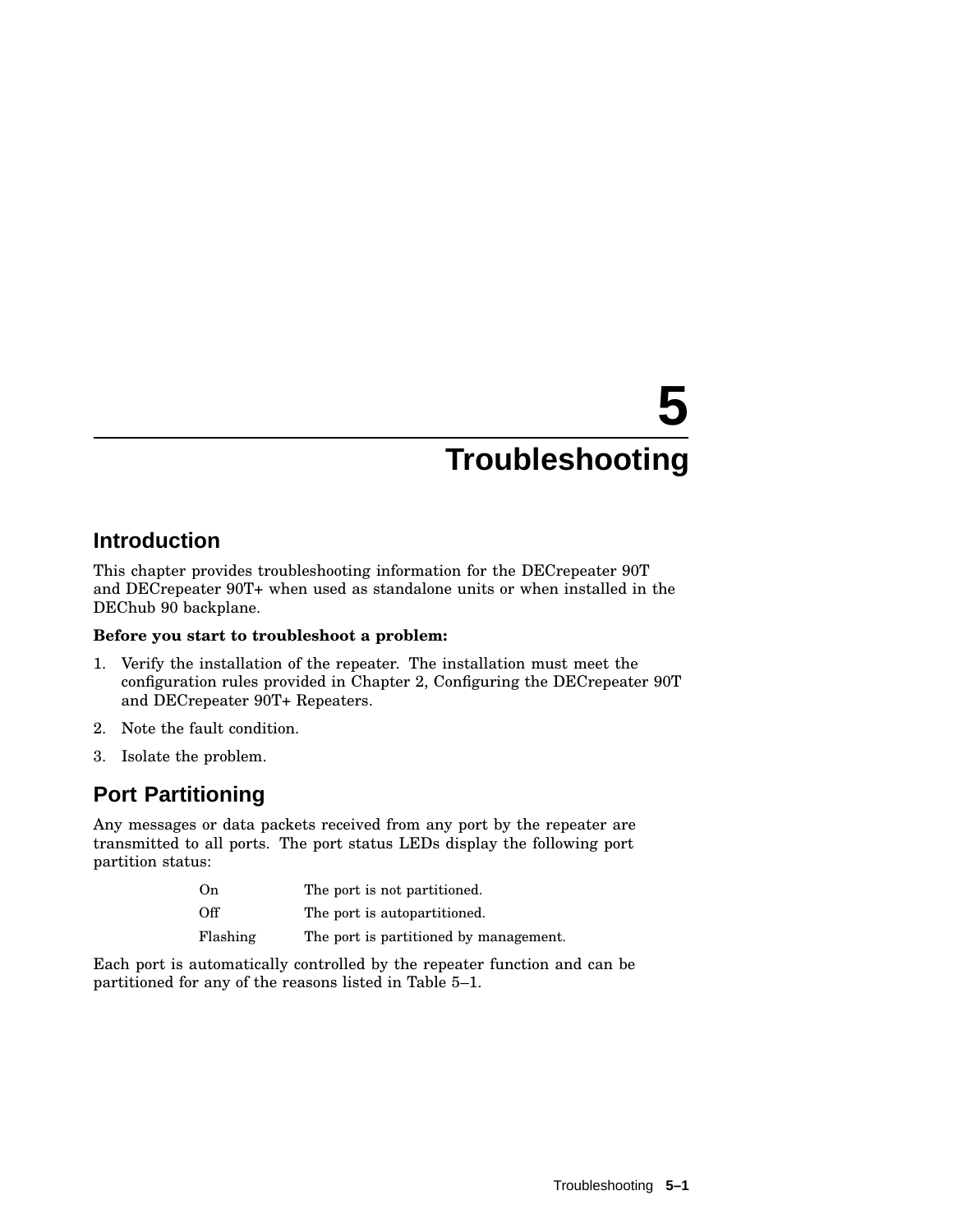# **5 Troubleshooting**

### **Introduction**

This chapter provides troubleshooting information for the DECrepeater 90T and DECrepeater 90T+ when used as standalone units or when installed in the DEChub 90 backplane.

#### **Before you start to troubleshoot a problem:**

- 1. Verify the installation of the repeater. The installation must meet the configuration rules provided in Chapter 2, Configuring the DECrepeater 90T and DECrepeater 90T+ Repeaters.
- 2. Note the fault condition.
- 3. Isolate the problem.

### **Port Partitioning**

Any messages or data packets received from any port by the repeater are transmitted to all ports. The port status LEDs display the following port partition status:

| On       | The port is not partitioned.           |
|----------|----------------------------------------|
| Off      | The port is autopartitioned.           |
| Flashing | The port is partitioned by management. |

Each port is automatically controlled by the repeater function and can be partitioned for any of the reasons listed in Table 5–1.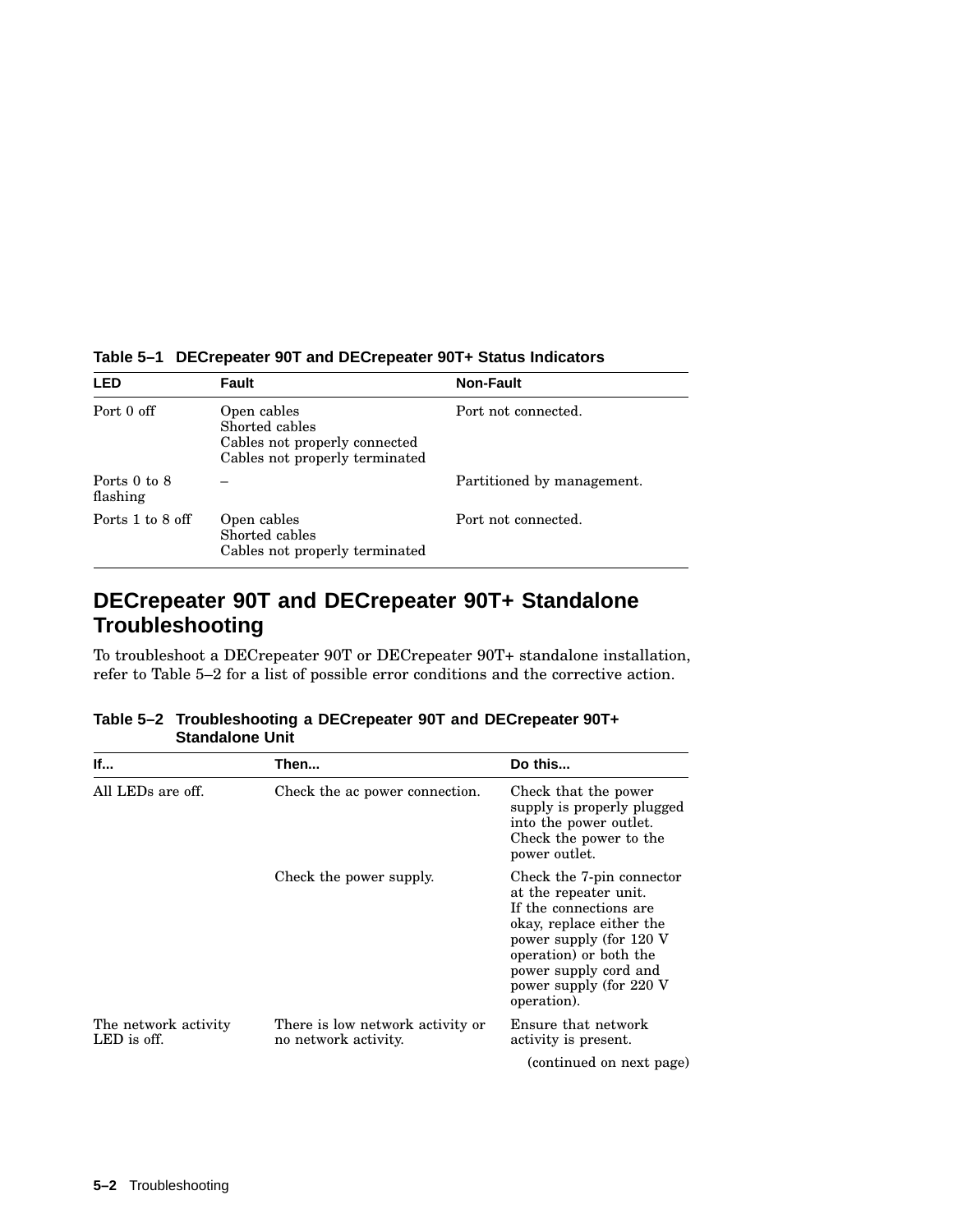| <b>LED</b>               | Fault                                                                                            | <b>Non-Fault</b>           |
|--------------------------|--------------------------------------------------------------------------------------------------|----------------------------|
| Port 0 off               | Open cables<br>Shorted cables<br>Cables not properly connected<br>Cables not properly terminated | Port not connected.        |
| Ports 0 to 8<br>flashing |                                                                                                  | Partitioned by management. |
| Ports 1 to 8 off         | Open cables<br>Shorted cables<br>Cables not properly terminated                                  | Port not connected.        |

**Table 5–1 DECrepeater 90T and DECrepeater 90T+ Status Indicators**

### **DECrepeater 90T and DECrepeater 90T+ Standalone Troubleshooting**

To troubleshoot a DECrepeater 90T or DECrepeater 90T+ standalone installation, refer to Table 5–2 for a list of possible error conditions and the corrective action.

| Table 5-2 Troubleshooting a DECrepeater 90T and DECrepeater 90T+ |
|------------------------------------------------------------------|
| <b>Standalone Unit</b>                                           |

| <b>If</b>                           | Then                                                     | Do this                                                                                                                                                                                                                          |
|-------------------------------------|----------------------------------------------------------|----------------------------------------------------------------------------------------------------------------------------------------------------------------------------------------------------------------------------------|
| All LEDs are off.                   | Check the ac power connection.                           | Check that the power<br>supply is properly plugged<br>into the power outlet.<br>Check the power to the<br>power outlet.                                                                                                          |
|                                     | Check the power supply.                                  | Check the 7-pin connector<br>at the repeater unit.<br>If the connections are<br>okay, replace either the<br>power supply (for 120 V<br>operation) or both the<br>power supply cord and<br>power supply (for 220 V<br>operation). |
| The network activity<br>LED is off. | There is low network activity or<br>no network activity. | Ensure that network<br>activity is present.                                                                                                                                                                                      |
|                                     |                                                          | (continued on next page)                                                                                                                                                                                                         |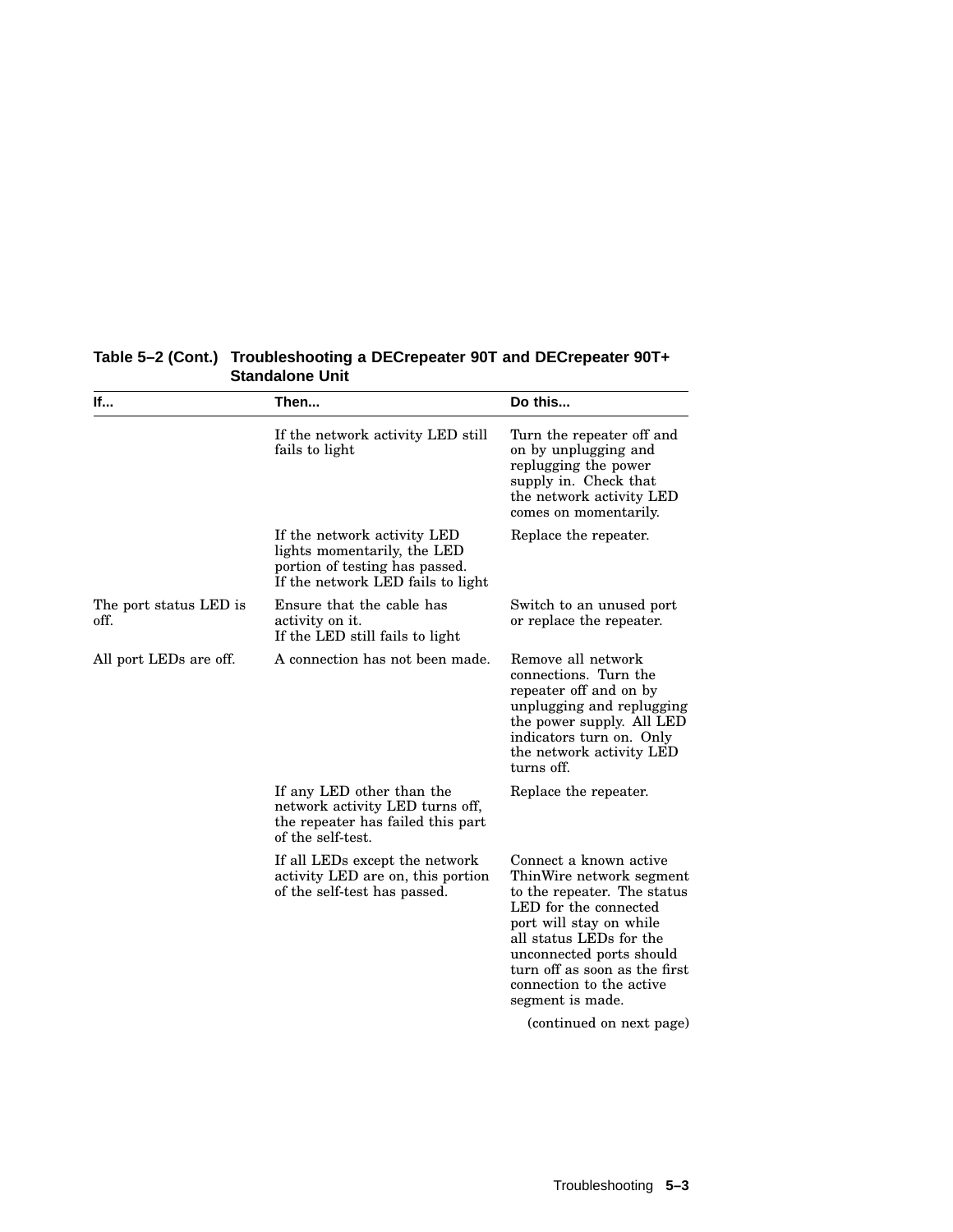| lf                             | Then                                                                                                                              | Do this                                                                                                                                                                                                                                                                                                   |
|--------------------------------|-----------------------------------------------------------------------------------------------------------------------------------|-----------------------------------------------------------------------------------------------------------------------------------------------------------------------------------------------------------------------------------------------------------------------------------------------------------|
|                                | If the network activity LED still<br>fails to light                                                                               | Turn the repeater off and<br>on by unplugging and<br>replugging the power<br>supply in. Check that<br>the network activity LED<br>comes on momentarily.                                                                                                                                                   |
|                                | If the network activity LED<br>lights momentarily, the LED<br>portion of testing has passed.<br>If the network LED fails to light | Replace the repeater.                                                                                                                                                                                                                                                                                     |
| The port status LED is<br>off. | Ensure that the cable has<br>activity on it.<br>If the LED still fails to light                                                   | Switch to an unused port<br>or replace the repeater.                                                                                                                                                                                                                                                      |
| All port LEDs are off.         | A connection has not been made.                                                                                                   | Remove all network<br>connections. Turn the<br>repeater off and on by<br>unplugging and replugging<br>the power supply. All LED<br>indicators turn on. Only<br>the network activity LED<br>turns off.                                                                                                     |
|                                | If any LED other than the<br>network activity LED turns off,<br>the repeater has failed this part<br>of the self-test.            | Replace the repeater.                                                                                                                                                                                                                                                                                     |
|                                | If all LEDs except the network<br>activity LED are on, this portion<br>of the self-test has passed.                               | Connect a known active<br>ThinWire network segment<br>to the repeater. The status<br>LED for the connected<br>port will stay on while<br>all status LEDs for the<br>unconnected ports should<br>turn off as soon as the first<br>connection to the active<br>segment is made.<br>(continued on next page) |

#### **Table 5–2 (Cont.) Troubleshooting a DECrepeater 90T and DECrepeater 90T+ Standalone Unit**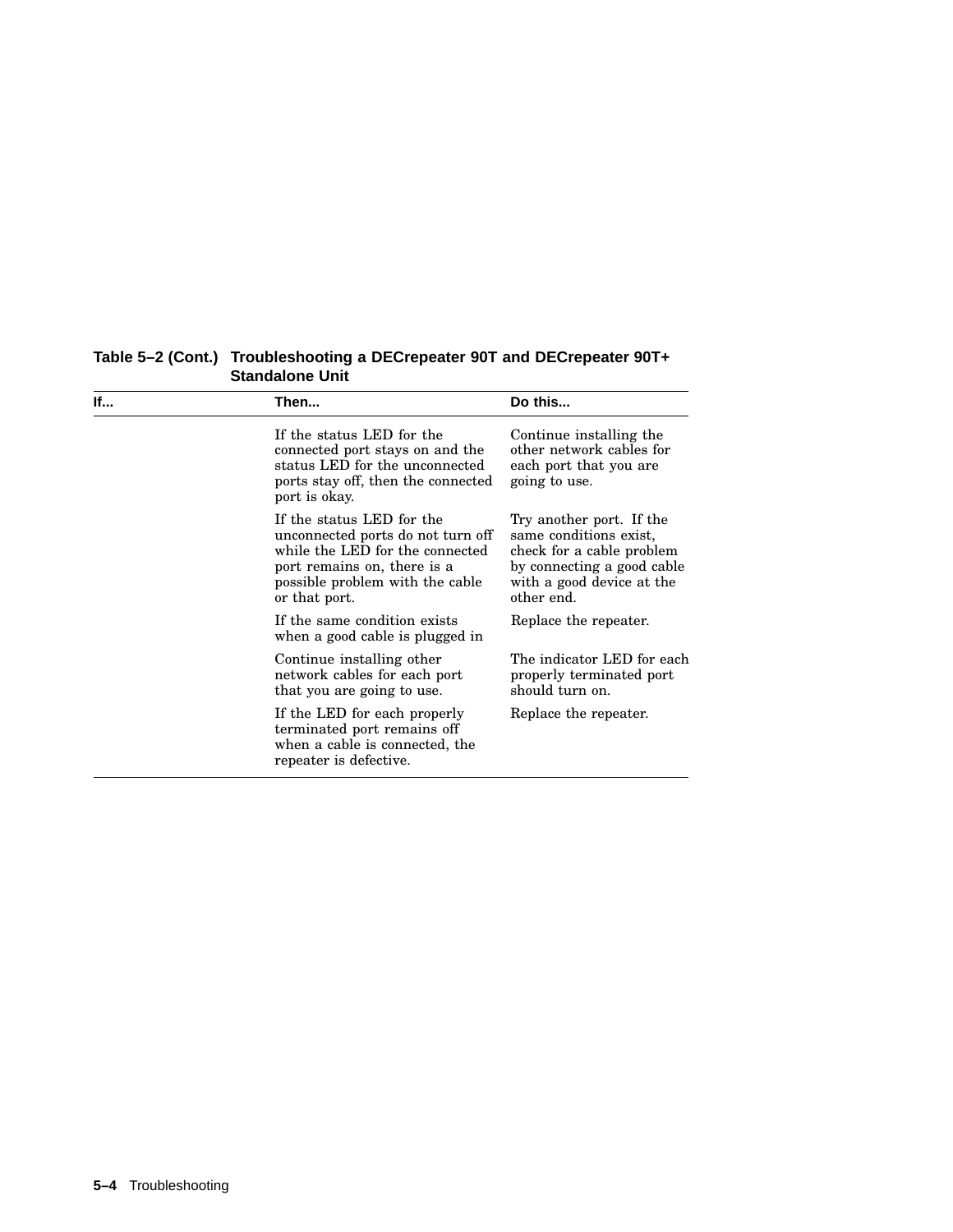| lf | Then                                                                                                                                                                                 | Do this                                                                                                                                                  |
|----|--------------------------------------------------------------------------------------------------------------------------------------------------------------------------------------|----------------------------------------------------------------------------------------------------------------------------------------------------------|
|    | If the status LED for the<br>connected port stays on and the<br>status LED for the unconnected<br>ports stay off, then the connected<br>port is okay.                                | Continue installing the<br>other network cables for<br>each port that you are<br>going to use.                                                           |
|    | If the status LED for the<br>unconnected ports do not turn off<br>while the LED for the connected<br>port remains on, there is a<br>possible problem with the cable<br>or that port. | Try another port. If the<br>same conditions exist,<br>check for a cable problem<br>by connecting a good cable<br>with a good device at the<br>other end. |
|    | If the same condition exists<br>when a good cable is plugged in                                                                                                                      | Replace the repeater.                                                                                                                                    |
|    | Continue installing other<br>network cables for each port<br>that you are going to use.                                                                                              | The indicator LED for each<br>properly terminated port<br>should turn on.                                                                                |
|    | If the LED for each properly<br>terminated port remains off<br>when a cable is connected, the<br>repeater is defective.                                                              | Replace the repeater.                                                                                                                                    |

**Table 5–2 (Cont.) Troubleshooting a DECrepeater 90T and DECrepeater 90T+ Standalone Unit**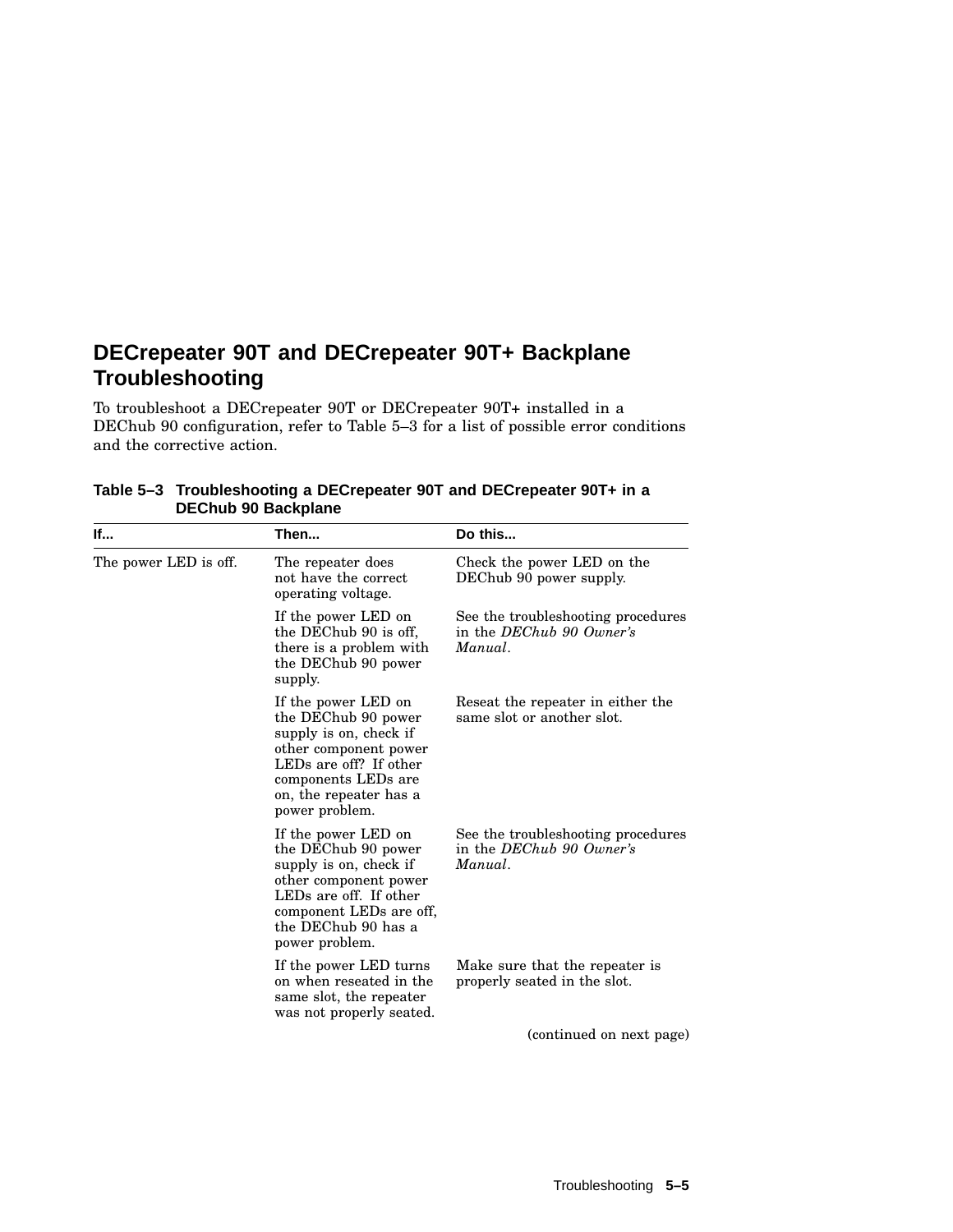### **DECrepeater 90T and DECrepeater 90T+ Backplane Troubleshooting**

To troubleshoot a DECrepeater 90T or DECrepeater 90T+ installed in a DEChub 90 configuration, refer to Table 5–3 for a list of possible error conditions and the corrective action.

| lf                    | Then                                                                                                                                                                                        | Do this                                                                   |
|-----------------------|---------------------------------------------------------------------------------------------------------------------------------------------------------------------------------------------|---------------------------------------------------------------------------|
| The power LED is off. | The repeater does<br>not have the correct<br>operating voltage.                                                                                                                             | Check the power LED on the<br>DEChub 90 power supply.                     |
|                       | If the power LED on<br>the DEChub 90 is off,<br>there is a problem with<br>the DEChub 90 power<br>supply.                                                                                   | See the troubleshooting procedures<br>in the DEChub 90 Owner's<br>Manual. |
|                       | If the power LED on<br>the DEChub 90 power<br>supply is on, check if<br>other component power<br>LEDs are off? If other<br>components LEDs are<br>on, the repeater has a<br>power problem.  | Reseat the repeater in either the<br>same slot or another slot.           |
|                       | If the power LED on<br>the DEChub 90 power<br>supply is on, check if<br>other component power<br>LEDs are off. If other<br>component LEDs are off,<br>the DEChub 90 has a<br>power problem. | See the troubleshooting procedures<br>in the DEChub 90 Owner's<br>Manual. |
|                       | If the power LED turns<br>on when reseated in the<br>same slot, the repeater<br>was not properly seated.                                                                                    | Make sure that the repeater is<br>properly seated in the slot.            |
|                       |                                                                                                                                                                                             | (continued on next page)                                                  |

**Table 5–3 Troubleshooting a DECrepeater 90T and DECrepeater 90T+ in a DEChub 90 Backplane**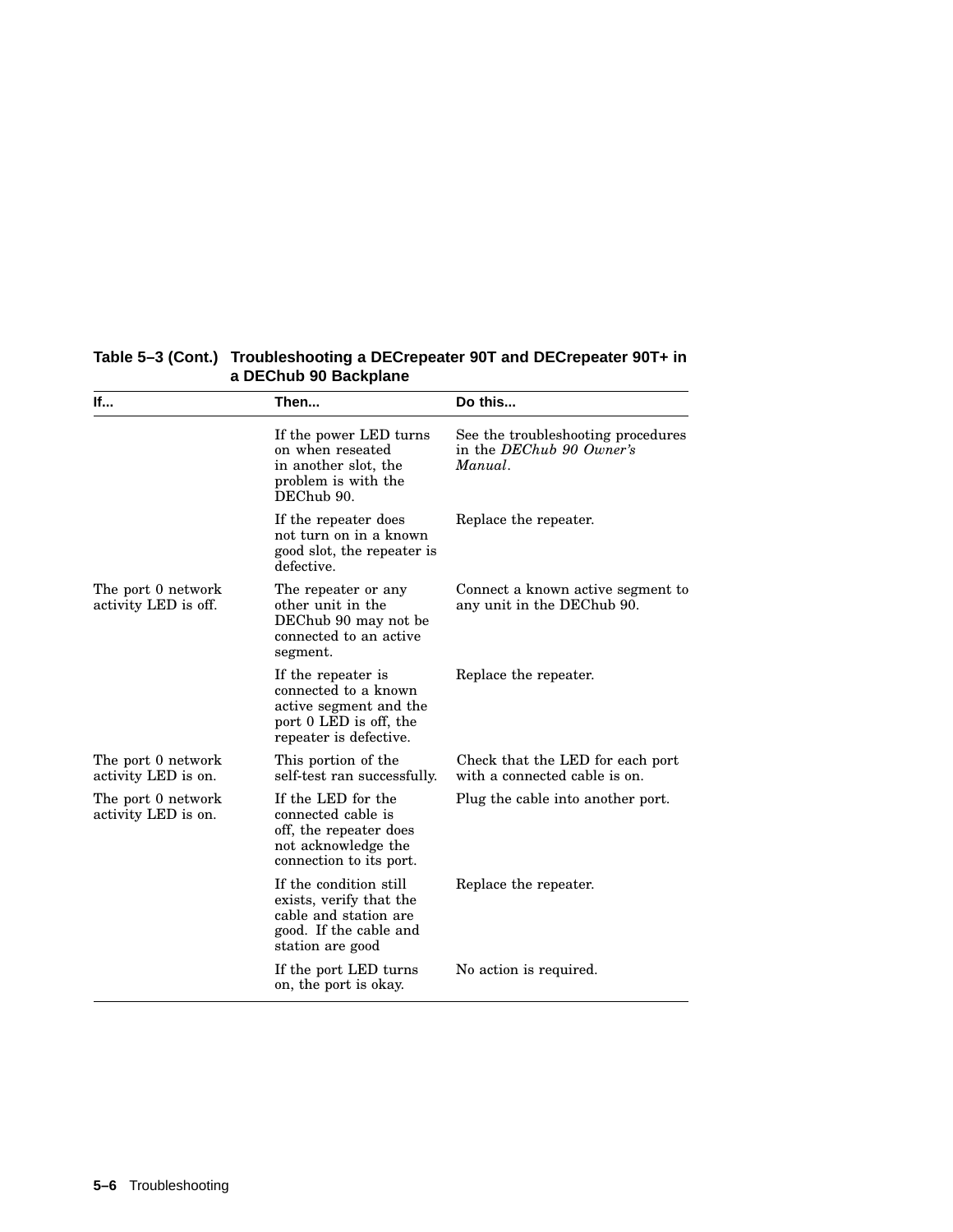| lf                                         | Then                                                                                                                     | Do this                                                                   |
|--------------------------------------------|--------------------------------------------------------------------------------------------------------------------------|---------------------------------------------------------------------------|
|                                            | If the power LED turns<br>on when reseated<br>in another slot, the<br>problem is with the<br>DEChub 90.                  | See the troubleshooting procedures<br>in the DEChub 90 Owner's<br>Manual. |
|                                            | If the repeater does<br>not turn on in a known<br>good slot, the repeater is<br>defective.                               | Replace the repeater.                                                     |
| The port 0 network<br>activity LED is off. | The repeater or any<br>other unit in the<br>DEChub 90 may not be<br>connected to an active<br>segment.                   | Connect a known active segment to<br>any unit in the DEChub 90.           |
|                                            | If the repeater is<br>connected to a known<br>active segment and the<br>port 0 LED is off, the<br>repeater is defective. | Replace the repeater.                                                     |
| The port 0 network<br>activity LED is on.  | This portion of the<br>self-test ran successfully.                                                                       | Check that the LED for each port<br>with a connected cable is on.         |
| The port 0 network<br>activity LED is on.  | If the LED for the<br>connected cable is<br>off, the repeater does<br>not acknowledge the<br>connection to its port.     | Plug the cable into another port.                                         |
|                                            | If the condition still<br>exists, verify that the<br>cable and station are<br>good. If the cable and<br>station are good | Replace the repeater.                                                     |
|                                            | If the port LED turns<br>on, the port is okay.                                                                           | No action is required.                                                    |

#### **Table 5–3 (Cont.) Troubleshooting a DECrepeater 90T and DECrepeater 90T+ in a DEChub 90 Backplane**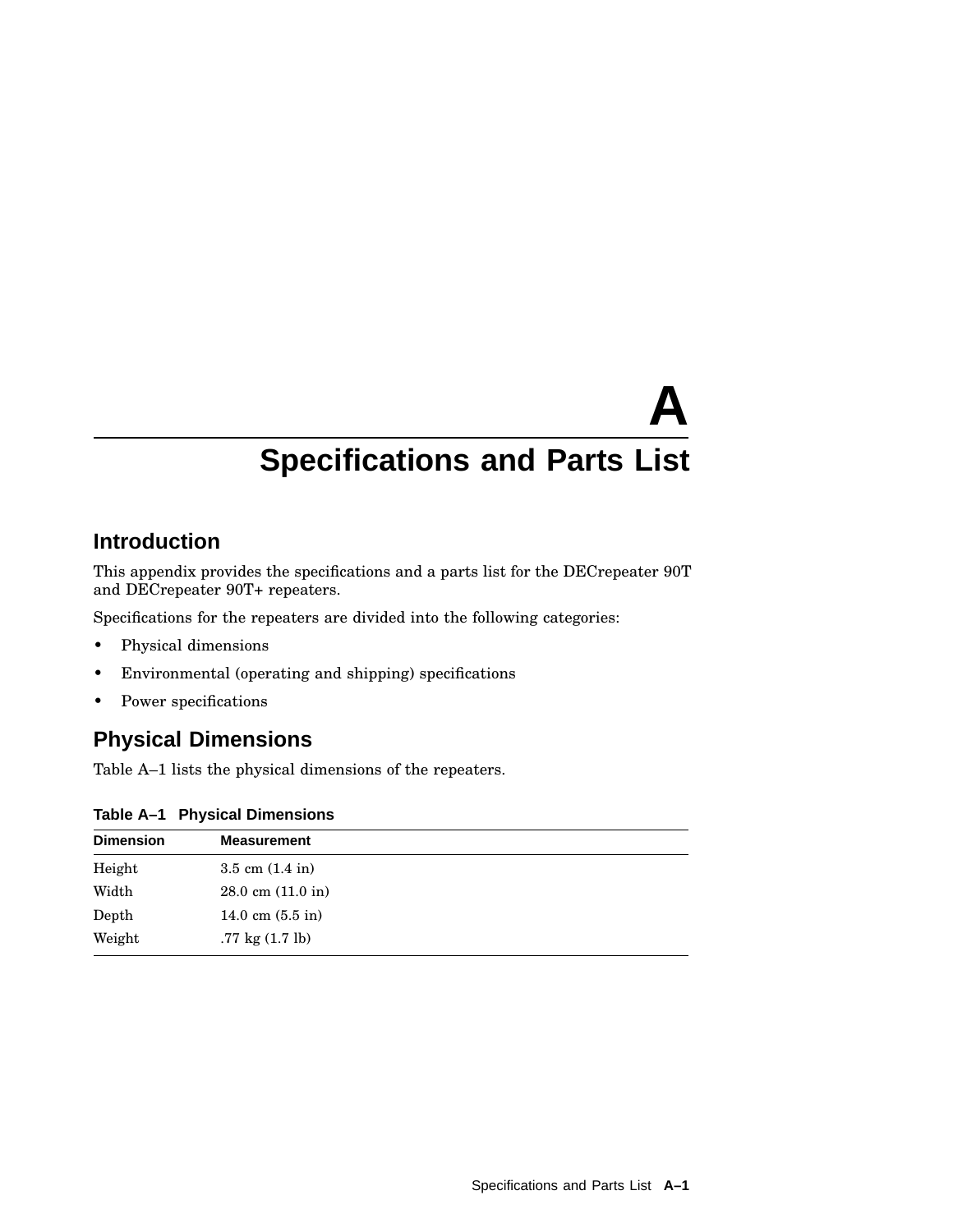# **A Specifications and Parts List**

### **Introduction**

This appendix provides the specifications and a parts list for the DECrepeater 90T and DECrepeater 90T+ repeaters.

Specifications for the repeaters are divided into the following categories:

- Physical dimensions
- Environmental (operating and shipping) specifications
- Power specifications

### **Physical Dimensions**

Table A–1 lists the physical dimensions of the repeaters.

| Table A-1 Physical Dimensions |  |  |  |
|-------------------------------|--|--|--|
|-------------------------------|--|--|--|

| <b>Dimension</b> | <b>Measurement</b>                   |  |
|------------------|--------------------------------------|--|
| Height           | $3.5$ cm $(1.4 \text{ in})$          |  |
| Width            | $28.0 \text{ cm } (11.0 \text{ in})$ |  |
| Depth            | 14.0 cm $(5.5 \text{ in})$           |  |
| Weight           | $.77 \text{ kg} (1.7 \text{ lb})$    |  |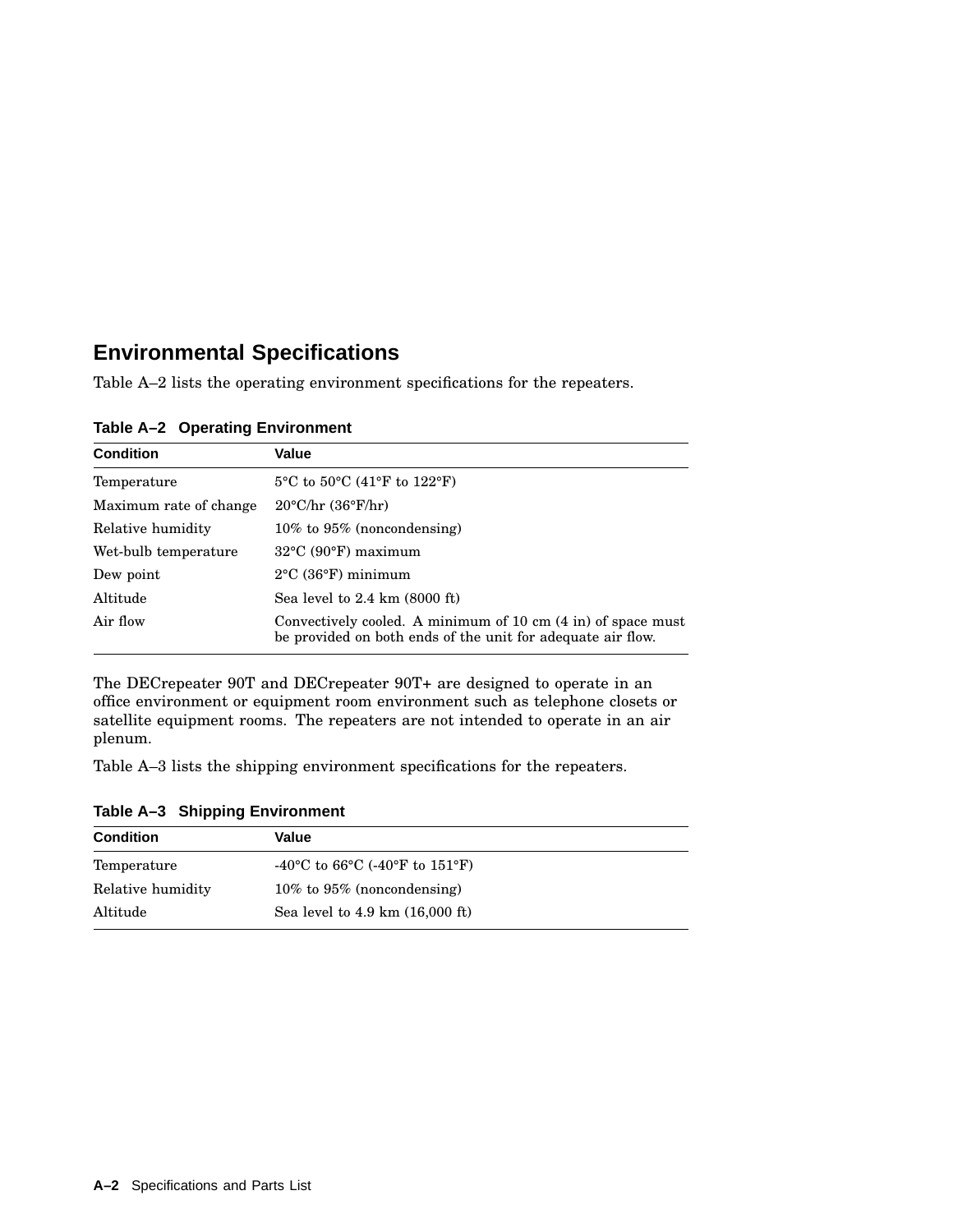### **Environmental Specifications**

Table A–2 lists the operating environment specifications for the repeaters.

| <b>Condition</b>       | Value                                                                                                                       |
|------------------------|-----------------------------------------------------------------------------------------------------------------------------|
| Temperature            | $5^{\circ}$ C to $50^{\circ}$ C (41 $^{\circ}$ F to 122 $^{\circ}$ F)                                                       |
| Maximum rate of change | $20^{\circ}$ C/hr $(36^{\circ}F/hr)$                                                                                        |
| Relative humidity      | $10\%$ to $95\%$ (noncondensing)                                                                                            |
| Wet-bulb temperature   | $32^{\circ}$ C (90 $^{\circ}$ F) maximum                                                                                    |
| Dew point              | $2^{\circ}$ C (36 $^{\circ}$ F) minimum                                                                                     |
| Altitude               | Sea level to $2.4 \text{ km}$ (8000 ft)                                                                                     |
| Air flow               | Convectively cooled. A minimum of 10 cm (4 in) of space must<br>be provided on both ends of the unit for adequate air flow. |

**Table A–2 Operating Environment**

The DECrepeater 90T and DECrepeater 90T+ are designed to operate in an office environment or equipment room environment such as telephone closets or satellite equipment rooms. The repeaters are not intended to operate in an air plenum.

Table A–3 lists the shipping environment specifications for the repeaters.

| <b>Condition</b>  | Value                                                                              |  |
|-------------------|------------------------------------------------------------------------------------|--|
| Temperature       | -40 <sup>o</sup> C to 66 <sup>o</sup> C (-40 <sup>o</sup> F to 151 <sup>o</sup> F) |  |
| Relative humidity | $10\%$ to $95\%$ (noncondensing)                                                   |  |
| Altitude          | Sea level to 4.9 km (16,000 ft)                                                    |  |

**Table A–3 Shipping Environment**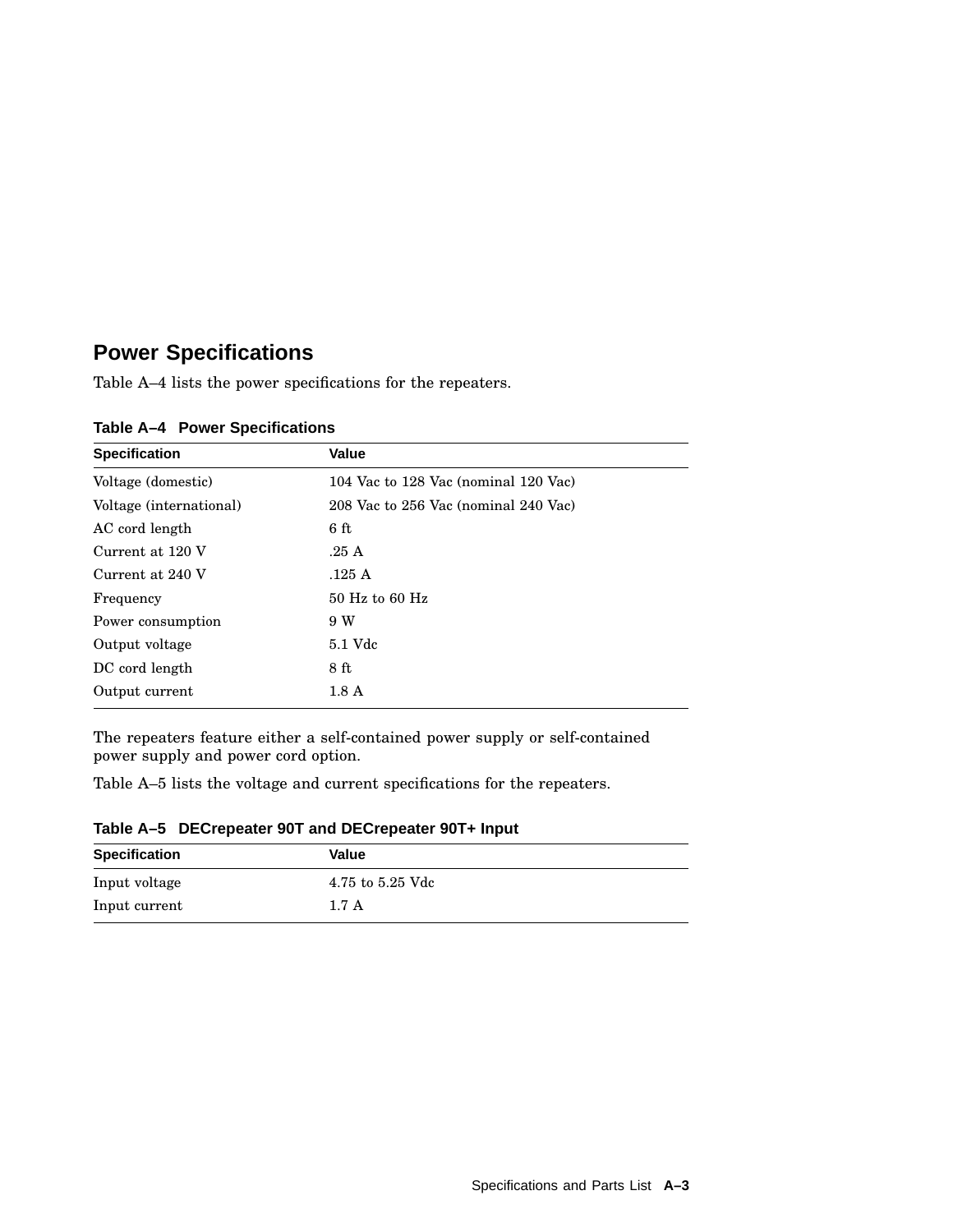### **Power Specifications**

Table A–4 lists the power specifications for the repeaters.

| <b>Specification</b>    | <b>Value</b>                         |
|-------------------------|--------------------------------------|
| Voltage (domestic)      | 104 Vac to 128 Vac (nominal 120 Vac) |
| Voltage (international) | 208 Vac to 256 Vac (nominal 240 Vac) |
| AC cord length          | 6ft                                  |
| Current at 120 V        | .25A                                 |
| Current at 240 V        | .125A                                |
| Frequency               | $50$ Hz to $60$ Hz                   |
| Power consumption       | 9 W                                  |
| Output voltage          | 5.1 Vdc                              |
| DC cord length          | 8 ft                                 |
| Output current          | 1.8 <sub>A</sub>                     |

**Table A–4 Power Specifications**

The repeaters feature either a self-contained power supply or self-contained power supply and power cord option.

Table A–5 lists the voltage and current specifications for the repeaters.

| Table A-5 DECrepeater 90T and DECrepeater 90T+ Input |  |  |  |  |
|------------------------------------------------------|--|--|--|--|
|------------------------------------------------------|--|--|--|--|

| <b>Specification</b> | Value            |
|----------------------|------------------|
| Input voltage        | 4.75 to 5.25 Vdc |
| Input current        | 1.7A             |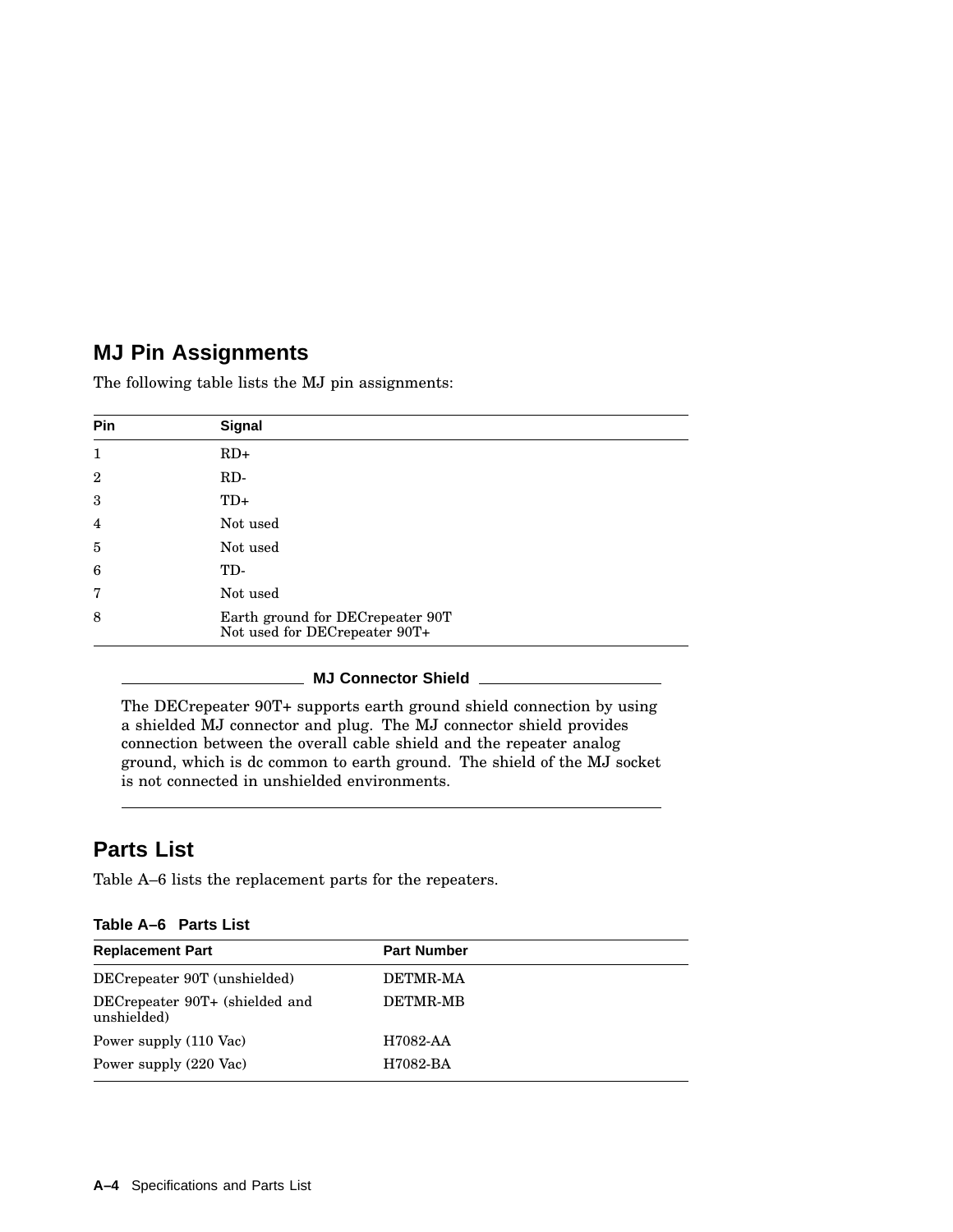### **MJ Pin Assignments**

The following table lists the MJ pin assignments:

| Pin            | Signal                                                            |
|----------------|-------------------------------------------------------------------|
| $\mathbf{1}$   | $RD+$                                                             |
| $\overline{2}$ | RD-                                                               |
| 3              | $TD+$                                                             |
| $\overline{4}$ | Not used                                                          |
| 5              | Not used                                                          |
| 6              | TD-                                                               |
| 7              | Not used                                                          |
| 8              | Earth ground for DECrepeater 90T<br>Not used for DECrepeater 90T+ |

#### **MJ Connector Shield**

The DECrepeater 90T+ supports earth ground shield connection by using a shielded MJ connector and plug. The MJ connector shield provides connection between the overall cable shield and the repeater analog ground, which is dc common to earth ground. The shield of the MJ socket is not connected in unshielded environments.

### **Parts List**

Table A–6 lists the replacement parts for the repeaters.

| Table A-6 Parts List |  |  |
|----------------------|--|--|
|----------------------|--|--|

| <b>Replacement Part</b>                       | <b>Part Number</b> |
|-----------------------------------------------|--------------------|
| DECrepeater 90T (unshielded)                  | DETMR-MA           |
| DECrepeater 90T+ (shielded and<br>unshielded) | DETMR-MB           |
| Power supply (110 Vac)                        | H7082-AA           |
| Power supply (220 Vac)                        | H7082-BA           |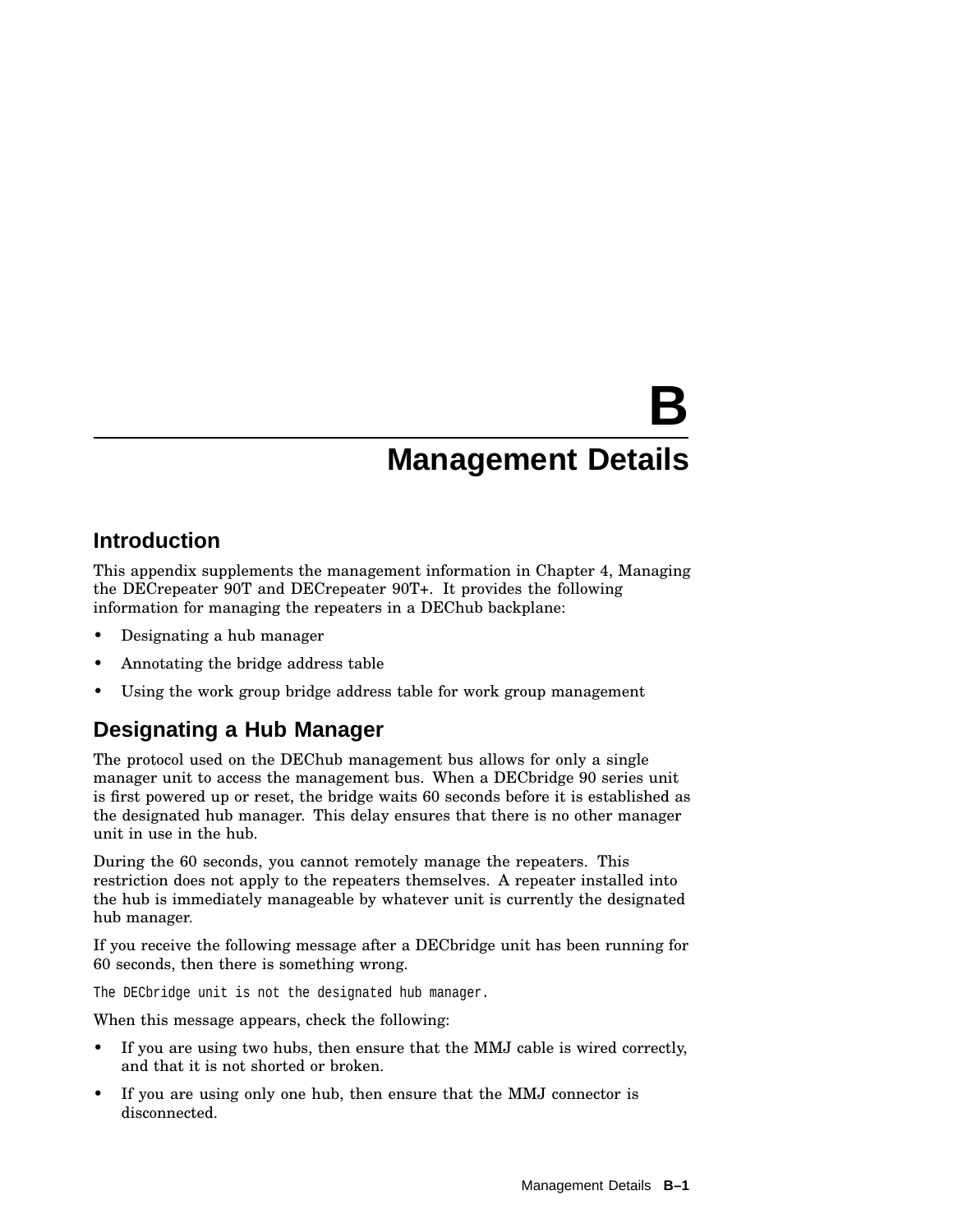# **B Management Details**

### **Introduction**

This appendix supplements the management information in Chapter 4, Managing the DECrepeater 90T and DECrepeater 90T+. It provides the following information for managing the repeaters in a DEChub backplane:

- Designating a hub manager
- Annotating the bridge address table
- Using the work group bridge address table for work group management

### **Designating a Hub Manager**

The protocol used on the DEChub management bus allows for only a single manager unit to access the management bus. When a DECbridge 90 series unit is first powered up or reset, the bridge waits 60 seconds before it is established as the designated hub manager. This delay ensures that there is no other manager unit in use in the hub.

During the 60 seconds, you cannot remotely manage the repeaters. This restriction does not apply to the repeaters themselves. A repeater installed into the hub is immediately manageable by whatever unit is currently the designated hub manager.

If you receive the following message after a DECbridge unit has been running for 60 seconds, then there is something wrong.

The DECbridge unit is not the designated hub manager.

When this message appears, check the following:

- If you are using two hubs, then ensure that the MMJ cable is wired correctly, and that it is not shorted or broken.
- If you are using only one hub, then ensure that the MMJ connector is disconnected.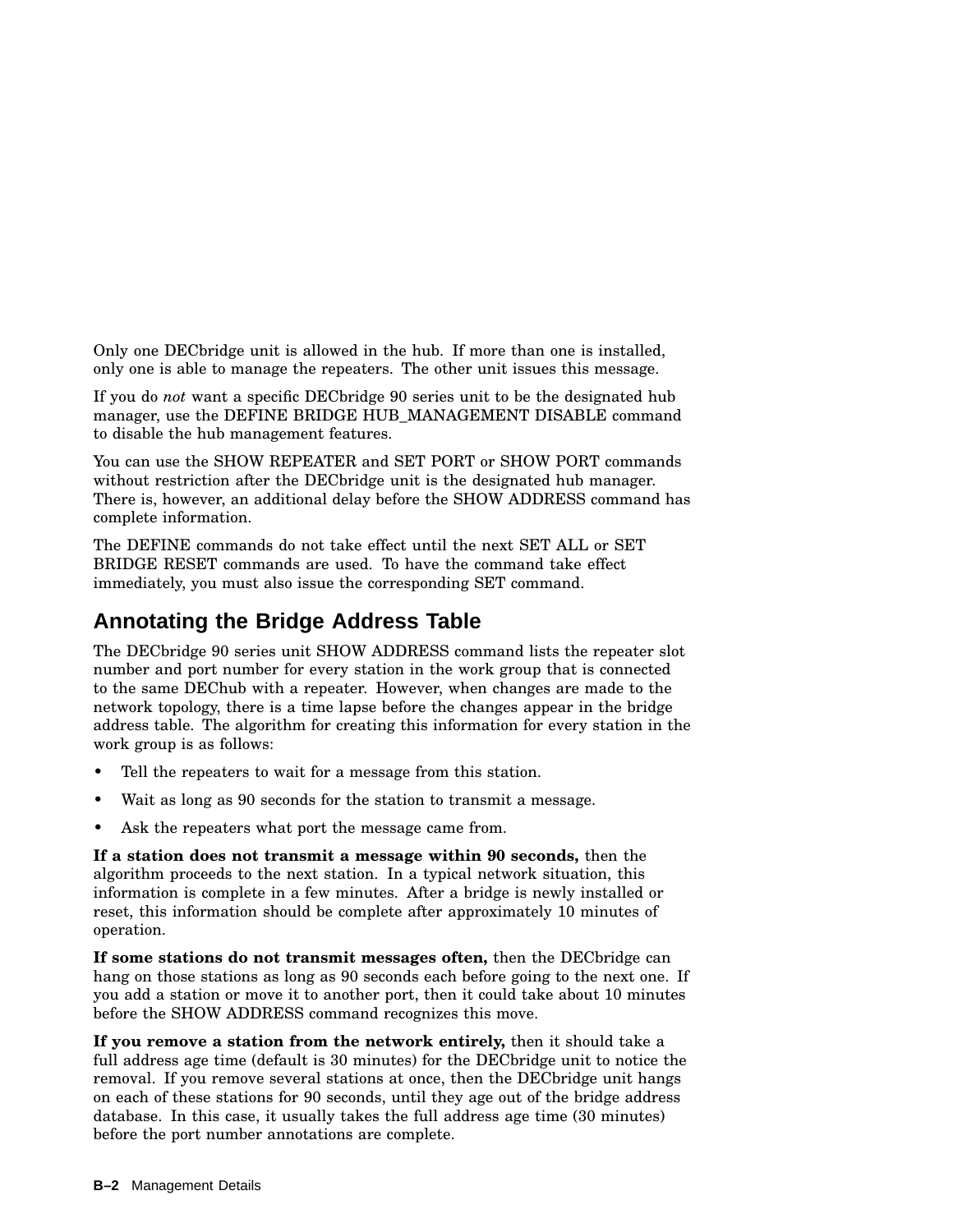Only one DECbridge unit is allowed in the hub. If more than one is installed, only one is able to manage the repeaters. The other unit issues this message.

If you do *not* want a specific DECbridge 90 series unit to be the designated hub manager, use the DEFINE BRIDGE HUB\_MANAGEMENT DISABLE command to disable the hub management features.

You can use the SHOW REPEATER and SET PORT or SHOW PORT commands without restriction after the DECbridge unit is the designated hub manager. There is, however, an additional delay before the SHOW ADDRESS command has complete information.

The DEFINE commands do not take effect until the next SET ALL or SET BRIDGE RESET commands are used. To have the command take effect immediately, you must also issue the corresponding SET command.

### **Annotating the Bridge Address Table**

The DECbridge 90 series unit SHOW ADDRESS command lists the repeater slot number and port number for every station in the work group that is connected to the same DEChub with a repeater. However, when changes are made to the network topology, there is a time lapse before the changes appear in the bridge address table. The algorithm for creating this information for every station in the work group is as follows:

- Tell the repeaters to wait for a message from this station.
- Wait as long as 90 seconds for the station to transmit a message.
- Ask the repeaters what port the message came from.

**If a station does not transmit a message within 90 seconds,** then the algorithm proceeds to the next station. In a typical network situation, this information is complete in a few minutes. After a bridge is newly installed or reset, this information should be complete after approximately 10 minutes of operation.

**If some stations do not transmit messages often,** then the DECbridge can hang on those stations as long as 90 seconds each before going to the next one. If you add a station or move it to another port, then it could take about 10 minutes before the SHOW ADDRESS command recognizes this move.

**If you remove a station from the network entirely,** then it should take a full address age time (default is 30 minutes) for the DECbridge unit to notice the removal. If you remove several stations at once, then the DECbridge unit hangs on each of these stations for 90 seconds, until they age out of the bridge address database. In this case, it usually takes the full address age time (30 minutes) before the port number annotations are complete.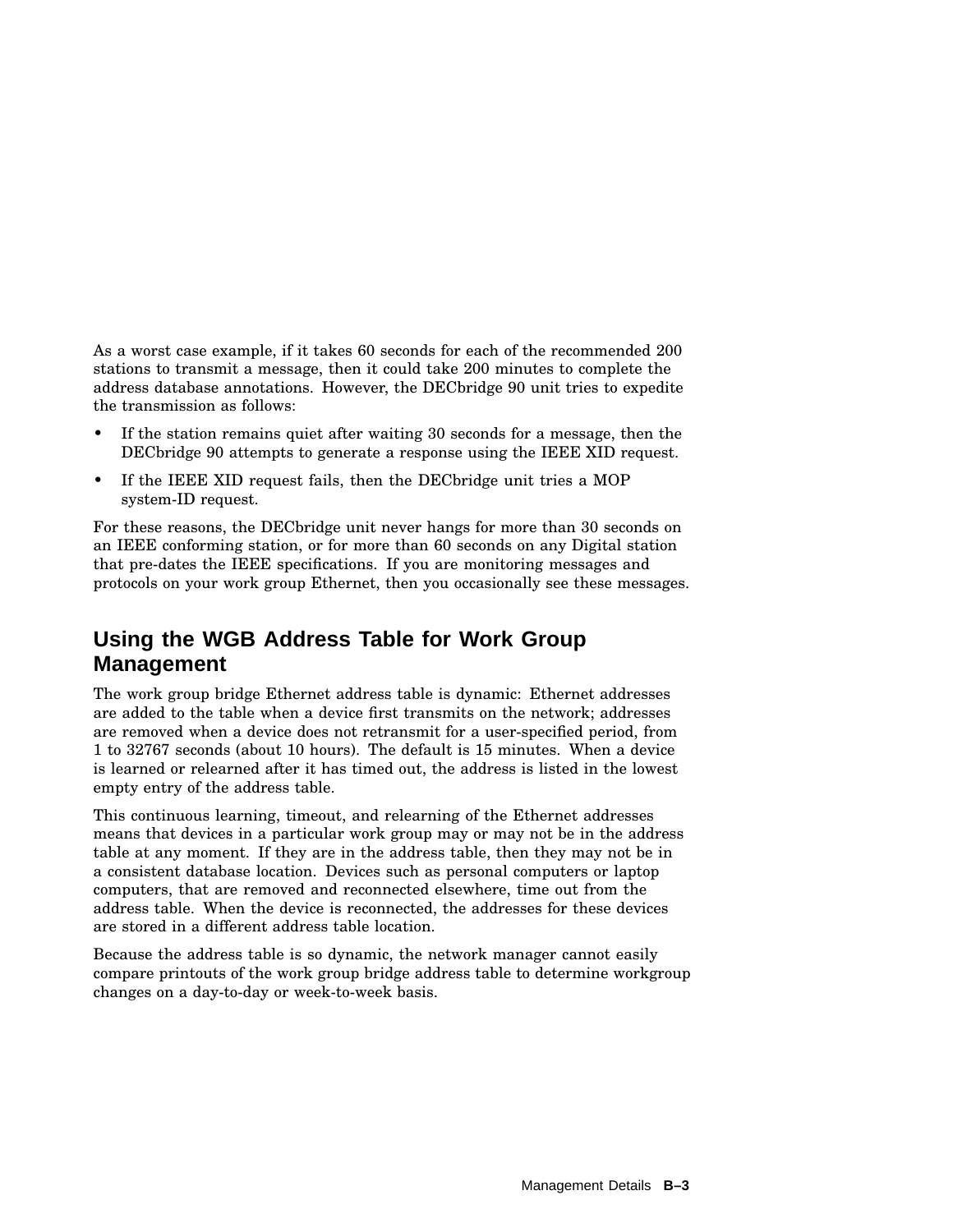As a worst case example, if it takes 60 seconds for each of the recommended 200 stations to transmit a message, then it could take 200 minutes to complete the address database annotations. However, the DECbridge 90 unit tries to expedite the transmission as follows:

- If the station remains quiet after waiting 30 seconds for a message, then the DECbridge 90 attempts to generate a response using the IEEE XID request.
- If the IEEE XID request fails, then the DECbridge unit tries a MOP system-ID request.

For these reasons, the DECbridge unit never hangs for more than 30 seconds on an IEEE conforming station, or for more than 60 seconds on any Digital station that pre-dates the IEEE specifications. If you are monitoring messages and protocols on your work group Ethernet, then you occasionally see these messages.

### **Using the WGB Address Table for Work Group Management**

The work group bridge Ethernet address table is dynamic: Ethernet addresses are added to the table when a device first transmits on the network; addresses are removed when a device does not retransmit for a user-specified period, from 1 to 32767 seconds (about 10 hours). The default is 15 minutes. When a device is learned or relearned after it has timed out, the address is listed in the lowest empty entry of the address table.

This continuous learning, timeout, and relearning of the Ethernet addresses means that devices in a particular work group may or may not be in the address table at any moment. If they are in the address table, then they may not be in a consistent database location. Devices such as personal computers or laptop computers, that are removed and reconnected elsewhere, time out from the address table. When the device is reconnected, the addresses for these devices are stored in a different address table location.

Because the address table is so dynamic, the network manager cannot easily compare printouts of the work group bridge address table to determine workgroup changes on a day-to-day or week-to-week basis.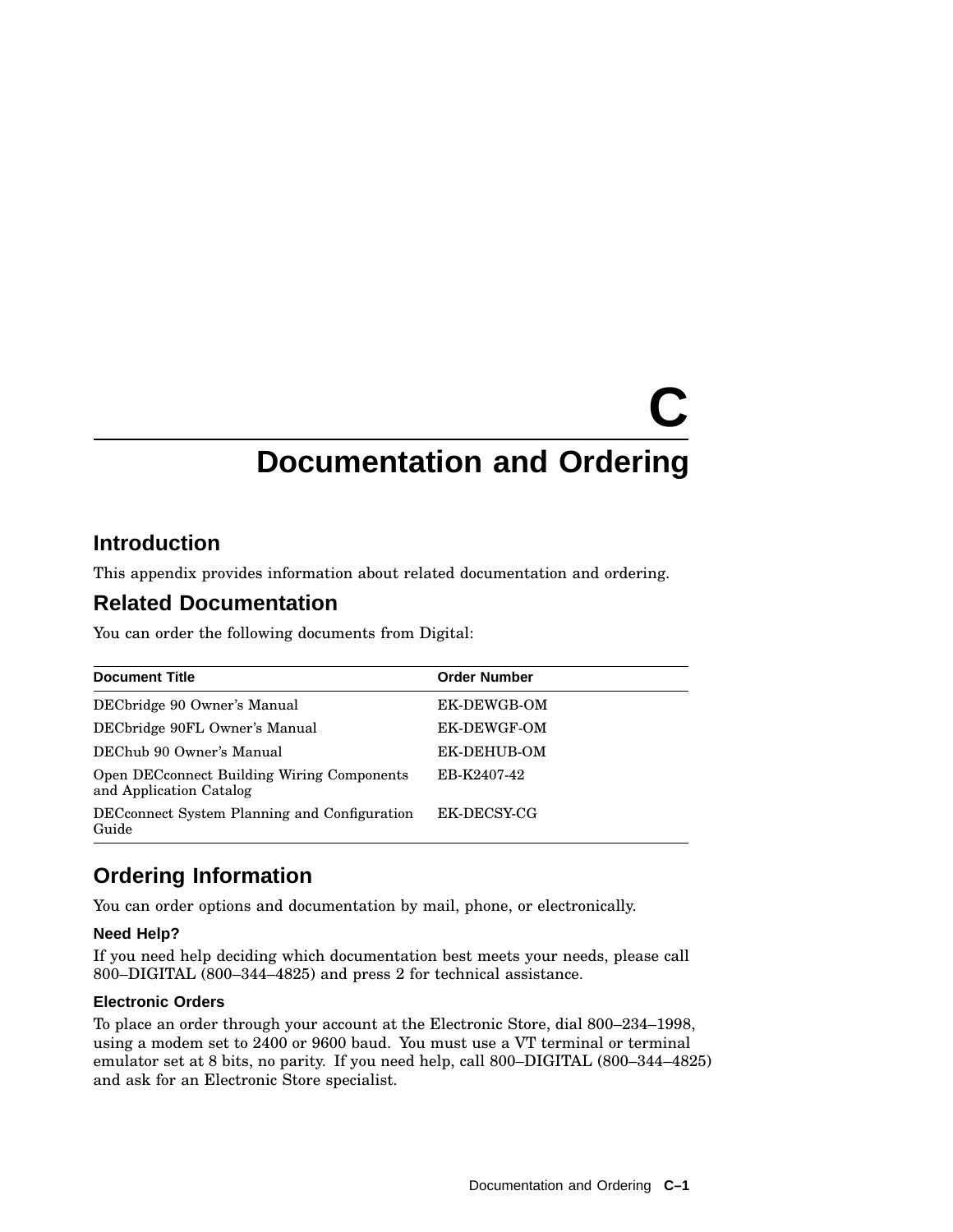# **C Documentation and Ordering**

### **Introduction**

This appendix provides information about related documentation and ordering.

### **Related Documentation**

You can order the following documents from Digital:

| <b>Document Title</b>                                                        | <b>Order Number</b> |
|------------------------------------------------------------------------------|---------------------|
| DECbridge 90 Owner's Manual                                                  | EK-DEWGB-OM         |
| DECbridge 90FL Owner's Manual                                                | EK-DEWGF-OM         |
| DEChub 90 Owner's Manual                                                     | EK-DEHUB-OM         |
| <b>Open DECconnect Building Wiring Components</b><br>and Application Catalog | EB-K2407-42         |
| DEC connect System Planning and Configuration<br>Guide                       | EK-DECSY-CG         |

### **Ordering Information**

You can order options and documentation by mail, phone, or electronically.

#### **Need Help?**

If you need help deciding which documentation best meets your needs, please call 800–DIGITAL (800–344–4825) and press 2 for technical assistance.

#### **Electronic Orders**

To place an order through your account at the Electronic Store, dial 800–234–1998, using a modem set to 2400 or 9600 baud. You must use a VT terminal or terminal emulator set at 8 bits, no parity. If you need help, call 800–DIGITAL (800–344–4825) and ask for an Electronic Store specialist.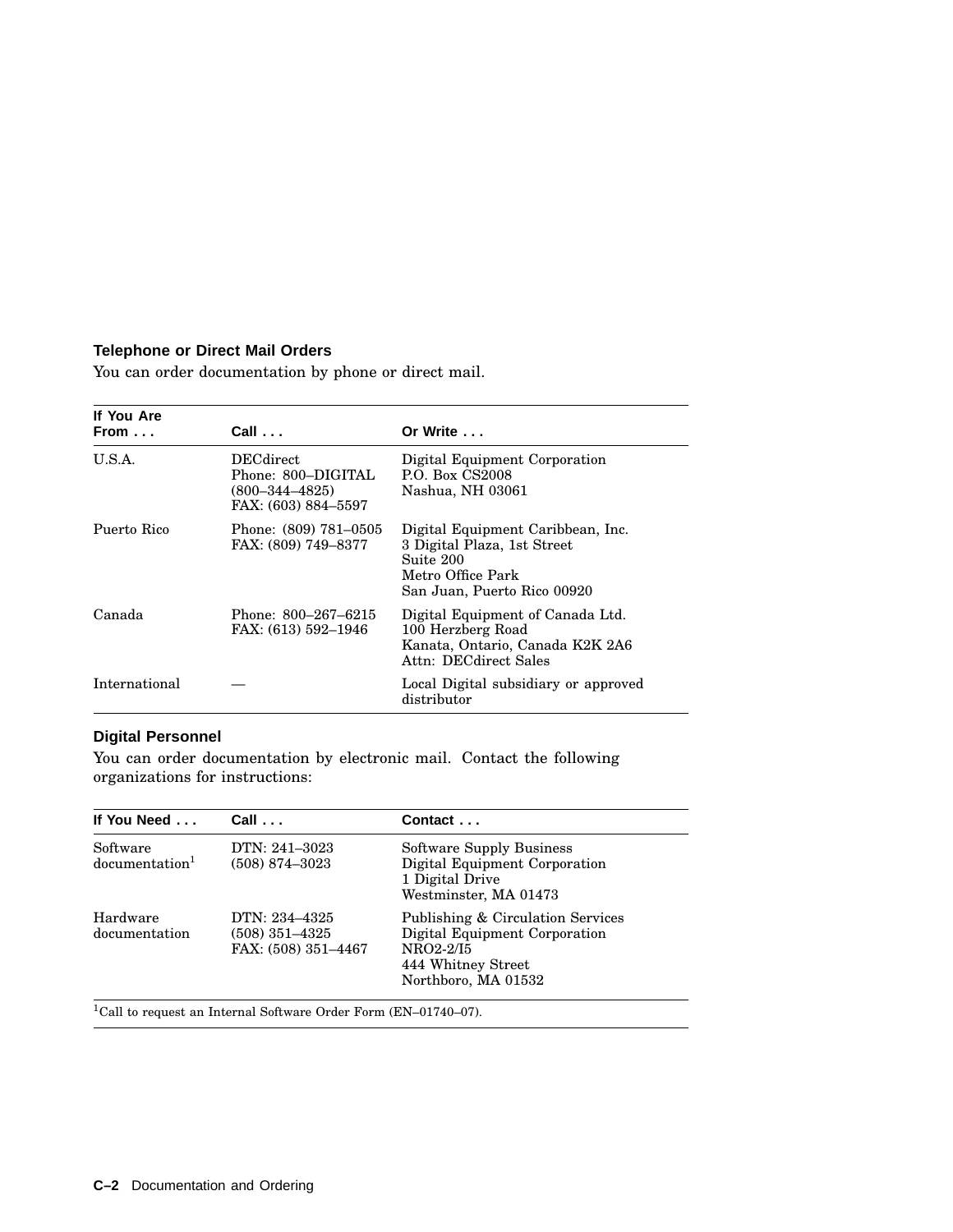#### **Telephone or Direct Mail Orders**

You can order documentation by phone or direct mail.

| If You Are<br>From | $Call \ldots$                                                                         | Or Write                                                                                                                          |
|--------------------|---------------------------------------------------------------------------------------|-----------------------------------------------------------------------------------------------------------------------------------|
| U.S.A.             | <b>DECdirect</b><br>Phone: 800–DIGITAL<br>$(800 - 344 - 4825)$<br>FAX: (603) 884-5597 | Digital Equipment Corporation<br><b>P.O. Box CS2008</b><br>Nashua, NH 03061                                                       |
| Puerto Rico        | Phone: (809) 781–0505<br>FAX: (809) 749–8377                                          | Digital Equipment Caribbean, Inc.<br>3 Digital Plaza, 1st Street<br>Suite 200<br>Metro Office Park<br>San Juan, Puerto Rico 00920 |
| Canada             | Phone: 800–267–6215<br>FAX: (613) 592–1946                                            | Digital Equipment of Canada Ltd.<br>100 Herzberg Road<br>Kanata, Ontario, Canada K2K 2A6<br>Attn: DECdirect Sales                 |
| International      |                                                                                       | Local Digital subsidiary or approved<br>distributor                                                                               |

#### **Digital Personnel**

You can order documentation by electronic mail. Contact the following organizations for instructions:

| If You Need                            | $Call \ldots$                                            | Contact $\dots$                                                                                                              |
|----------------------------------------|----------------------------------------------------------|------------------------------------------------------------------------------------------------------------------------------|
| Software<br>documentation <sup>1</sup> | DTN: 241-3023<br>$(508)$ 874-3023                        | Software Supply Business<br>Digital Equipment Corporation<br>1 Digital Drive<br>Westminster, MA 01473                        |
| Hardware<br>documentation              | DTN: 234–4325<br>$(508)$ 351-4325<br>FAX: (508) 351-4467 | Publishing & Circulation Services<br>Digital Equipment Corporation<br>NRO2-2/I5<br>444 Whitney Street<br>Northboro, MA 01532 |

 $^1\mathrm{Call}$  to request an Internal Software Order Form (EN–01740–07).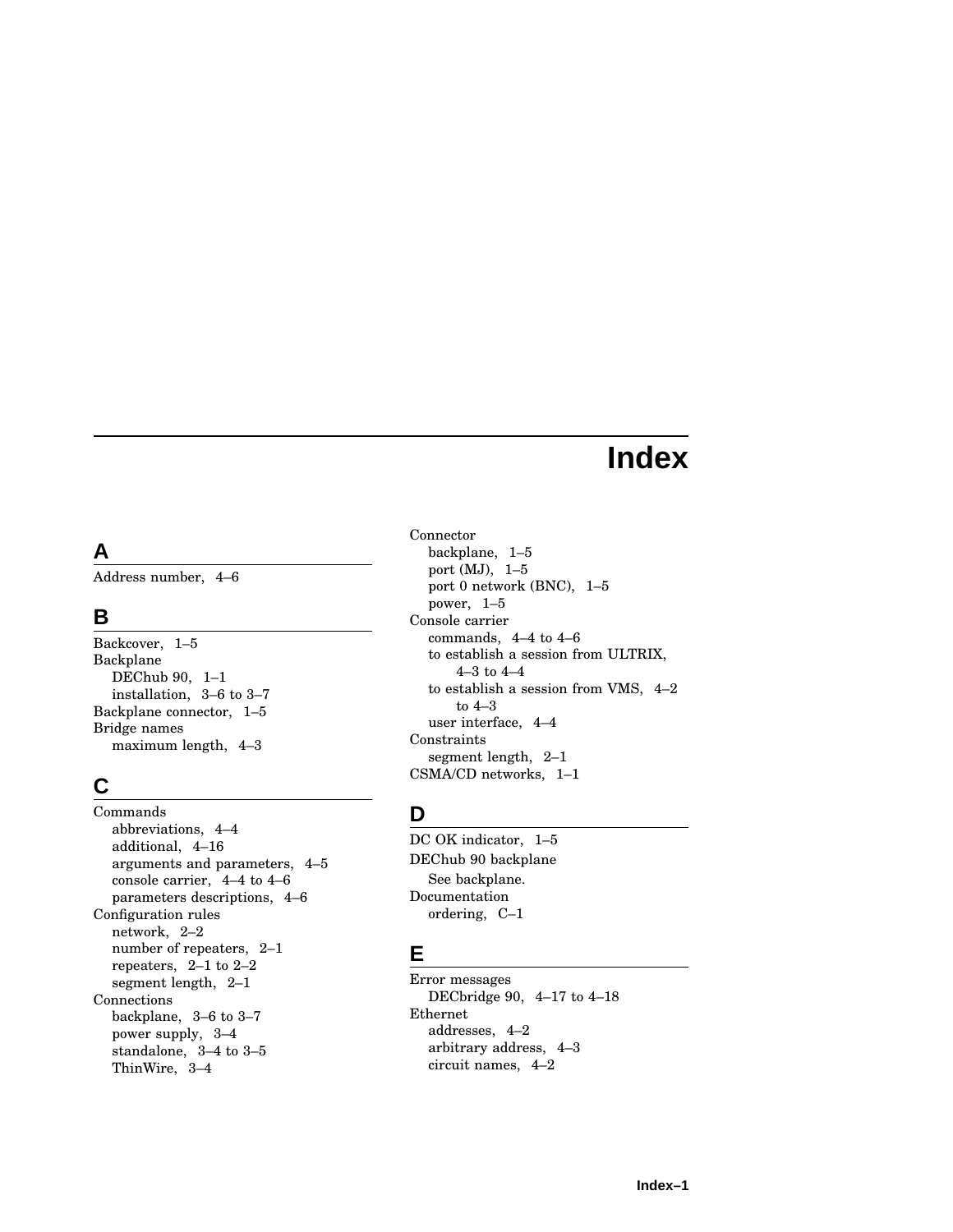### **Index**

### **A**

Address number, 4–6

### **B**

Backcover, 1–5 Backplane DEChub 90, 1–1 installation, 3–6 to 3–7 Backplane connector, 1–5 Bridge names maximum length, 4–3

### **C**

Commands abbreviations, 4–4 additional, 4–16 arguments and parameters, 4–5 console carrier, 4–4 to 4–6 parameters descriptions, 4–6 Configuration rules network, 2–2 number of repeaters, 2–1 repeaters, 2–1 to 2–2 segment length, 2–1 Connections backplane, 3–6 to 3–7 power supply, 3–4 standalone, 3–4 to 3–5 ThinWire, 3–4

Connector backplane, 1–5 port (MJ), 1–5 port 0 network (BNC), 1–5 power, 1–5 Console carrier commands, 4–4 to 4–6 to establish a session from ULTRIX, 4–3 to 4–4 to establish a session from VMS, 4–2 to 4–3 user interface, 4–4 Constraints segment length, 2–1 CSMA/CD networks, 1–1

### **D**

DC OK indicator, 1–5 DEChub 90 backplane See backplane. Documentation ordering, C–1

### **E**

Error messages DECbridge 90, 4–17 to 4–18 Ethernet addresses, 4–2 arbitrary address, 4–3 circuit names, 4–2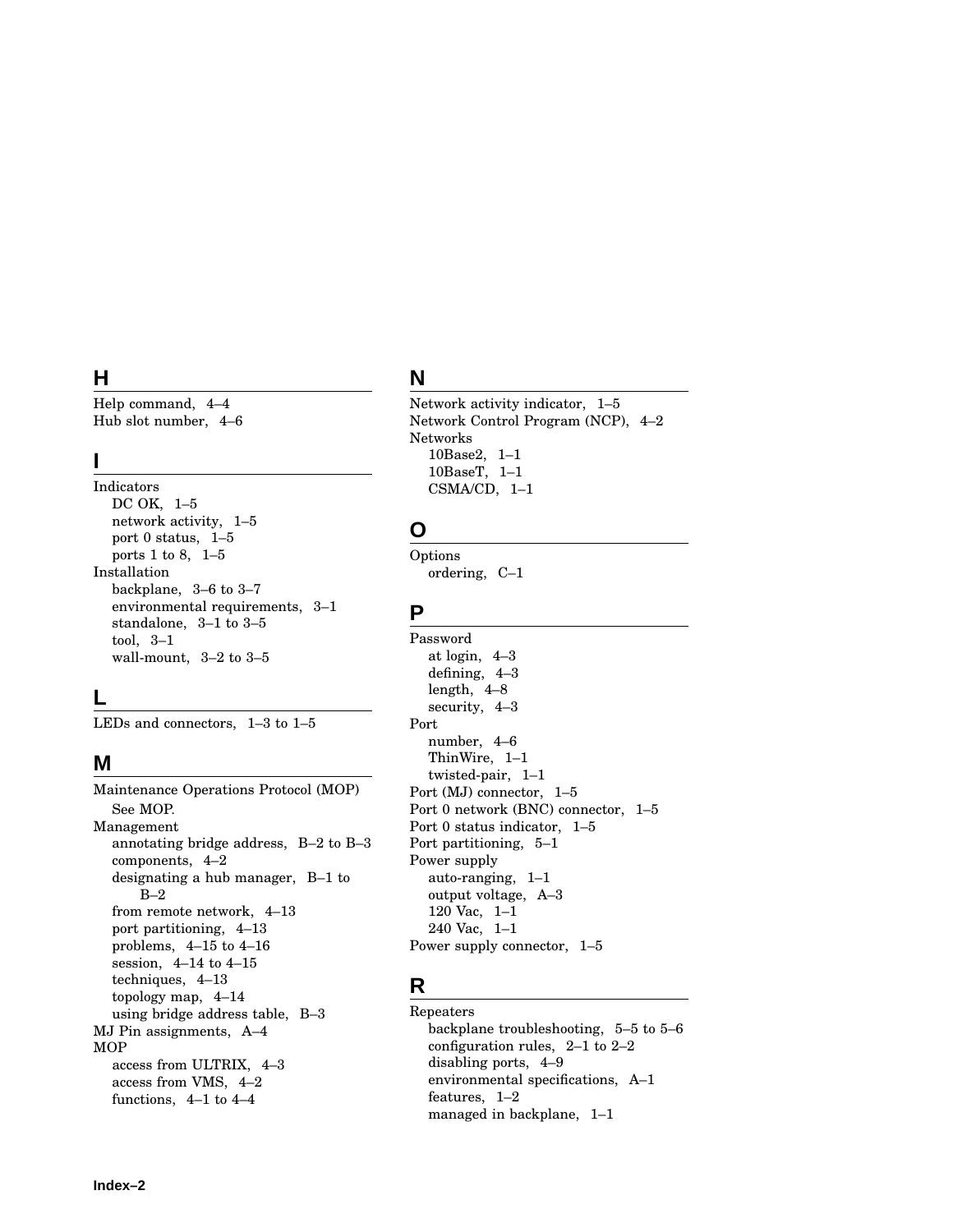### **H**

Help command, 4–4 Hub slot number, 4–6

#### **I**

Indicators DC OK, 1–5 network activity, 1–5 port 0 status, 1–5 ports 1 to 8, 1–5 Installation backplane, 3–6 to 3–7 environmental requirements, 3–1 standalone, 3–1 to 3–5 tool, 3–1 wall-mount, 3–2 to 3–5

#### **L**

LEDs and connectors, 1–3 to 1–5

### **M**

Maintenance Operations Protocol (MOP) See MOP. Management annotating bridge address, B–2 to B–3 components, 4–2 designating a hub manager, B–1 to  $B-2$ from remote network, 4–13 port partitioning, 4–13 problems, 4–15 to 4–16 session, 4–14 to 4–15 techniques, 4–13 topology map, 4–14 using bridge address table, B–3 MJ Pin assignments, A–4 MOP access from ULTRIX, 4–3 access from VMS, 4–2 functions, 4–1 to 4–4

### **N**

Network activity indicator, 1–5 Network Control Program (NCP), 4–2 Networks 10Base2, 1–1 10BaseT, 1–1 CSMA/CD, 1–1

### **O**

Options ordering, C–1

#### **P**

Password at login, 4–3 defining, 4–3 length, 4–8 security, 4–3 Port number, 4–6 ThinWire, 1–1 twisted-pair, 1–1 Port (MJ) connector, 1–5 Port 0 network (BNC) connector, 1–5 Port 0 status indicator, 1–5 Port partitioning, 5–1 Power supply auto-ranging, 1–1 output voltage, A–3 120 Vac, 1–1 240 Vac, 1–1 Power supply connector, 1–5

### **R**

Repeaters backplane troubleshooting, 5–5 to 5–6 configuration rules, 2–1 to 2–2 disabling ports, 4–9 environmental specifications, A–1 features, 1–2 managed in backplane, 1–1